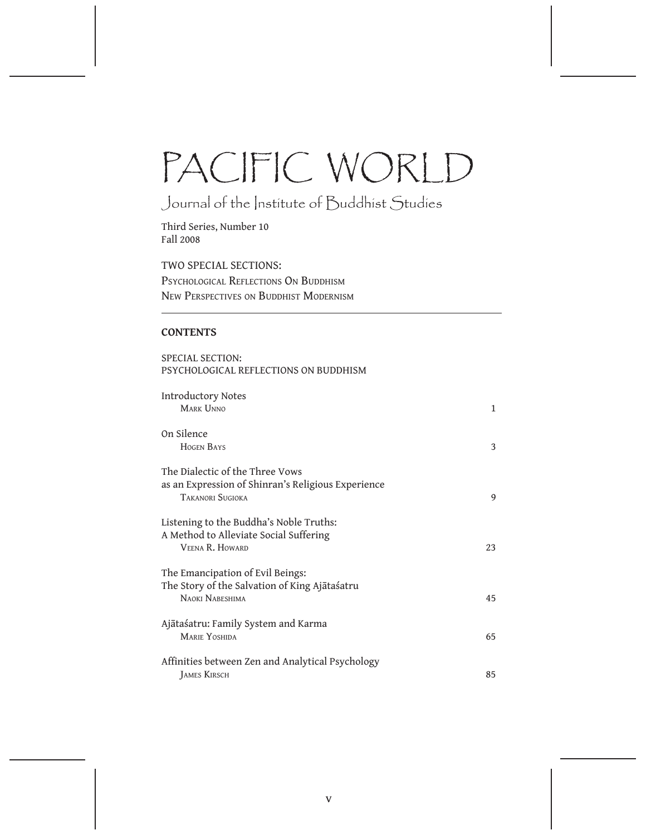# PACIFIC WORLD

Journal of the Institute of Buddhist Studies

Third Series, Number 10 Fall 2008

TWO SPECIAL SECTIONS: PSYCHOLOGICAL REFLECTIONS ON BUDDHISM New Perspectives on Buddhist Modernism

# **CONTENTS**

SPECIAL SECTION: PSYCHOLOGICAL REFLECTIONS ON BUDDHISM

| <b>Introductory Notes</b><br><b>MARK UNNO</b>                                     | 1  |
|-----------------------------------------------------------------------------------|----|
| On Silence                                                                        |    |
| <b>HOGEN BAYS</b>                                                                 | 3  |
| The Dialectic of the Three Vows                                                   |    |
| as an Expression of Shinran's Religious Experience<br><b>TAKANORI SUGIOKA</b>     | 9  |
| Listening to the Buddha's Noble Truths:<br>A Method to Alleviate Social Suffering |    |
| <b>VEENA R. HOWARD</b>                                                            | 23 |
| The Emancipation of Evil Beings:<br>The Story of the Salvation of King Ajatasatru |    |
| <b>NAOKI NABESHIMA</b>                                                            | 45 |
| Ajātaśatru: Family System and Karma                                               |    |
| <b>MARIE YOSHIDA</b>                                                              | 65 |
| Affinities between Zen and Analytical Psychology<br><b>JAMES KIRSCH</b>           | 85 |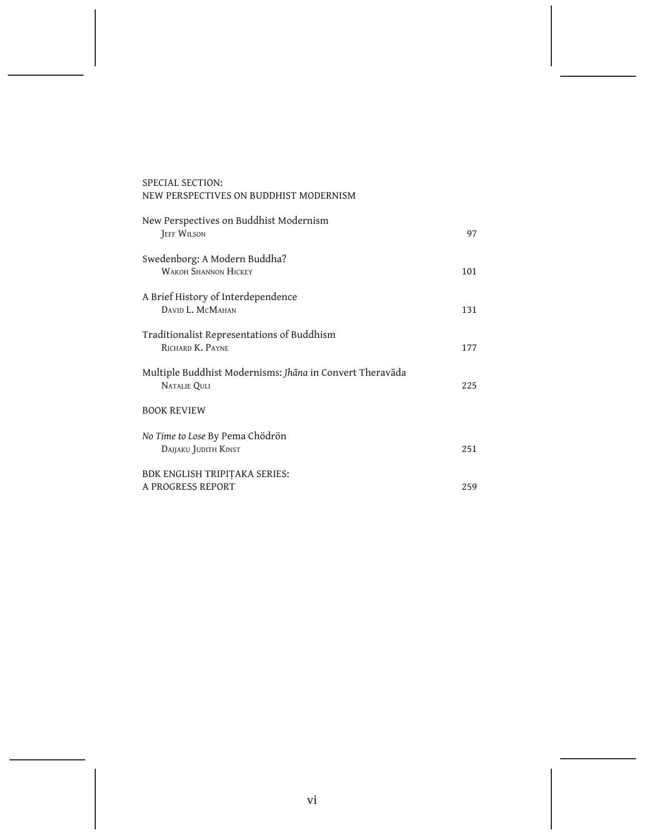| NEW PERSPECTIVES ON BUDDHIST MODERNISM                                          |     |
|---------------------------------------------------------------------------------|-----|
| New Perspectives on Buddhist Modernism<br><b>JEFF WILSON</b>                    | 97  |
| Swedenborg: A Modern Buddha?<br><b>WAKOH SHANNON HICKEY</b>                     | 101 |
| A Brief History of Interdependence<br>DAVID L. MCMAHAN                          | 131 |
| Traditionalist Representations of Buddhism<br>RICHARD K. PAYNE                  | 177 |
| Multiple Buddhist Modernisms: Jhana in Convert Theravada<br><b>NATALIE QULI</b> | 225 |
| <b>BOOK REVIEW</b>                                                              |     |
| No Time to Lose By Pema Chödrön<br>DAIJAKU JUDITH KINST                         | 251 |
| BDK ENGLISH TRIPITAKA SERIES:<br>A PROGRESS REPORT                              | 259 |

SPECIAL SECTION:

vi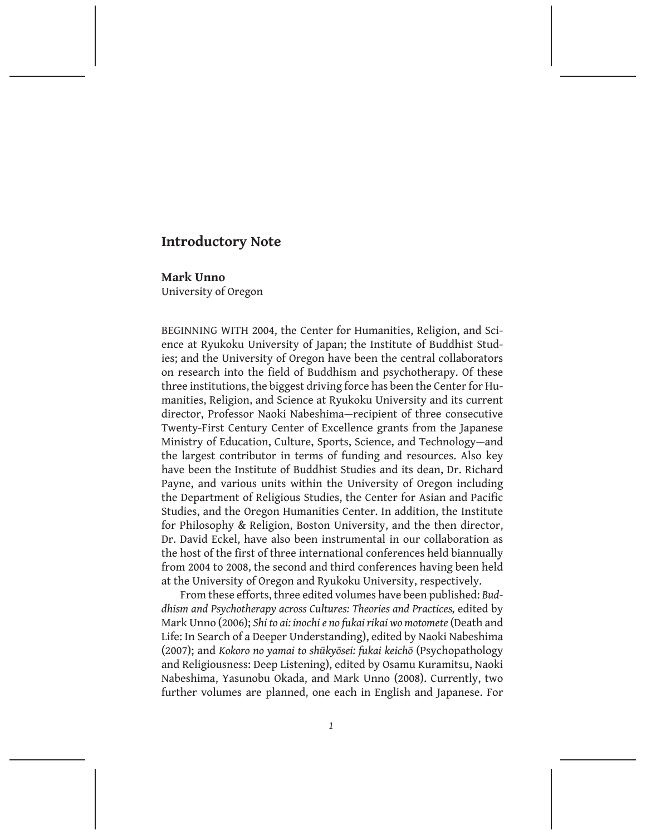# **Introductory Note**

# **Mark Unno**

University of Oregon

BEGINNING WITH 2004, the Center for Humanities, Religion, and Science at Ryukoku University of Japan; the Institute of Buddhist Studies; and the University of Oregon have been the central collaborators on research into the field of Buddhism and psychotherapy. Of these three institutions, the biggest driving force has been the Center for Humanities, Religion, and Science at Ryukoku University and its current director, Professor Naoki Nabeshima—recipient of three consecutive Twenty-First Century Center of Excellence grants from the Japanese Ministry of Education, Culture, Sports, Science, and Technology—and the largest contributor in terms of funding and resources. Also key have been the Institute of Buddhist Studies and its dean, Dr. Richard Payne, and various units within the University of Oregon including the Department of Religious Studies, the Center for Asian and Pacific Studies, and the Oregon Humanities Center. In addition, the Institute for Philosophy & Religion, Boston University, and the then director, Dr. David Eckel, have also been instrumental in our collaboration as the host of the first of three international conferences held biannually from 2004 to 2008, the second and third conferences having been held at the University of Oregon and Ryukoku University, respectively.

From these efforts, three edited volumes have been published: *Buddhism and Psychotherapy across Cultures: Theories and Practices,* edited by Mark Unno (2006); *Shi to ai: inochi e no fukai rikai wo motomete* (Death and Life: In Search of a Deeper Understanding), edited by Naoki Nabeshima (2007); and *Kokoro no yamai to shūkyōsei: fukai keichō* (Psychopathology and Religiousness: Deep Listening), edited by Osamu Kuramitsu, Naoki Nabeshima, Yasunobu Okada, and Mark Unno (2008). Currently, two further volumes are planned, one each in English and Japanese. For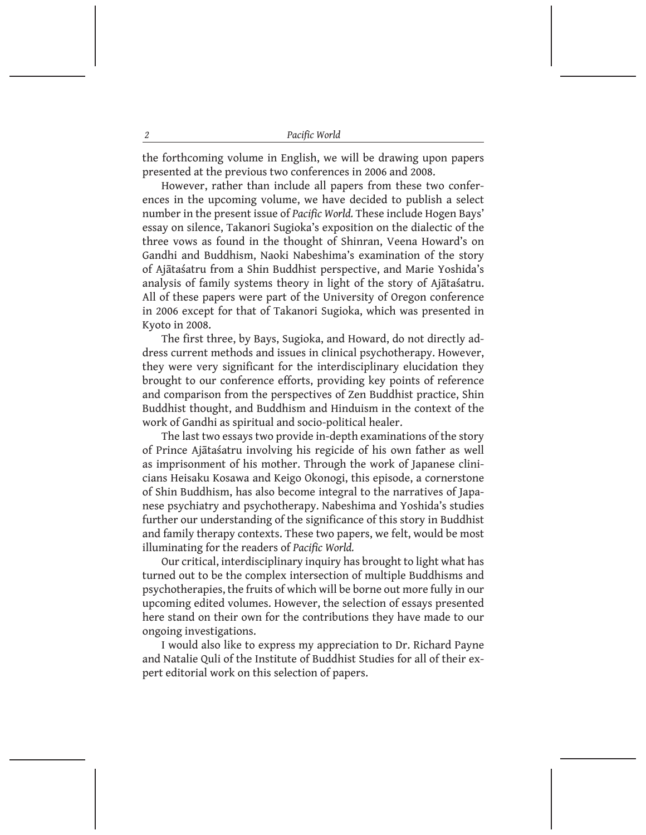the forthcoming volume in English, we will be drawing upon papers presented at the previous two conferences in 2006 and 2008.

However, rather than include all papers from these two conferences in the upcoming volume, we have decided to publish a select number in the present issue of *Pacific World.* These include Hogen Bays' essay on silence, Takanori Sugioka's exposition on the dialectic of the three vows as found in the thought of Shinran, Veena Howard's on Gandhi and Buddhism, Naoki Nabeshima's examination of the story of Ajātaśatru from a Shin Buddhist perspective, and Marie Yoshida's analysis of family systems theory in light of the story of Ajātaśatru. All of these papers were part of the University of Oregon conference in 2006 except for that of Takanori Sugioka, which was presented in Kyoto in 2008.

The first three, by Bays, Sugioka, and Howard, do not directly address current methods and issues in clinical psychotherapy. However, they were very significant for the interdisciplinary elucidation they brought to our conference efforts, providing key points of reference and comparison from the perspectives of Zen Buddhist practice, Shin Buddhist thought, and Buddhism and Hinduism in the context of the work of Gandhi as spiritual and socio-political healer.

The last two essays two provide in-depth examinations of the story of Prince Ajātaśatru involving his regicide of his own father as well as imprisonment of his mother. Through the work of Japanese clinicians Heisaku Kosawa and Keigo Okonogi, this episode, a cornerstone of Shin Buddhism, has also become integral to the narratives of Japanese psychiatry and psychotherapy. Nabeshima and Yoshida's studies further our understanding of the significance of this story in Buddhist and family therapy contexts. These two papers, we felt, would be most illuminating for the readers of *Pacific World.*

Our critical, interdisciplinary inquiry has brought to light what has turned out to be the complex intersection of multiple Buddhisms and psychotherapies, the fruits of which will be borne out more fully in our upcoming edited volumes. However, the selection of essays presented here stand on their own for the contributions they have made to our ongoing investigations.

I would also like to express my appreciation to Dr. Richard Payne and Natalie Quli of the Institute of Buddhist Studies for all of their expert editorial work on this selection of papers.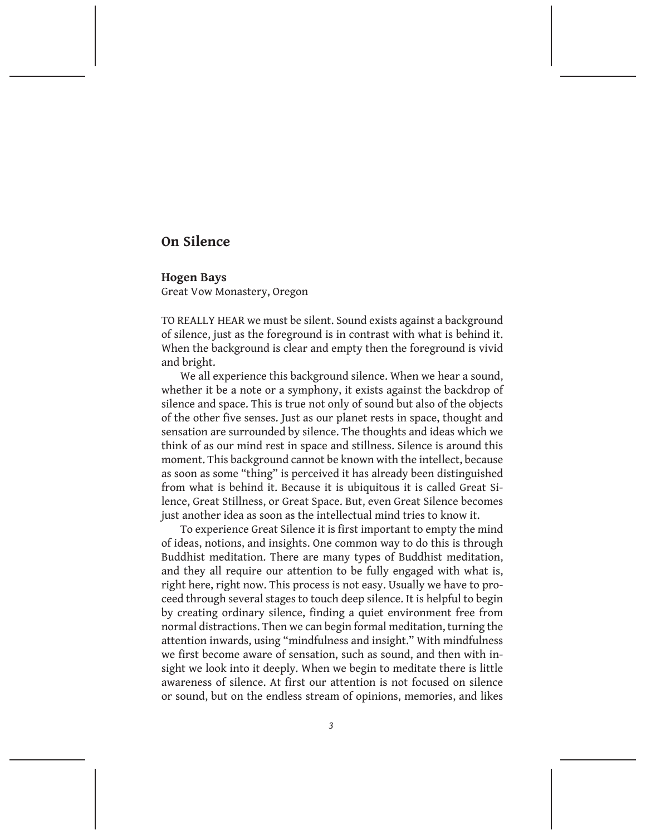# **On Silence**

#### **Hogen Bays**

Great Vow Monastery, Oregon

TO REALLY HEAR we must be silent. Sound exists against a background of silence, just as the foreground is in contrast with what is behind it. When the background is clear and empty then the foreground is vivid and bright.

We all experience this background silence. When we hear a sound, whether it be a note or a symphony, it exists against the backdrop of silence and space. This is true not only of sound but also of the objects of the other five senses. Just as our planet rests in space, thought and sensation are surrounded by silence. The thoughts and ideas which we think of as our mind rest in space and stillness. Silence is around this moment. This background cannot be known with the intellect, because as soon as some "thing" is perceived it has already been distinguished from what is behind it. Because it is ubiquitous it is called Great Silence, Great Stillness, or Great Space. But, even Great Silence becomes just another idea as soon as the intellectual mind tries to know it.

To experience Great Silence it is first important to empty the mind of ideas, notions, and insights. One common way to do this is through Buddhist meditation. There are many types of Buddhist meditation, and they all require our attention to be fully engaged with what is, right here, right now. This process is not easy. Usually we have to proceed through several stages to touch deep silence. It is helpful to begin by creating ordinary silence, finding a quiet environment free from normal distractions. Then we can begin formal meditation, turning the attention inwards, using "mindfulness and insight." With mindfulness we first become aware of sensation, such as sound, and then with insight we look into it deeply. When we begin to meditate there is little awareness of silence. At first our attention is not focused on silence or sound, but on the endless stream of opinions, memories, and likes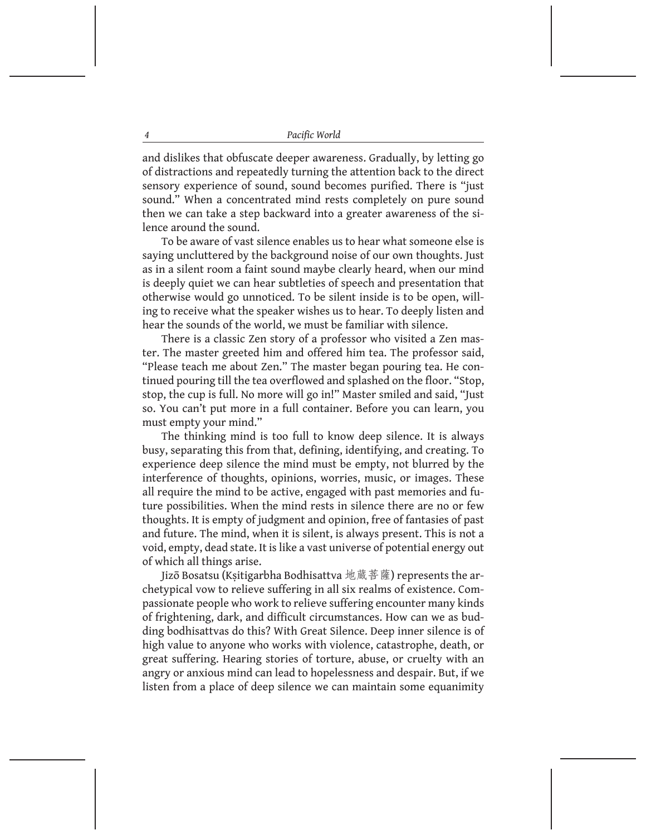and dislikes that obfuscate deeper awareness. Gradually, by letting go of distractions and repeatedly turning the attention back to the direct sensory experience of sound, sound becomes purified. There is "just sound." When a concentrated mind rests completely on pure sound then we can take a step backward into a greater awareness of the silence around the sound.

To be aware of vast silence enables us to hear what someone else is saying uncluttered by the background noise of our own thoughts. Just as in a silent room a faint sound maybe clearly heard, when our mind is deeply quiet we can hear subtleties of speech and presentation that otherwise would go unnoticed. To be silent inside is to be open, willing to receive what the speaker wishes us to hear. To deeply listen and hear the sounds of the world, we must be familiar with silence.

There is a classic Zen story of a professor who visited a Zen master. The master greeted him and offered him tea. The professor said, "Please teach me about Zen." The master began pouring tea. He continued pouring till the tea overflowed and splashed on the floor. "Stop, stop, the cup is full. No more will go in!" Master smiled and said, "Just so. You can't put more in a full container. Before you can learn, you must empty your mind."

The thinking mind is too full to know deep silence. It is always busy, separating this from that, defining, identifying, and creating. To experience deep silence the mind must be empty, not blurred by the interference of thoughts, opinions, worries, music, or images. These all require the mind to be active, engaged with past memories and future possibilities. When the mind rests in silence there are no or few thoughts. It is empty of judgment and opinion, free of fantasies of past and future. The mind, when it is silent, is always present. This is not a void, empty, dead state. It is like a vast universe of potential energy out of which all things arise.

Jizō Bosatsu (Kṣitigarbha Bodhisattva 地蔵菩薩) represents the archetypical vow to relieve suffering in all six realms of existence. Compassionate people who work to relieve suffering encounter many kinds of frightening, dark, and difficult circumstances. How can we as budding bodhisattvas do this? With Great Silence. Deep inner silence is of high value to anyone who works with violence, catastrophe, death, or great suffering. Hearing stories of torture, abuse, or cruelty with an angry or anxious mind can lead to hopelessness and despair. But, if we listen from a place of deep silence we can maintain some equanimity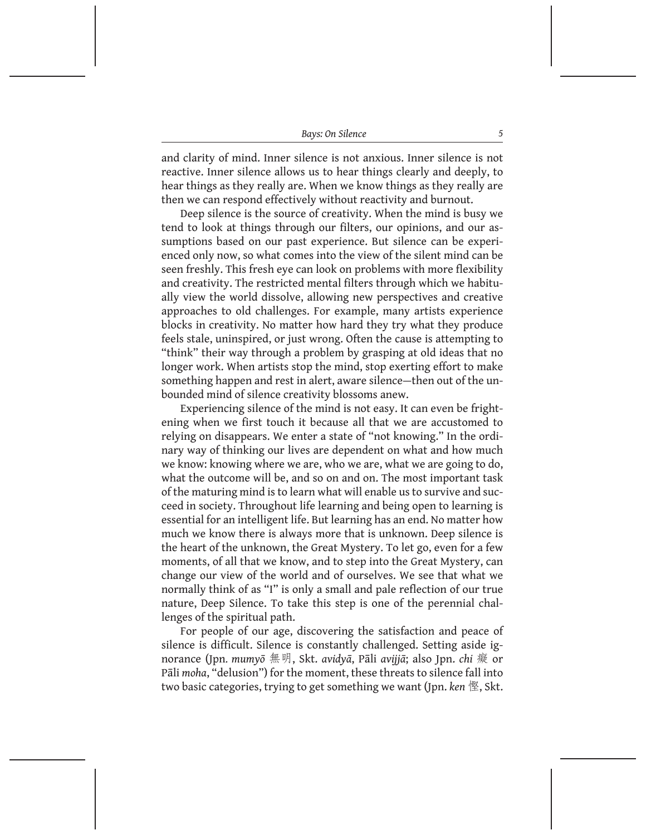*Bays: On Silence 5*

and clarity of mind. Inner silence is not anxious. Inner silence is not reactive. Inner silence allows us to hear things clearly and deeply, to hear things as they really are. When we know things as they really are then we can respond effectively without reactivity and burnout.

Deep silence is the source of creativity. When the mind is busy we tend to look at things through our filters, our opinions, and our assumptions based on our past experience. But silence can be experienced only now, so what comes into the view of the silent mind can be seen freshly. This fresh eye can look on problems with more flexibility and creativity. The restricted mental filters through which we habitually view the world dissolve, allowing new perspectives and creative approaches to old challenges. For example, many artists experience blocks in creativity. No matter how hard they try what they produce feels stale, uninspired, or just wrong. Often the cause is attempting to "think" their way through a problem by grasping at old ideas that no longer work. When artists stop the mind, stop exerting effort to make something happen and rest in alert, aware silence—then out of the unbounded mind of silence creativity blossoms anew.

Experiencing silence of the mind is not easy. It can even be frightening when we first touch it because all that we are accustomed to relying on disappears. We enter a state of "not knowing." In the ordinary way of thinking our lives are dependent on what and how much we know: knowing where we are, who we are, what we are going to do, what the outcome will be, and so on and on. The most important task of the maturing mind is to learn what will enable us to survive and succeed in society. Throughout life learning and being open to learning is essential for an intelligent life. But learning has an end. No matter how much we know there is always more that is unknown. Deep silence is the heart of the unknown, the Great Mystery. To let go, even for a few moments, of all that we know, and to step into the Great Mystery, can change our view of the world and of ourselves. We see that what we normally think of as "I" is only a small and pale reflection of our true nature, Deep Silence. To take this step is one of the perennial challenges of the spiritual path.

For people of our age, discovering the satisfaction and peace of silence is difficult. Silence is constantly challenged. Setting aside ignorance (Jpn. *mumyō* 無明, Skt. *avidyā*, Pāli *avijjā*; also Jpn. *chi* 癡 or Pāli *moha*, "delusion") for the moment, these threats to silence fall into two basic categories, trying to get something we want (Jpn. *ken* 慳, Skt.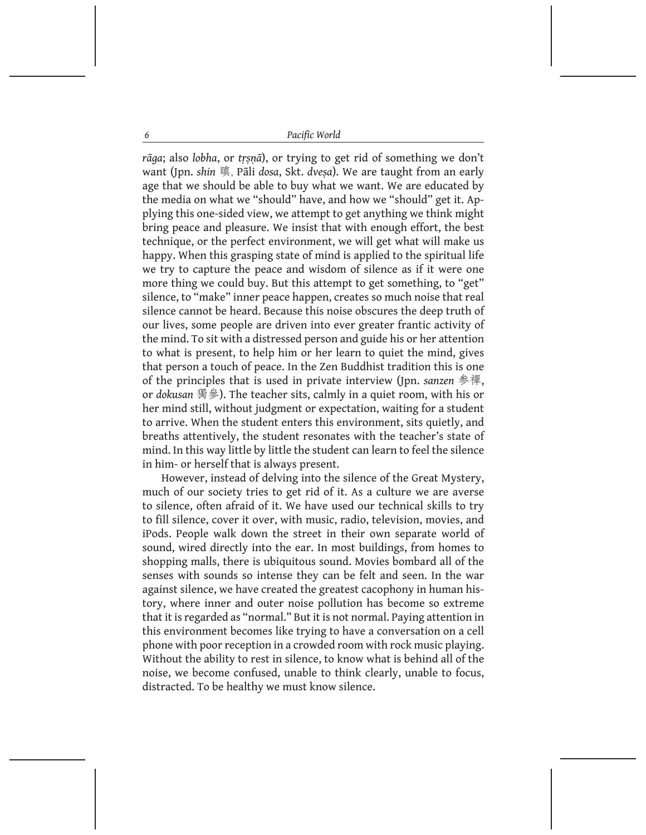*rāga*; also *lobha*, or *tṛṣṇā*), or trying to get rid of something we don't want (Jpn. *shin* 瞋, Pāli *dosa*, Skt. *dveṣa*). We are taught from an early age that we should be able to buy what we want. We are educated by the media on what we "should" have, and how we "should" get it. Applying this one-sided view, we attempt to get anything we think might bring peace and pleasure. We insist that with enough effort, the best technique, or the perfect environment, we will get what will make us happy. When this grasping state of mind is applied to the spiritual life we try to capture the peace and wisdom of silence as if it were one more thing we could buy. But this attempt to get something, to "get" silence, to "make" inner peace happen, creates so much noise that real silence cannot be heard. Because this noise obscures the deep truth of our lives, some people are driven into ever greater frantic activity of the mind. To sit with a distressed person and guide his or her attention to what is present, to help him or her learn to quiet the mind, gives that person a touch of peace. In the Zen Buddhist tradition this is one of the principles that is used in private interview (Jpn. *sanzen* 参禪, or *dokusan* 獨參). The teacher sits, calmly in a quiet room, with his or her mind still, without judgment or expectation, waiting for a student to arrive. When the student enters this environment, sits quietly, and breaths attentively, the student resonates with the teacher's state of mind. In this way little by little the student can learn to feel the silence in him- or herself that is always present.

However, instead of delving into the silence of the Great Mystery, much of our society tries to get rid of it. As a culture we are averse to silence, often afraid of it. We have used our technical skills to try to fill silence, cover it over, with music, radio, television, movies, and iPods. People walk down the street in their own separate world of sound, wired directly into the ear. In most buildings, from homes to shopping malls, there is ubiquitous sound. Movies bombard all of the senses with sounds so intense they can be felt and seen. In the war against silence, we have created the greatest cacophony in human history, where inner and outer noise pollution has become so extreme that it is regarded as "normal." But it is not normal. Paying attention in this environment becomes like trying to have a conversation on a cell phone with poor reception in a crowded room with rock music playing. Without the ability to rest in silence, to know what is behind all of the noise, we become confused, unable to think clearly, unable to focus, distracted. To be healthy we must know silence.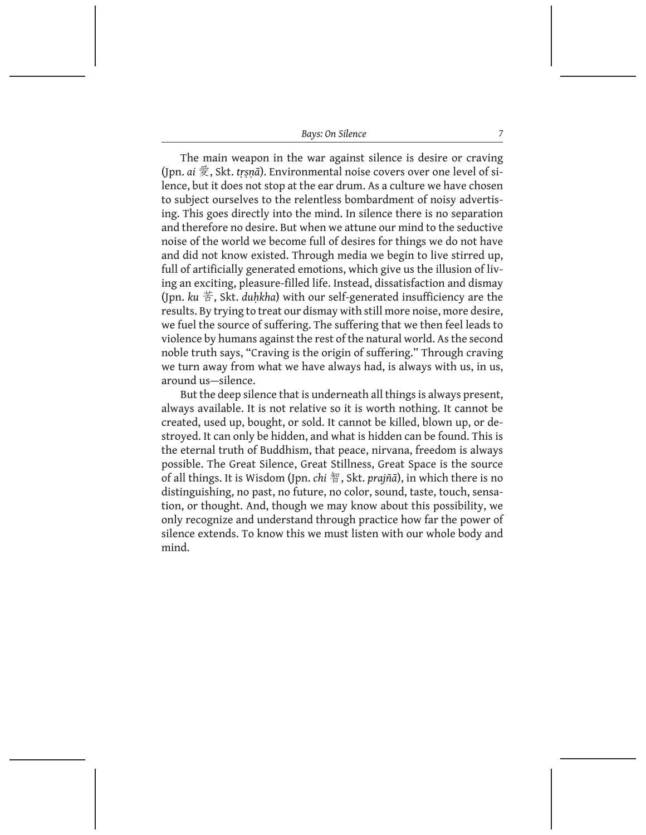*Bays: On Silence 7*

The main weapon in the war against silence is desire or craving (Jpn. *ai* 愛, Skt. *tṛṣṇā*). Environmental noise covers over one level of silence, but it does not stop at the ear drum. As a culture we have chosen to subject ourselves to the relentless bombardment of noisy advertising. This goes directly into the mind. In silence there is no separation and therefore no desire. But when we attune our mind to the seductive noise of the world we become full of desires for things we do not have and did not know existed. Through media we begin to live stirred up, full of artificially generated emotions, which give us the illusion of living an exciting, pleasure-filled life. Instead, dissatisfaction and dismay (Jpn. *ku* 苦, Skt. *duḥkha*) with our self-generated insufficiency are the results. By trying to treat our dismay with still more noise, more desire, we fuel the source of suffering. The suffering that we then feel leads to violence by humans against the rest of the natural world. As the second noble truth says, "Craving is the origin of suffering." Through craving we turn away from what we have always had, is always with us, in us, around us—silence.

But the deep silence that is underneath all things is always present, always available. It is not relative so it is worth nothing. It cannot be created, used up, bought, or sold. It cannot be killed, blown up, or destroyed. It can only be hidden, and what is hidden can be found. This is the eternal truth of Buddhism, that peace, nirvana, freedom is always possible. The Great Silence, Great Stillness, Great Space is the source of all things. It is Wisdom (Jpn. *chi* 智, Skt. *prajñā*), in which there is no distinguishing, no past, no future, no color, sound, taste, touch, sensation, or thought. And, though we may know about this possibility, we only recognize and understand through practice how far the power of silence extends. To know this we must listen with our whole body and mind.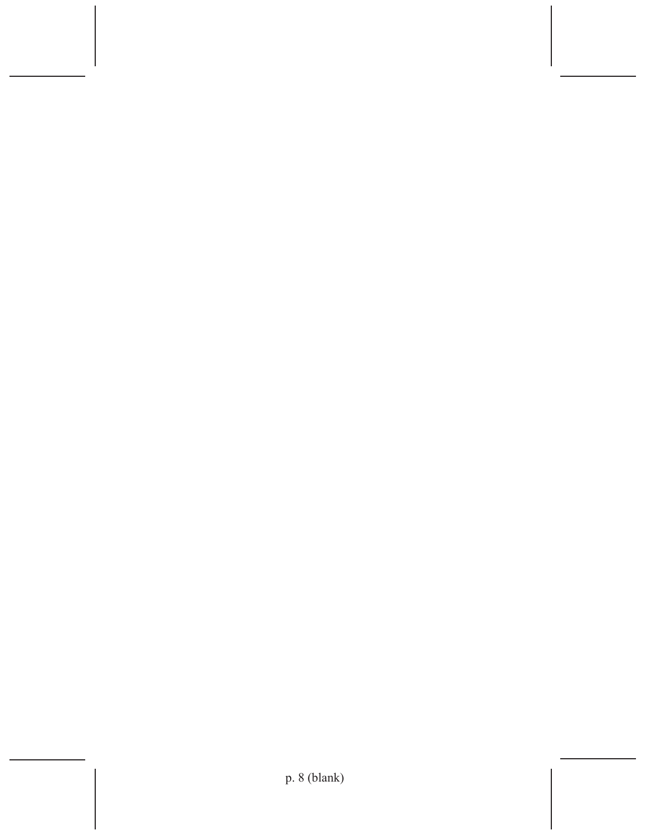p. 8 (blank)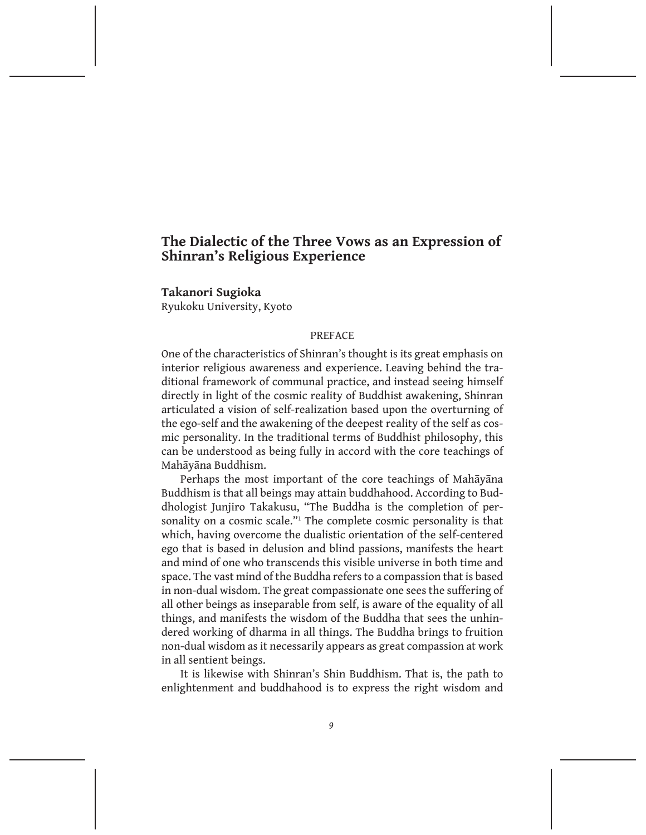# **The Dialectic of the Three Vows as an Expression of Shinran's Religious Experience**

#### **Takanori Sugioka**

Ryukoku University, Kyoto

### PREFACE

One of the characteristics of Shinran's thought is its great emphasis on interior religious awareness and experience. Leaving behind the traditional framework of communal practice, and instead seeing himself directly in light of the cosmic reality of Buddhist awakening, Shinran articulated a vision of self-realization based upon the overturning of the ego-self and the awakening of the deepest reality of the self as cosmic personality. In the traditional terms of Buddhist philosophy, this can be understood as being fully in accord with the core teachings of Mahāyāna Buddhism.

Perhaps the most important of the core teachings of Mahāyāna Buddhism is that all beings may attain buddhahood. According to Buddhologist Junjiro Takakusu, "The Buddha is the completion of personality on a cosmic scale."1 The complete cosmic personality is that which, having overcome the dualistic orientation of the self-centered ego that is based in delusion and blind passions, manifests the heart and mind of one who transcends this visible universe in both time and space. The vast mind of the Buddha refers to a compassion that is based in non-dual wisdom. The great compassionate one sees the suffering of all other beings as inseparable from self, is aware of the equality of all things, and manifests the wisdom of the Buddha that sees the unhindered working of dharma in all things. The Buddha brings to fruition non-dual wisdom as it necessarily appears as great compassion at work in all sentient beings.

It is likewise with Shinran's Shin Buddhism. That is, the path to enlightenment and buddhahood is to express the right wisdom and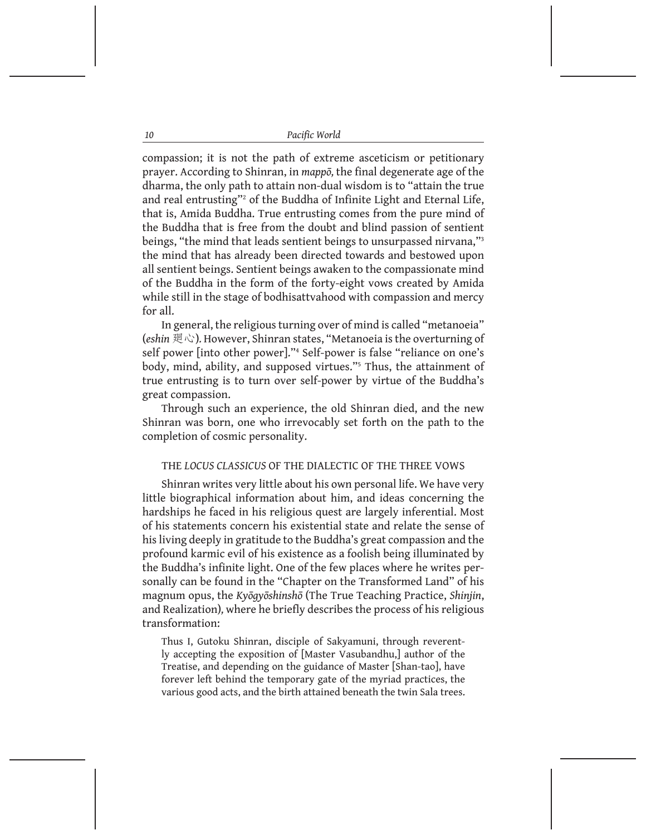compassion; it is not the path of extreme asceticism or petitionary prayer. According to Shinran, in *mappō,* the final degenerate age of the dharma, the only path to attain non-dual wisdom is to "attain the true and real entrusting"2 of the Buddha of Infinite Light and Eternal Life, that is, Amida Buddha. True entrusting comes from the pure mind of the Buddha that is free from the doubt and blind passion of sentient beings, "the mind that leads sentient beings to unsurpassed nirvana,"3 the mind that has already been directed towards and bestowed upon all sentient beings. Sentient beings awaken to the compassionate mind of the Buddha in the form of the forty-eight vows created by Amida while still in the stage of bodhisattvahood with compassion and mercy for all.

In general, the religious turning over of mind is called "metanoeia" (*eshin* 廻心)*.* However, Shinran states, "Metanoeia is the overturning of self power [into other power]."4 Self-power is false "reliance on one's body, mind, ability, and supposed virtues."5 Thus, the attainment of true entrusting is to turn over self-power by virtue of the Buddha's great compassion.

Through such an experience, the old Shinran died, and the new Shinran was born, one who irrevocably set forth on the path to the completion of cosmic personality.

#### THE *LOCUS CLASSICUS* OF THE DIALECTIC OF THE THREE VOWS

Shinran writes very little about his own personal life. We have very little biographical information about him, and ideas concerning the hardships he faced in his religious quest are largely inferential. Most of his statements concern his existential state and relate the sense of his living deeply in gratitude to the Buddha's great compassion and the profound karmic evil of his existence as a foolish being illuminated by the Buddha's infinite light. One of the few places where he writes personally can be found in the "Chapter on the Transformed Land" of his magnum opus, the *Kyōgyōshinshō* (The True Teaching Practice, *Shinjin*, and Realization)*,* where he briefly describes the process of his religious transformation:

Thus I, Gutoku Shinran, disciple of Sakyamuni, through reverently accepting the exposition of [Master Vasubandhu,] author of the Treatise, and depending on the guidance of Master [Shan-tao], have forever left behind the temporary gate of the myriad practices, the various good acts, and the birth attained beneath the twin Sala trees.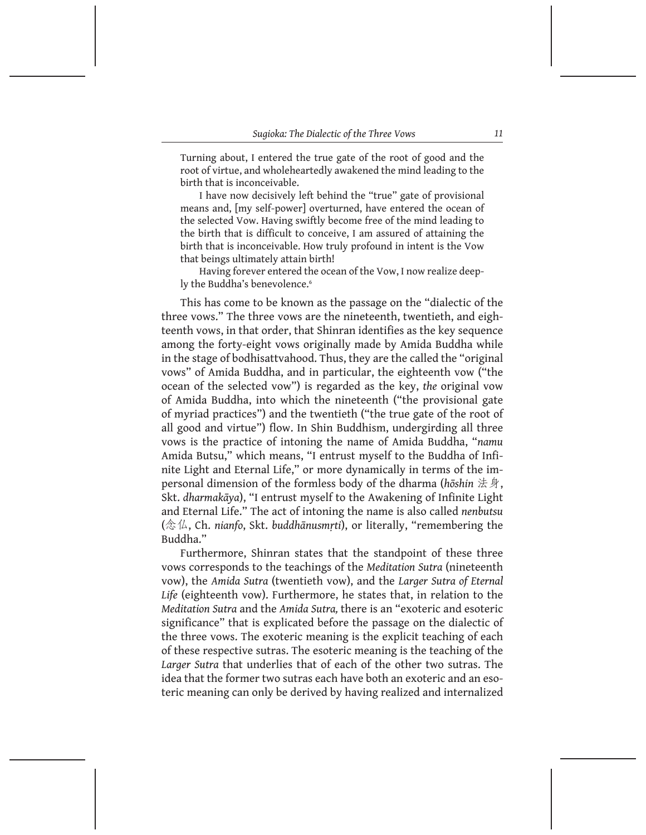Turning about, I entered the true gate of the root of good and the root of virtue, and wholeheartedly awakened the mind leading to the birth that is inconceivable.

I have now decisively left behind the "true" gate of provisional means and, [my self-power] overturned, have entered the ocean of the selected Vow. Having swiftly become free of the mind leading to the birth that is difficult to conceive, I am assured of attaining the birth that is inconceivable. How truly profound in intent is the Vow that beings ultimately attain birth!

Having forever entered the ocean of the Vow, I now realize deeply the Buddha's benevolence.<sup>6</sup>

This has come to be known as the passage on the "dialectic of the three vows." The three vows are the nineteenth, twentieth, and eighteenth vows, in that order, that Shinran identifies as the key sequence among the forty-eight vows originally made by Amida Buddha while in the stage of bodhisattvahood. Thus, they are the called the "original vows" of Amida Buddha, and in particular, the eighteenth vow ("the ocean of the selected vow") is regarded as the key, *the* original vow of Amida Buddha, into which the nineteenth ("the provisional gate of myriad practices") and the twentieth ("the true gate of the root of all good and virtue") flow. In Shin Buddhism, undergirding all three vows is the practice of intoning the name of Amida Buddha, "*namu* Amida Butsu," which means, "I entrust myself to the Buddha of Infinite Light and Eternal Life," or more dynamically in terms of the impersonal dimension of the formless body of the dharma (*hōshin* 法身, Skt. *dharmakāya*), "I entrust myself to the Awakening of Infinite Light and Eternal Life." The act of intoning the name is also called *nenbutsu*  (念仏, Ch. *nianfo*, Skt. *buddhānusmṛti*), or literally, "remembering the Buddha."

Furthermore, Shinran states that the standpoint of these three vows corresponds to the teachings of the *Meditation Sutra* (nineteenth vow), the *Amida Sutra* (twentieth vow), and the *Larger Sutra of Eternal Life* (eighteenth vow). Furthermore, he states that, in relation to the *Meditation Sutra* and the *Amida Sutra,* there is an "exoteric and esoteric significance" that is explicated before the passage on the dialectic of the three vows. The exoteric meaning is the explicit teaching of each of these respective sutras. The esoteric meaning is the teaching of the *Larger Sutra* that underlies that of each of the other two sutras. The idea that the former two sutras each have both an exoteric and an esoteric meaning can only be derived by having realized and internalized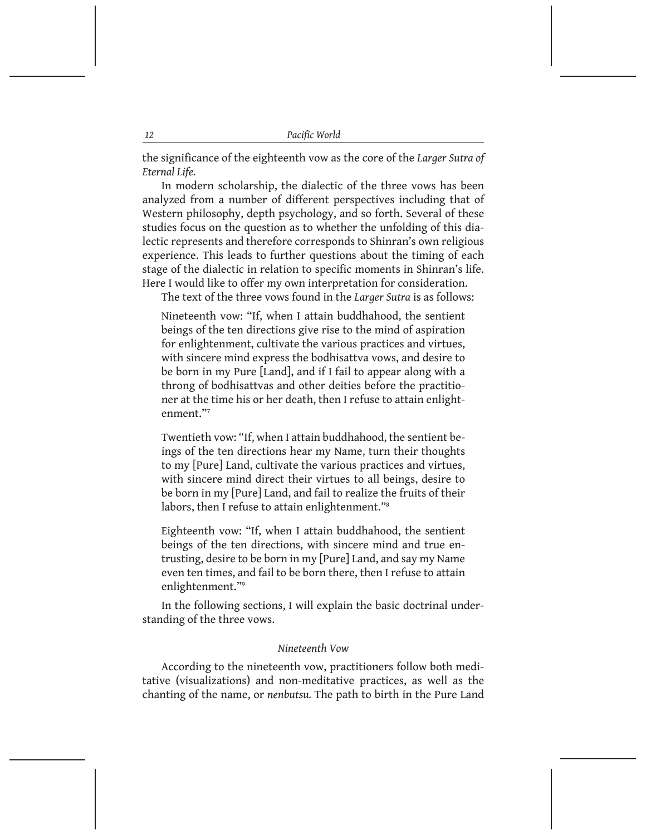the significance of the eighteenth vow as the core of the *Larger Sutra of Eternal Life.* 

In modern scholarship, the dialectic of the three vows has been analyzed from a number of different perspectives including that of Western philosophy, depth psychology, and so forth. Several of these studies focus on the question as to whether the unfolding of this dialectic represents and therefore corresponds to Shinran's own religious experience. This leads to further questions about the timing of each stage of the dialectic in relation to specific moments in Shinran's life. Here I would like to offer my own interpretation for consideration.

The text of the three vows found in the *Larger Sutra* is as follows:

Nineteenth vow: "If, when I attain buddhahood, the sentient beings of the ten directions give rise to the mind of aspiration for enlightenment, cultivate the various practices and virtues, with sincere mind express the bodhisattva vows, and desire to be born in my Pure [Land], and if I fail to appear along with a throng of bodhisattvas and other deities before the practitioner at the time his or her death, then I refuse to attain enlightenment."7

Twentieth vow: "If, when I attain buddhahood, the sentient beings of the ten directions hear my Name, turn their thoughts to my [Pure] Land, cultivate the various practices and virtues, with sincere mind direct their virtues to all beings, desire to be born in my [Pure] Land, and fail to realize the fruits of their labors, then I refuse to attain enlightenment."<sup>8</sup>

Eighteenth vow: "If, when I attain buddhahood, the sentient beings of the ten directions, with sincere mind and true entrusting, desire to be born in my [Pure] Land, and say my Name even ten times, and fail to be born there, then I refuse to attain enlightenment."9

In the following sections, I will explain the basic doctrinal understanding of the three vows.

#### *Nineteenth Vow*

According to the nineteenth vow, practitioners follow both meditative (visualizations) and non-meditative practices, as well as the chanting of the name, or *nenbutsu.* The path to birth in the Pure Land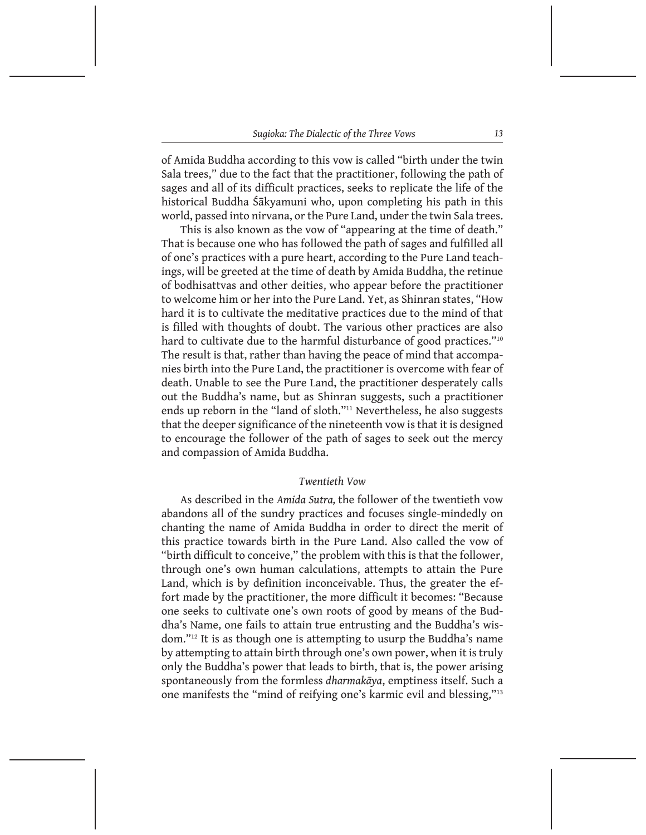of Amida Buddha according to this vow is called "birth under the twin Sala trees," due to the fact that the practitioner, following the path of sages and all of its difficult practices, seeks to replicate the life of the historical Buddha Śākyamuni who, upon completing his path in this world, passed into nirvana, or the Pure Land, under the twin Sala trees.

This is also known as the vow of "appearing at the time of death." That is because one who has followed the path of sages and fulfilled all of one's practices with a pure heart, according to the Pure Land teachings, will be greeted at the time of death by Amida Buddha, the retinue of bodhisattvas and other deities, who appear before the practitioner to welcome him or her into the Pure Land. Yet, as Shinran states, "How hard it is to cultivate the meditative practices due to the mind of that is filled with thoughts of doubt. The various other practices are also hard to cultivate due to the harmful disturbance of good practices."<sup>10</sup> The result is that, rather than having the peace of mind that accompanies birth into the Pure Land, the practitioner is overcome with fear of death. Unable to see the Pure Land, the practitioner desperately calls out the Buddha's name, but as Shinran suggests, such a practitioner ends up reborn in the "land of sloth."<sup>11</sup> Nevertheless, he also suggests that the deeper significance of the nineteenth vow is that it is designed to encourage the follower of the path of sages to seek out the mercy and compassion of Amida Buddha.

#### *Twentieth Vow*

As described in the *Amida Sutra,* the follower of the twentieth vow abandons all of the sundry practices and focuses single-mindedly on chanting the name of Amida Buddha in order to direct the merit of this practice towards birth in the Pure Land. Also called the vow of "birth difficult to conceive," the problem with this is that the follower, through one's own human calculations, attempts to attain the Pure Land, which is by definition inconceivable. Thus, the greater the effort made by the practitioner, the more difficult it becomes: "Because one seeks to cultivate one's own roots of good by means of the Buddha's Name, one fails to attain true entrusting and the Buddha's wisdom."12 It is as though one is attempting to usurp the Buddha's name by attempting to attain birth through one's own power, when it is truly only the Buddha's power that leads to birth, that is, the power arising spontaneously from the formless *dharmakāya*, emptiness itself. Such a one manifests the "mind of reifying one's karmic evil and blessing,"13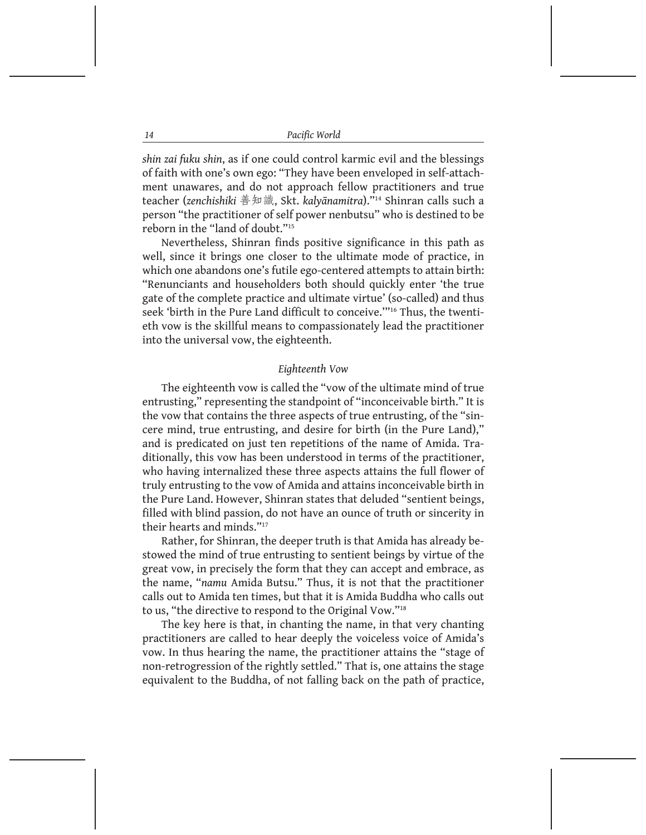*shin zai fuku shin*, as if one could control karmic evil and the blessings of faith with one's own ego: "They have been enveloped in self-attachment unawares, and do not approach fellow practitioners and true teacher (*zenchishiki* 善知識, Skt. *kalyānamitra*)."14 Shinran calls such a person "the practitioner of self power nenbutsu" who is destined to be reborn in the "land of doubt."15

Nevertheless, Shinran finds positive significance in this path as well, since it brings one closer to the ultimate mode of practice, in which one abandons one's futile ego-centered attempts to attain birth: "Renunciants and householders both should quickly enter 'the true gate of the complete practice and ultimate virtue' (so-called) and thus seek 'birth in the Pure Land difficult to conceive.'"16 Thus, the twentieth vow is the skillful means to compassionately lead the practitioner into the universal vow, the eighteenth.

#### *Eighteenth Vow*

The eighteenth vow is called the "vow of the ultimate mind of true entrusting," representing the standpoint of "inconceivable birth." It is the vow that contains the three aspects of true entrusting, of the "sincere mind, true entrusting, and desire for birth (in the Pure Land)," and is predicated on just ten repetitions of the name of Amida. Traditionally, this vow has been understood in terms of the practitioner, who having internalized these three aspects attains the full flower of truly entrusting to the vow of Amida and attains inconceivable birth in the Pure Land. However, Shinran states that deluded "sentient beings, filled with blind passion, do not have an ounce of truth or sincerity in their hearts and minds."17

Rather, for Shinran, the deeper truth is that Amida has already bestowed the mind of true entrusting to sentient beings by virtue of the great vow, in precisely the form that they can accept and embrace, as the name, "*namu* Amida Butsu." Thus, it is not that the practitioner calls out to Amida ten times, but that it is Amida Buddha who calls out to us, "the directive to respond to the Original Vow."18

The key here is that, in chanting the name, in that very chanting practitioners are called to hear deeply the voiceless voice of Amida's vow. In thus hearing the name, the practitioner attains the "stage of non-retrogression of the rightly settled." That is, one attains the stage equivalent to the Buddha, of not falling back on the path of practice,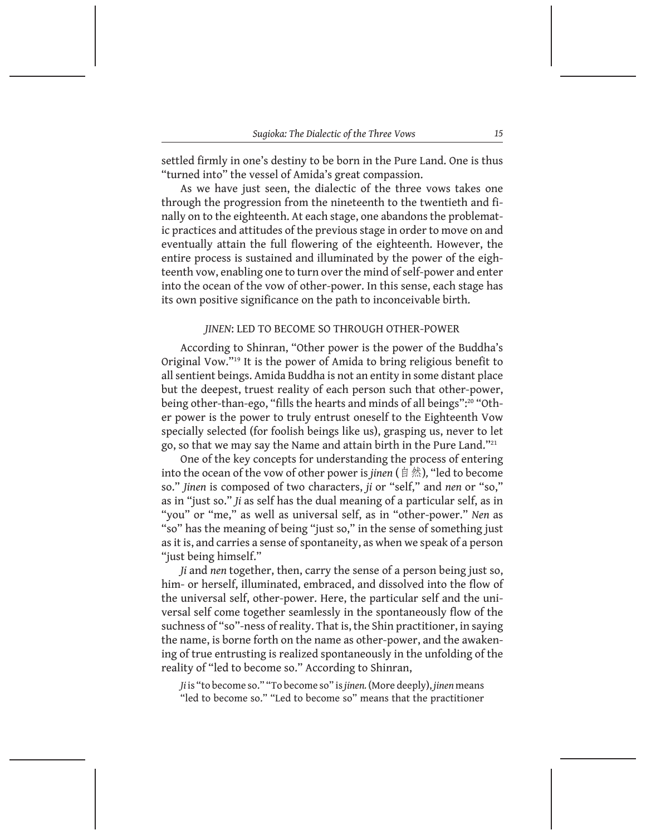settled firmly in one's destiny to be born in the Pure Land. One is thus "turned into" the vessel of Amida's great compassion.

As we have just seen, the dialectic of the three vows takes one through the progression from the nineteenth to the twentieth and finally on to the eighteenth. At each stage, one abandons the problematic practices and attitudes of the previous stage in order to move on and eventually attain the full flowering of the eighteenth. However, the entire process is sustained and illuminated by the power of the eighteenth vow, enabling one to turn over the mind of self-power and enter into the ocean of the vow of other-power. In this sense, each stage has its own positive significance on the path to inconceivable birth.

#### *JINEN*: LED TO BECOME SO THROUGH OTHER-POWER

According to Shinran, "Other power is the power of the Buddha's Original Vow."19 It is the power of Amida to bring religious benefit to all sentient beings. Amida Buddha is not an entity in some distant place but the deepest, truest reality of each person such that other-power, being other-than-ego, "fills the hearts and minds of all beings":20 "Other power is the power to truly entrust oneself to the Eighteenth Vow specially selected (for foolish beings like us), grasping us, never to let go, so that we may say the Name and attain birth in the Pure Land."21

One of the key concepts for understanding the process of entering into the ocean of the vow of other power is *jinen* (自然)*,* "led to become so." *Jinen* is composed of two characters, *ji* or "self," and *nen* or "so," as in "just so." *Ji* as self has the dual meaning of a particular self, as in "you" or "me," as well as universal self, as in "other-power." *Nen* as "so" has the meaning of being "just so," in the sense of something just as it is, and carries a sense of spontaneity, as when we speak of a person "just being himself."

*Ji* and *nen* together, then, carry the sense of a person being just so, him- or herself, illuminated, embraced, and dissolved into the flow of the universal self, other-power. Here, the particular self and the universal self come together seamlessly in the spontaneously flow of the suchness of "so"-ness of reality. That is, the Shin practitioner, in saying the name, is borne forth on the name as other-power, and the awakening of true entrusting is realized spontaneously in the unfolding of the reality of "led to become so." According to Shinran,

*Ji* is "to become so." "To become so" is *jinen.* (More deeply), *jinen* means "led to become so." "Led to become so" means that the practitioner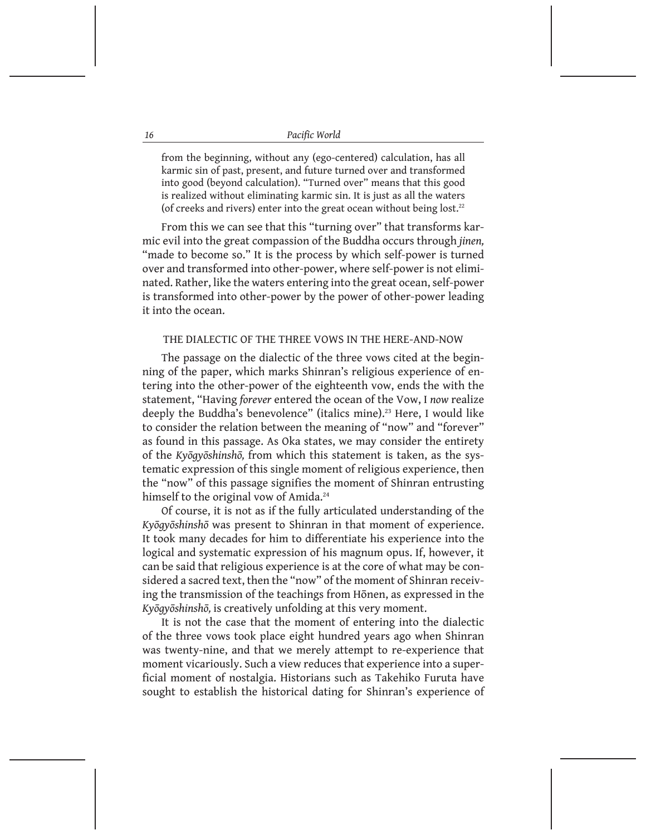from the beginning, without any (ego-centered) calculation, has all karmic sin of past, present, and future turned over and transformed into good (beyond calculation). "Turned over" means that this good is realized without eliminating karmic sin. It is just as all the waters (of creeks and rivers) enter into the great ocean without being lost.<sup>22</sup>

From this we can see that this "turning over" that transforms karmic evil into the great compassion of the Buddha occurs through *jinen,*  "made to become so." It is the process by which self-power is turned over and transformed into other-power, where self-power is not eliminated. Rather, like the waters entering into the great ocean, self-power is transformed into other-power by the power of other-power leading it into the ocean.

#### THE DIALECTIC OF THE THREE VOWS IN THE HERE-AND-NOW

The passage on the dialectic of the three vows cited at the beginning of the paper, which marks Shinran's religious experience of entering into the other-power of the eighteenth vow, ends the with the statement, "Having *forever* entered the ocean of the Vow, I *now* realize deeply the Buddha's benevolence" (italics mine).<sup>23</sup> Here, I would like to consider the relation between the meaning of "now" and "forever" as found in this passage. As Oka states, we may consider the entirety of the *Kyōgyōshinshō,* from which this statement is taken, as the systematic expression of this single moment of religious experience, then the "now" of this passage signifies the moment of Shinran entrusting himself to the original vow of Amida.<sup>24</sup>

Of course, it is not as if the fully articulated understanding of the *Kyōgyōshinshō* was present to Shinran in that moment of experience. It took many decades for him to differentiate his experience into the logical and systematic expression of his magnum opus. If, however, it can be said that religious experience is at the core of what may be considered a sacred text, then the "now" of the moment of Shinran receiving the transmission of the teachings from Hōnen, as expressed in the *Kyōgyōshinshō,* is creatively unfolding at this very moment.

It is not the case that the moment of entering into the dialectic of the three vows took place eight hundred years ago when Shinran was twenty-nine, and that we merely attempt to re-experience that moment vicariously. Such a view reduces that experience into a superficial moment of nostalgia. Historians such as Takehiko Furuta have sought to establish the historical dating for Shinran's experience of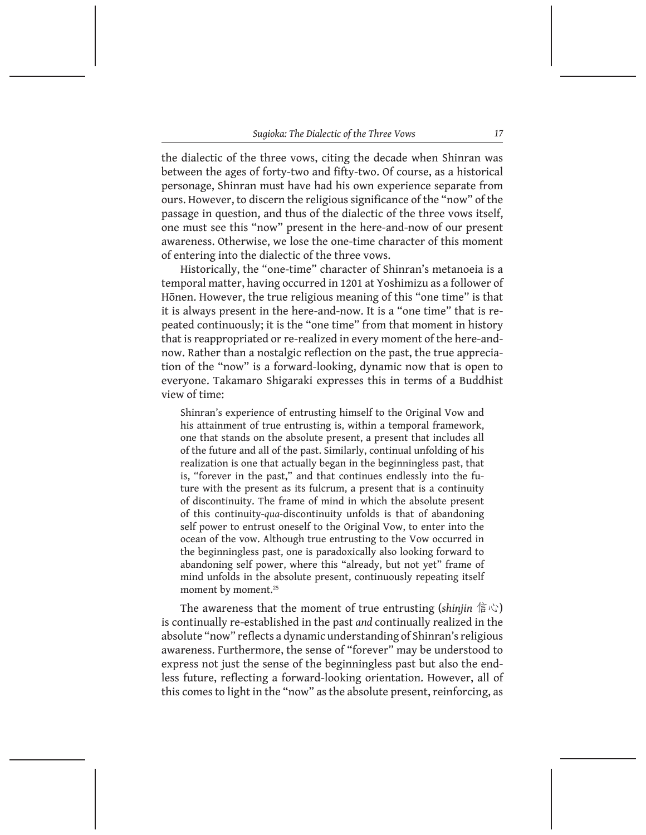the dialectic of the three vows, citing the decade when Shinran was between the ages of forty-two and fifty-two. Of course, as a historical personage, Shinran must have had his own experience separate from ours. However, to discern the religious significance of the "now" of the passage in question, and thus of the dialectic of the three vows itself, one must see this "now" present in the here-and-now of our present awareness. Otherwise, we lose the one-time character of this moment of entering into the dialectic of the three vows.

Historically, the "one-time" character of Shinran's metanoeia is a temporal matter, having occurred in 1201 at Yoshimizu as a follower of Hōnen. However, the true religious meaning of this "one time" is that it is always present in the here-and-now. It is a "one time" that is repeated continuously; it is the "one time" from that moment in history that is reappropriated or re-realized in every moment of the here-andnow. Rather than a nostalgic reflection on the past, the true appreciation of the "now" is a forward-looking, dynamic now that is open to everyone. Takamaro Shigaraki expresses this in terms of a Buddhist view of time:

Shinran's experience of entrusting himself to the Original Vow and his attainment of true entrusting is, within a temporal framework, one that stands on the absolute present, a present that includes all of the future and all of the past. Similarly, continual unfolding of his realization is one that actually began in the beginningless past, that is, "forever in the past," and that continues endlessly into the future with the present as its fulcrum, a present that is a continuity of discontinuity. The frame of mind in which the absolute present of this continuity-*qua-*discontinuity unfolds is that of abandoning self power to entrust oneself to the Original Vow, to enter into the ocean of the vow. Although true entrusting to the Vow occurred in the beginningless past, one is paradoxically also looking forward to abandoning self power, where this "already, but not yet" frame of mind unfolds in the absolute present, continuously repeating itself moment by moment.<sup>25</sup>

The awareness that the moment of true entrusting (*shinjin* 信心) is continually re-established in the past *and* continually realized in the absolute "now" reflects a dynamic understanding of Shinran's religious awareness. Furthermore, the sense of "forever" may be understood to express not just the sense of the beginningless past but also the endless future, reflecting a forward-looking orientation. However, all of this comes to light in the "now" as the absolute present, reinforcing, as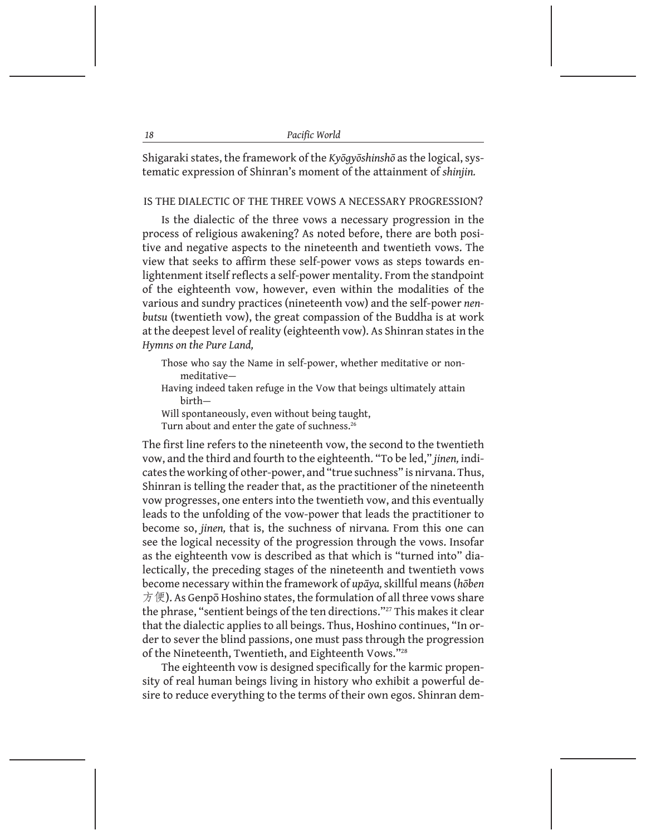Shigaraki states, the framework of the *Kyōgyōshinshō* as the logical, systematic expression of Shinran's moment of the attainment of *shinjin.*

#### IS THE DIALECTIC OF THE THREE VOWS A NECESSARY PROGRESSION?

Is the dialectic of the three vows a necessary progression in the process of religious awakening? As noted before, there are both positive and negative aspects to the nineteenth and twentieth vows. The view that seeks to affirm these self-power vows as steps towards enlightenment itself reflects a self-power mentality. From the standpoint of the eighteenth vow, however, even within the modalities of the various and sundry practices (nineteenth vow) and the self-power *nenbutsu* (twentieth vow), the great compassion of the Buddha is at work at the deepest level of reality (eighteenth vow). As Shinran states in the *Hymns on the Pure Land,* 

- Those who say the Name in self-power, whether meditative or nonmeditative—
- Having indeed taken refuge in the Vow that beings ultimately attain birth—
- Will spontaneously, even without being taught,
- Turn about and enter the gate of suchness.<sup>26</sup>

The first line refers to the nineteenth vow, the second to the twentieth vow, and the third and fourth to the eighteenth. "To be led," *jinen,* indicates the working of other-power, and "true suchness" is nirvana. Thus, Shinran is telling the reader that, as the practitioner of the nineteenth vow progresses, one enters into the twentieth vow, and this eventually leads to the unfolding of the vow-power that leads the practitioner to become so, *jinen,* that is, the suchness of nirvana*.* From this one can see the logical necessity of the progression through the vows. Insofar as the eighteenth vow is described as that which is "turned into" dialectically, the preceding stages of the nineteenth and twentieth vows become necessary within the framework of *upāya,* skillful means (*hōben* 方便). As Genpō Hoshino states, the formulation of all three vows share the phrase, "sentient beings of the ten directions."<sup>27</sup> This makes it clear that the dialectic applies to all beings. Thus, Hoshino continues, "In order to sever the blind passions, one must pass through the progression of the Nineteenth, Twentieth, and Eighteenth Vows."28

The eighteenth vow is designed specifically for the karmic propensity of real human beings living in history who exhibit a powerful desire to reduce everything to the terms of their own egos. Shinran dem-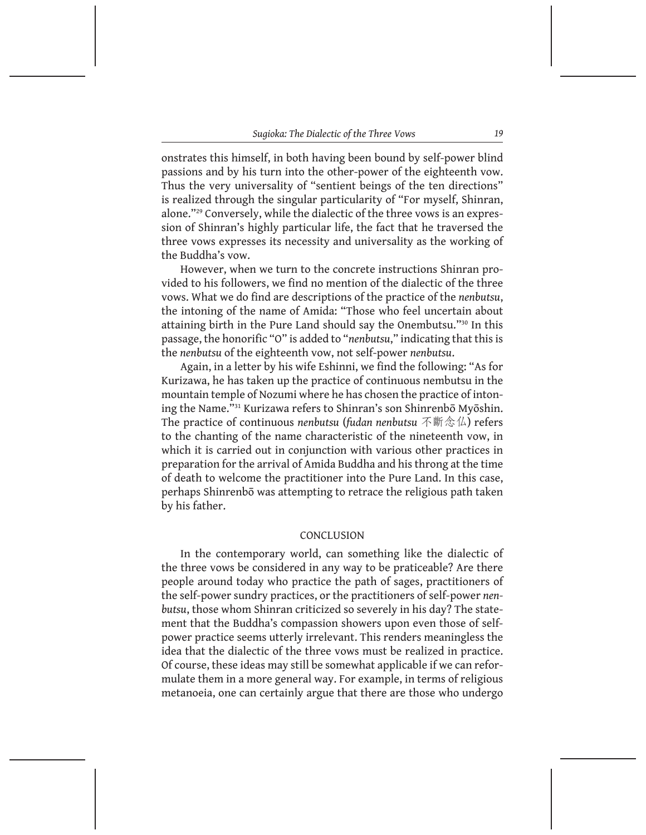onstrates this himself, in both having been bound by self-power blind passions and by his turn into the other-power of the eighteenth vow. Thus the very universality of "sentient beings of the ten directions" is realized through the singular particularity of "For myself, Shinran, alone."29 Conversely, while the dialectic of the three vows is an expression of Shinran's highly particular life, the fact that he traversed the three vows expresses its necessity and universality as the working of the Buddha's vow.

However, when we turn to the concrete instructions Shinran provided to his followers, we find no mention of the dialectic of the three vows. What we do find are descriptions of the practice of the *nenbutsu*, the intoning of the name of Amida: "Those who feel uncertain about attaining birth in the Pure Land should say the Onembutsu."30 In this passage, the honorific "O" is added to "*nenbutsu*," indicating that this is the *nenbutsu* of the eighteenth vow, not self-power *nenbutsu*.

Again, in a letter by his wife Eshinni, we find the following: "As for Kurizawa, he has taken up the practice of continuous nembutsu in the mountain temple of Nozumi where he has chosen the practice of intoning the Name."31 Kurizawa refers to Shinran's son Shinrenbō Myōshin. The practice of continuous *nenbutsu* (*fudan nenbutsu* 不斷念仏) refers to the chanting of the name characteristic of the nineteenth vow, in which it is carried out in conjunction with various other practices in preparation for the arrival of Amida Buddha and his throng at the time of death to welcome the practitioner into the Pure Land. In this case, perhaps Shinrenbō was attempting to retrace the religious path taken by his father.

#### CONCLUSION

In the contemporary world, can something like the dialectic of the three vows be considered in any way to be praticeable? Are there people around today who practice the path of sages, practitioners of the self-power sundry practices, or the practitioners of self-power *nenbutsu*, those whom Shinran criticized so severely in his day? The statement that the Buddha's compassion showers upon even those of selfpower practice seems utterly irrelevant. This renders meaningless the idea that the dialectic of the three vows must be realized in practice. Of course, these ideas may still be somewhat applicable if we can reformulate them in a more general way. For example, in terms of religious metanoeia, one can certainly argue that there are those who undergo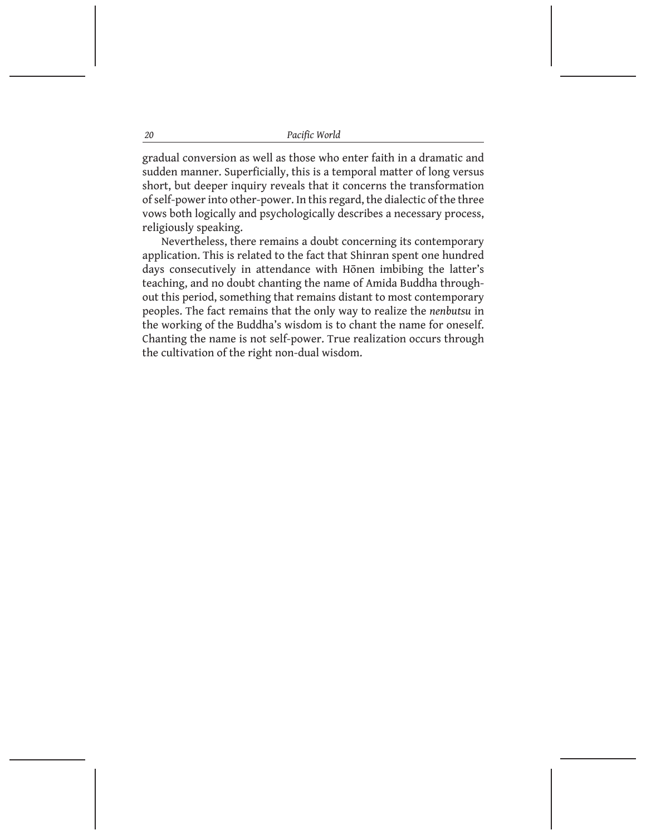gradual conversion as well as those who enter faith in a dramatic and sudden manner. Superficially, this is a temporal matter of long versus short, but deeper inquiry reveals that it concerns the transformation of self-power into other-power. In this regard, the dialectic of the three vows both logically and psychologically describes a necessary process, religiously speaking.

Nevertheless, there remains a doubt concerning its contemporary application. This is related to the fact that Shinran spent one hundred days consecutively in attendance with Hōnen imbibing the latter's teaching, and no doubt chanting the name of Amida Buddha throughout this period, something that remains distant to most contemporary peoples. The fact remains that the only way to realize the *nenbutsu* in the working of the Buddha's wisdom is to chant the name for oneself. Chanting the name is not self-power. True realization occurs through the cultivation of the right non-dual wisdom.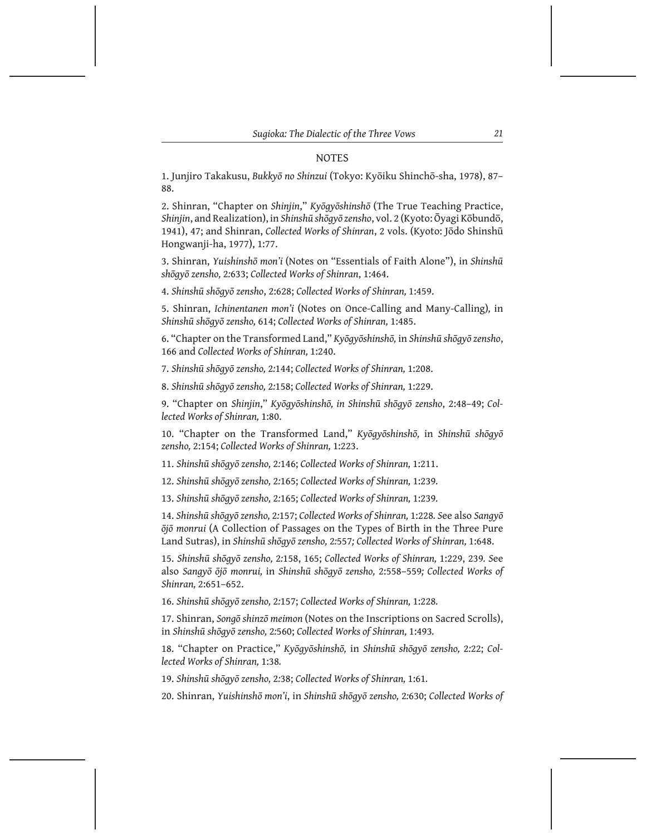#### **NOTES**

1. Junjiro Takakusu, *Bukkyō no Shinzui* (Tokyo: Kyōiku Shinchō-sha, 1978), 87– 88.

2. Shinran, "Chapter on *Shinjin*," *Kyōgyōshinshō* (The True Teaching Practice, *Shinjin*, and Realization), in *Shinshū shōgyō zensho*, vol. 2 (Kyoto: Ōyagi Kōbundō, 1941), 47; and Shinran, *Collected Works of Shinran*, 2 vols. (Kyoto: Jōdo Shinshū Hongwanji-ha, 1977), 1:77.

3. Shinran, *Yuishinshō mon'i* (Notes on "Essentials of Faith Alone"), in *Shinshū shōgyō zensho,* 2*:*633; *Collected Works of Shinran*, 1:464.

4. *Shinshū shōgyō zensho*, 2:628; *Collected Works of Shinran,* 1:459.

5. Shinran, *Ichinentanen mon'i* (Notes on Once-Calling and Many-Calling)*,* in *Shinshū shōgyō zensho,* 614; *Collected Works of Shinran,* 1:485.

6. "Chapter on the Transformed Land," *Kyōgyōshinshō,* in *Shinshū shōgyō zensho*, 166 and *Collected Works of Shinran,* 1:240.

7. *Shinshū shōgyō zensho,* 2*:*144; *Collected Works of Shinran,* 1:208.

8. *Shinshū shōgyō zensho,* 2*:*158; *Collected Works of Shinran,* 1:229.

9. "Chapter on *Shinjin*," *Kyōgyōshinshō, in Shinshū shōgyō zensho*, 2:48–49; *Collected Works of Shinran,* 1:80.

10. "Chapter on the Transformed Land," *Kyōgyōshinshō,* in *Shinshū shōgyō zensho,* 2:154; *Collected Works of Shinran,* 1:223.

11. *Shinshū shōgyō zensho,* 2*:*146; *Collected Works of Shinran,* 1:211.

12. *Shinshū shōgyō zensho,* 2*:*165; *Collected Works of Shinran,* 1:239*.*

13. *Shinshū shōgyō zensho,* 2*:*165; *Collected Works of Shinran,* 1:239*.*

14. *Shinshū shōgyō zensho,* 2*:*157; *Collected Works of Shinran,* 1:228*. S*ee also *Sangyō ōjō monrui* (A Collection of Passages on the Types of Birth in the Three Pure Land Sutras), in *Shinshū shōgyō zensho,* 2*:*557*; Collected Works of Shinran,* 1:648.

15. *Shinshū shōgyō zensho,* 2*:*158, 165; *Collected Works of Shinran,* 1:229, 239*. S*ee also *Sangyō ōjō monrui,* in *Shinshū shōgyō zensho,* 2:558–559*; Collected Works of Shinran,* 2:651–652.

16. *Shinshū shōgyō zensho,* 2*:*157; *Collected Works of Shinran,* 1:228*.*

17. Shinran, *Songō shinzō meimon* (Notes on the Inscriptions on Sacred Scrolls), in *Shinshū shōgyō zensho,* 2*:*560; *Collected Works of Shinran,* 1:493*.*

18. "Chapter on Practice," *Kyōgyōshinshō,* in *Shinshū shōgyō zensho,* 2*:*22; *Collected Works of Shinran,* 1:38*.*

19. *Shinshū shōgyō zensho,* 2*:*38; *Collected Works of Shinran,* 1:61*.*

20. Shinran, *Yuishinshō mon'i*, in *Shinshū shōgyō zensho,* 2*:*630; *Collected Works of*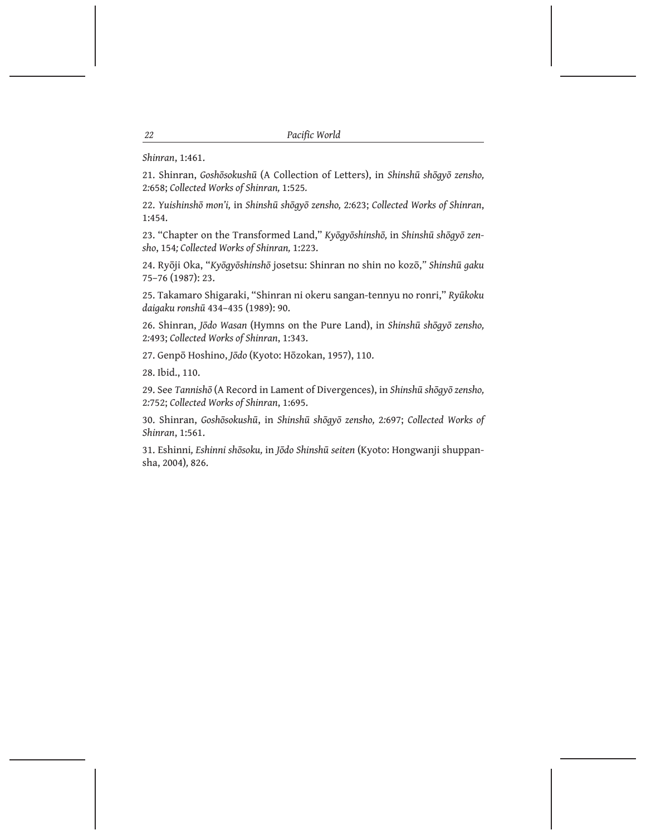*Shinran*, 1:461.

21. Shinran, *Goshōsokushū* (A Collection of Letters), in *Shinshū shōgyō zensho,*  2*:*658; *Collected Works of Shinran,* 1:525*.*

22. *Yuishinshō mon'i,* in *Shinshū shōgyō zensho,* 2*:*623; *Collected Works of Shinran*, 1:454.

23. "Chapter on the Transformed Land," *Kyōgyōshinshō,* in *Shinshū shōgyō zensho*, 154*; Collected Works of Shinran,* 1:223.

24. Ryōji Oka, "*Kyōgyōshinshō* josetsu: Shinran no shin no kozō,*" Shinshū gaku* 75–76 (1987): 23.

25. Takamaro Shigaraki, "Shinran ni okeru sangan-tennyu no ronri," *Ryūkoku daigaku ronshū* 434–435 (1989): 90.

26. Shinran, *Jōdo Wasan* (Hymns on the Pure Land), in *Shinshū shōgyō zensho,*  2*:*493; *Collected Works of Shinran*, 1:343.

27. Genpō Hoshino, *Jōdo* (Kyoto: Hōzokan, 1957), 110.

28. Ibid., 110.

29. See *Tannishō* (A Record in Lament of Divergences), in *Shinshū shōgyō zensho,*  2*:*752; *Collected Works of Shinran*, 1:695.

30. Shinran, *Goshōsokushū*, in *Shinshū shōgyō zensho,* 2*:*697; *Collected Works of Shinran*, 1:561.

31. Eshinni*, Eshinni shōsoku,* in *Jōdo Shinshū seiten* (Kyoto: Hongwanji shuppansha, 2004)*,* 826.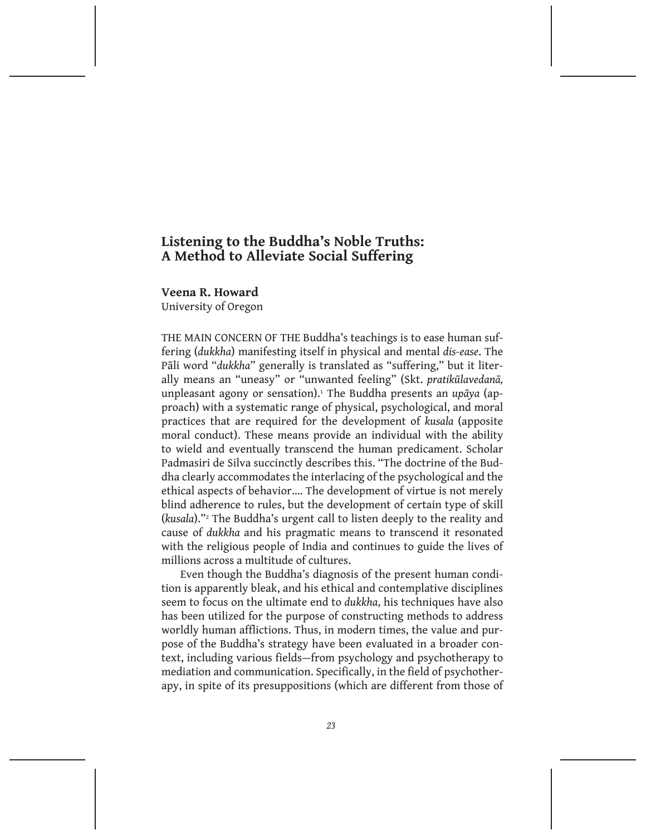# **Listening to the Buddha's Noble Truths: A Method to Alleviate Social Suffering**

#### **Veena R. Howard**

University of Oregon

THE MAIN CONCERN OF THE Buddha's teachings is to ease human suffering (*dukkha*) manifesting itself in physical and mental *dis-ease*. The Pāli word "*dukkha*" generally is translated as "suffering," but it literally means an "uneasy" or "unwanted feeling" (Skt. *pratikūlavedanā,*  unpleasant agony or sensation).1 The Buddha presents an *upāya* (approach) with a systematic range of physical, psychological, and moral practices that are required for the development of *kusala* (apposite moral conduct). These means provide an individual with the ability to wield and eventually transcend the human predicament. Scholar Padmasiri de Silva succinctly describes this. "The doctrine of the Buddha clearly accommodates the interlacing of the psychological and the ethical aspects of behavior…. The development of virtue is not merely blind adherence to rules, but the development of certain type of skill (*kusala*)."2 The Buddha's urgent call to listen deeply to the reality and cause of *dukkha* and his pragmatic means to transcend it resonated with the religious people of India and continues to guide the lives of millions across a multitude of cultures.

Even though the Buddha's diagnosis of the present human condition is apparently bleak, and his ethical and contemplative disciplines seem to focus on the ultimate end to *dukkha*, his techniques have also has been utilized for the purpose of constructing methods to address worldly human afflictions. Thus, in modern times, the value and purpose of the Buddha's strategy have been evaluated in a broader context, including various fields—from psychology and psychotherapy to mediation and communication. Specifically, in the field of psychotherapy, in spite of its presuppositions (which are different from those of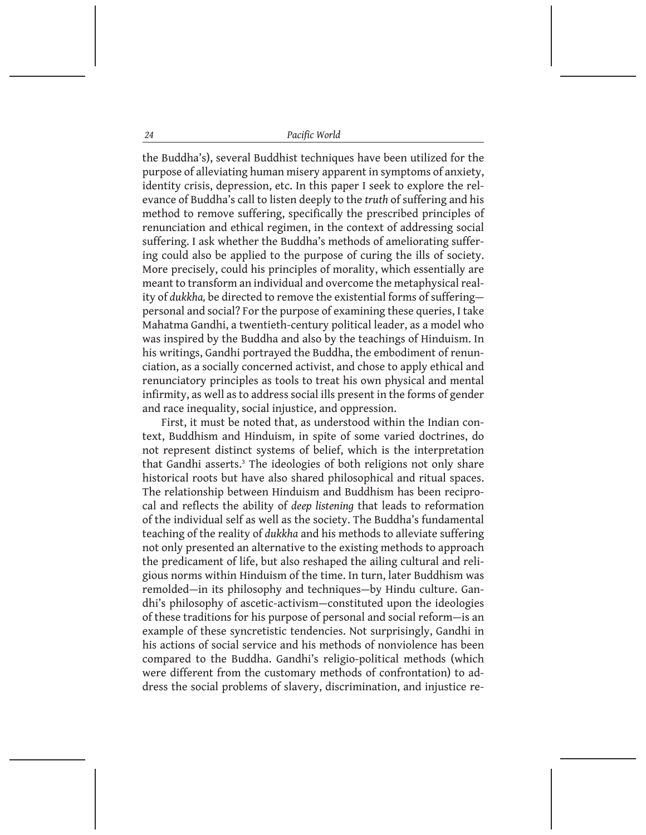the Buddha's), several Buddhist techniques have been utilized for the purpose of alleviating human misery apparent in symptoms of anxiety, identity crisis, depression, etc. In this paper I seek to explore the relevance of Buddha's call to listen deeply to the *truth* of suffering and his method to remove suffering, specifically the prescribed principles of renunciation and ethical regimen, in the context of addressing social suffering. I ask whether the Buddha's methods of ameliorating suffering could also be applied to the purpose of curing the ills of society. More precisely, could his principles of morality, which essentially are meant to transform an individual and overcome the metaphysical reality of *dukkha,* be directed to remove the existential forms of suffering personal and social? For the purpose of examining these queries, I take Mahatma Gandhi, a twentieth-century political leader, as a model who was inspired by the Buddha and also by the teachings of Hinduism. In his writings, Gandhi portrayed the Buddha, the embodiment of renunciation, as a socially concerned activist, and chose to apply ethical and renunciatory principles as tools to treat his own physical and mental infirmity, as well as to address social ills present in the forms of gender and race inequality, social injustice, and oppression.

First, it must be noted that, as understood within the Indian context, Buddhism and Hinduism, in spite of some varied doctrines, do not represent distinct systems of belief, which is the interpretation that Gandhi asserts.<sup>3</sup> The ideologies of both religions not only share historical roots but have also shared philosophical and ritual spaces. The relationship between Hinduism and Buddhism has been reciprocal and reflects the ability of *deep listening* that leads to reformation of the individual self as well as the society. The Buddha's fundamental teaching of the reality of *dukkha* and his methods to alleviate suffering not only presented an alternative to the existing methods to approach the predicament of life, but also reshaped the ailing cultural and religious norms within Hinduism of the time. In turn, later Buddhism was remolded—in its philosophy and techniques—by Hindu culture. Gandhi's philosophy of ascetic-activism—constituted upon the ideologies of these traditions for his purpose of personal and social reform—is an example of these syncretistic tendencies. Not surprisingly, Gandhi in his actions of social service and his methods of nonviolence has been compared to the Buddha. Gandhi's religio-political methods (which were different from the customary methods of confrontation) to address the social problems of slavery, discrimination, and injustice re-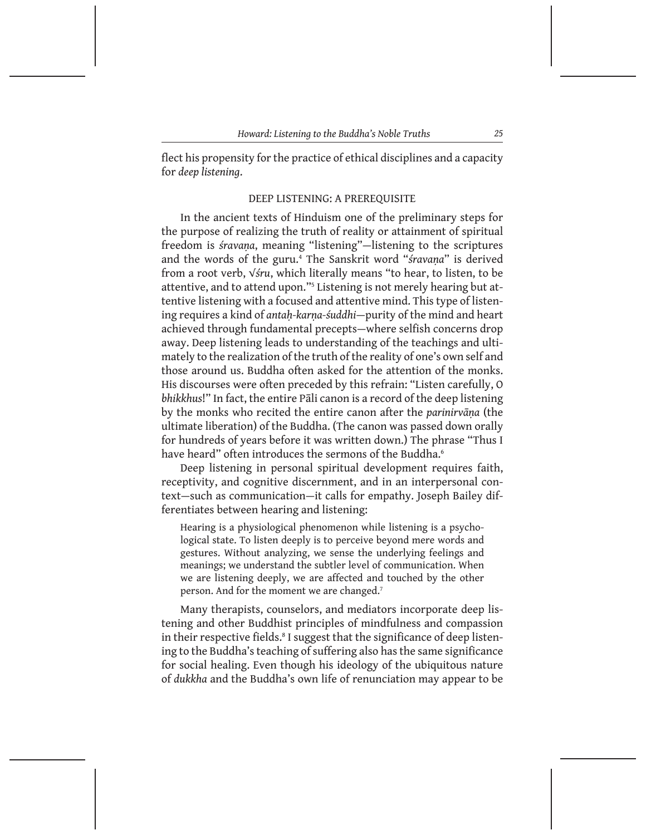flect his propensity for the practice of ethical disciplines and a capacity for *deep listening*.

#### DEEP LISTENING: A PREREQUISITE

In the ancient texts of Hinduism one of the preliminary steps for the purpose of realizing the truth of reality or attainment of spiritual freedom is *śravaṇa*, meaning "listening"—listening to the scriptures and the words of the guru.<sup>4</sup> The Sanskrit word "*śravaṇa*" is derived from a root verb, √*śru*, which literally means "to hear, to listen, to be attentive, and to attend upon."<sup>5</sup> Listening is not merely hearing but attentive listening with a focused and attentive mind. This type of listening requires a kind of *antaḥ-karṇa-śuddhi*—purity of the mind and heart achieved through fundamental precepts—where selfish concerns drop away. Deep listening leads to understanding of the teachings and ultimately to the realization of the truth of the reality of one's own self and those around us. Buddha often asked for the attention of the monks. His discourses were often preceded by this refrain: "Listen carefully, O *bhikkhus*!" In fact, the entire Pāli canon is a record of the deep listening by the monks who recited the entire canon after the *parinirvāṇa* (the ultimate liberation) of the Buddha. (The canon was passed down orally for hundreds of years before it was written down.) The phrase "Thus I have heard" often introduces the sermons of the Buddha.<sup>6</sup>

Deep listening in personal spiritual development requires faith, receptivity, and cognitive discernment, and in an interpersonal context—such as communication—it calls for empathy. Joseph Bailey differentiates between hearing and listening:

Hearing is a physiological phenomenon while listening is a psychological state. To listen deeply is to perceive beyond mere words and gestures. Without analyzing, we sense the underlying feelings and meanings; we understand the subtler level of communication. When we are listening deeply, we are affected and touched by the other person. And for the moment we are changed.<sup>7</sup>

Many therapists, counselors, and mediators incorporate deep listening and other Buddhist principles of mindfulness and compassion in their respective fields.<sup>8</sup> I suggest that the significance of deep listening to the Buddha's teaching of suffering also has the same significance for social healing. Even though his ideology of the ubiquitous nature of *dukkha* and the Buddha's own life of renunciation may appear to be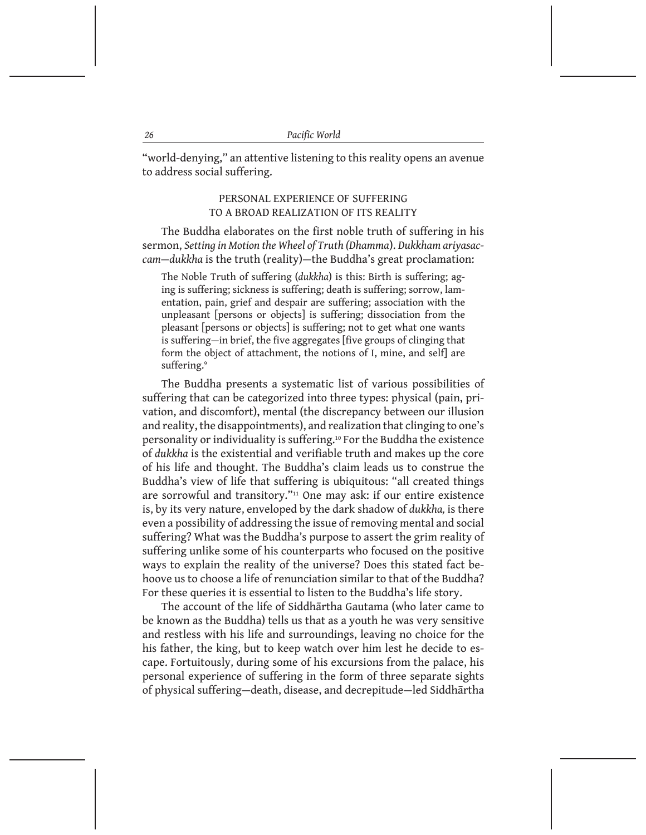"world-denying," an attentive listening to this reality opens an avenue to address social suffering.

# PERSONAL EXPERIENCE OF SUFFERING TO A BROAD REALIZATION OF ITS REALITY

The Buddha elaborates on the first noble truth of suffering in his sermon, *Setting in Motion the Wheel of Truth (Dhamma*). *Dukkham ariyasaccam—dukkha* is the truth (reality)—the Buddha's great proclamation:

The Noble Truth of suffering (*dukkha*) is this: Birth is suffering; aging is suffering; sickness is suffering; death is suffering; sorrow, lamentation, pain, grief and despair are suffering; association with the unpleasant [persons or objects] is suffering; dissociation from the pleasant [persons or objects] is suffering; not to get what one wants is suffering—in brief, the five aggregates [five groups of clinging that form the object of attachment, the notions of I, mine, and self] are suffering.<sup>9</sup>

The Buddha presents a systematic list of various possibilities of suffering that can be categorized into three types: physical (pain, privation, and discomfort), mental (the discrepancy between our illusion and reality, the disappointments), and realization that clinging to one's personality or individuality is suffering.10 For the Buddha the existence of *dukkha* is the existential and verifiable truth and makes up the core of his life and thought. The Buddha's claim leads us to construe the Buddha's view of life that suffering is ubiquitous: "all created things are sorrowful and transitory."11 One may ask: if our entire existence is, by its very nature, enveloped by the dark shadow of *dukkha,* is there even a possibility of addressing the issue of removing mental and social suffering? What was the Buddha's purpose to assert the grim reality of suffering unlike some of his counterparts who focused on the positive ways to explain the reality of the universe? Does this stated fact behoove us to choose a life of renunciation similar to that of the Buddha? For these queries it is essential to listen to the Buddha's life story.

The account of the life of Siddhārtha Gautama (who later came to be known as the Buddha) tells us that as a youth he was very sensitive and restless with his life and surroundings, leaving no choice for the his father, the king, but to keep watch over him lest he decide to escape. Fortuitously, during some of his excursions from the palace, his personal experience of suffering in the form of three separate sights of physical suffering—death, disease, and decrepitude—led Siddhārtha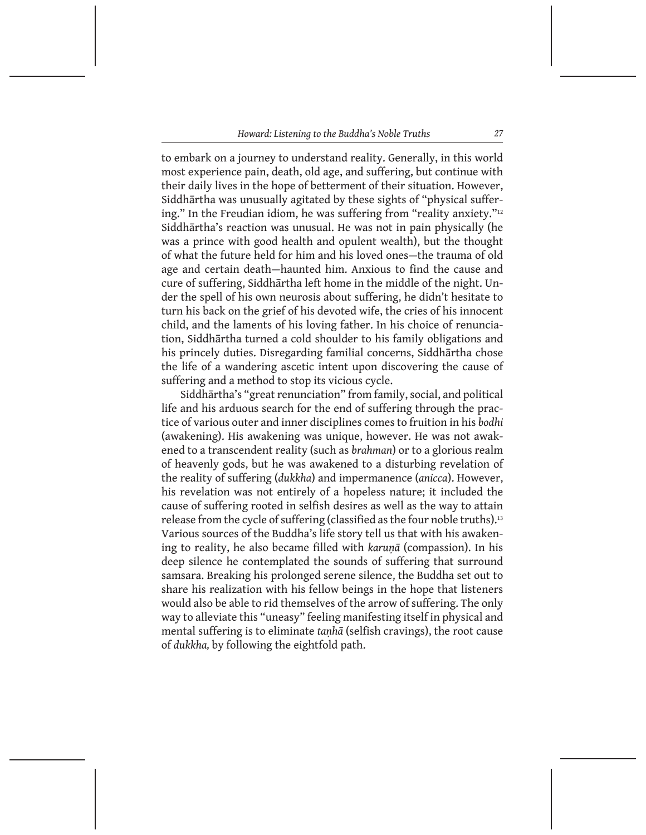to embark on a journey to understand reality. Generally, in this world most experience pain, death, old age, and suffering, but continue with their daily lives in the hope of betterment of their situation. However, Siddhārtha was unusually agitated by these sights of "physical suffering." In the Freudian idiom, he was suffering from "reality anxiety."<sup>12</sup> Siddhārtha's reaction was unusual. He was not in pain physically (he was a prince with good health and opulent wealth), but the thought of what the future held for him and his loved ones—the trauma of old age and certain death—haunted him. Anxious to find the cause and cure of suffering, Siddhārtha left home in the middle of the night. Under the spell of his own neurosis about suffering, he didn't hesitate to turn his back on the grief of his devoted wife, the cries of his innocent child, and the laments of his loving father. In his choice of renunciation, Siddhārtha turned a cold shoulder to his family obligations and his princely duties. Disregarding familial concerns, Siddhārtha chose the life of a wandering ascetic intent upon discovering the cause of suffering and a method to stop its vicious cycle.

Siddhārtha's "great renunciation" from family, social, and political life and his arduous search for the end of suffering through the practice of various outer and inner disciplines comes to fruition in his *bodhi*  (awakening). His awakening was unique, however. He was not awakened to a transcendent reality (such as *brahman*) or to a glorious realm of heavenly gods, but he was awakened to a disturbing revelation of the reality of suffering (*dukkha*) and impermanence (*anicca*). However, his revelation was not entirely of a hopeless nature; it included the cause of suffering rooted in selfish desires as well as the way to attain release from the cycle of suffering (classified as the four noble truths).<sup>13</sup> Various sources of the Buddha's life story tell us that with his awakening to reality, he also became filled with *karuṇā* (compassion). In his deep silence he contemplated the sounds of suffering that surround samsara. Breaking his prolonged serene silence, the Buddha set out to share his realization with his fellow beings in the hope that listeners would also be able to rid themselves of the arrow of suffering. The only way to alleviate this "uneasy" feeling manifesting itself in physical and mental suffering is to eliminate *taṇhā* (selfish cravings), the root cause of *dukkha,* by following the eightfold path.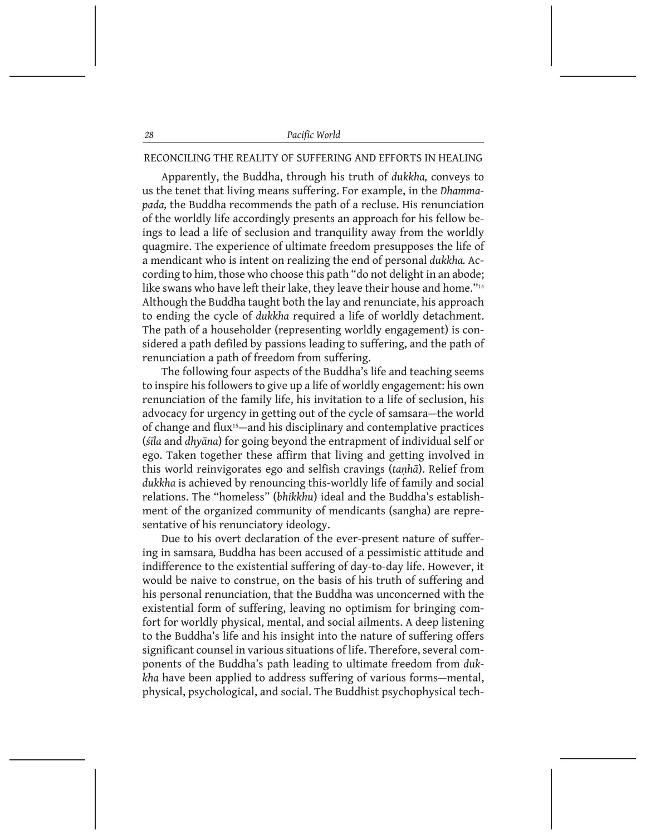RECONCILING THE REALITY OF SUFFERING AND EFFORTS IN HEALING

Apparently, the Buddha, through his truth of *dukkha,* conveys to us the tenet that living means suffering. For example, in the *Dhammapada,* the Buddha recommends the path of a recluse. His renunciation of the worldly life accordingly presents an approach for his fellow beings to lead a life of seclusion and tranquility away from the worldly quagmire. The experience of ultimate freedom presupposes the life of a mendicant who is intent on realizing the end of personal *dukkha.* According to him, those who choose this path "do not delight in an abode; like swans who have left their lake, they leave their house and home."<sup>14</sup> Although the Buddha taught both the lay and renunciate, his approach to ending the cycle of *dukkha* required a life of worldly detachment. The path of a householder (representing worldly engagement) is considered a path defiled by passions leading to suffering, and the path of renunciation a path of freedom from suffering.

The following four aspects of the Buddha's life and teaching seems to inspire his followers to give up a life of worldly engagement: his own renunciation of the family life, his invitation to a life of seclusion, his advocacy for urgency in getting out of the cycle of samsara—the world of change and flux15—and his disciplinary and contemplative practices (*śīla* and *dhyāna*) for going beyond the entrapment of individual self or ego. Taken together these affirm that living and getting involved in this world reinvigorates ego and selfish cravings (*taṇhā*). Relief from *dukkha* is achieved by renouncing this-worldly life of family and social relations. The "homeless" (*bhikkhu*) ideal and the Buddha's establishment of the organized community of mendicants (sangha) are representative of his renunciatory ideology.

Due to his overt declaration of the ever-present nature of suffering in samsara*,* Buddha has been accused of a pessimistic attitude and indifference to the existential suffering of day-to-day life. However, it would be naive to construe, on the basis of his truth of suffering and his personal renunciation, that the Buddha was unconcerned with the existential form of suffering, leaving no optimism for bringing comfort for worldly physical, mental, and social ailments. A deep listening to the Buddha's life and his insight into the nature of suffering offers significant counsel in various situations of life. Therefore, several components of the Buddha's path leading to ultimate freedom from *dukkha* have been applied to address suffering of various forms—mental, physical, psychological, and social. The Buddhist psychophysical tech-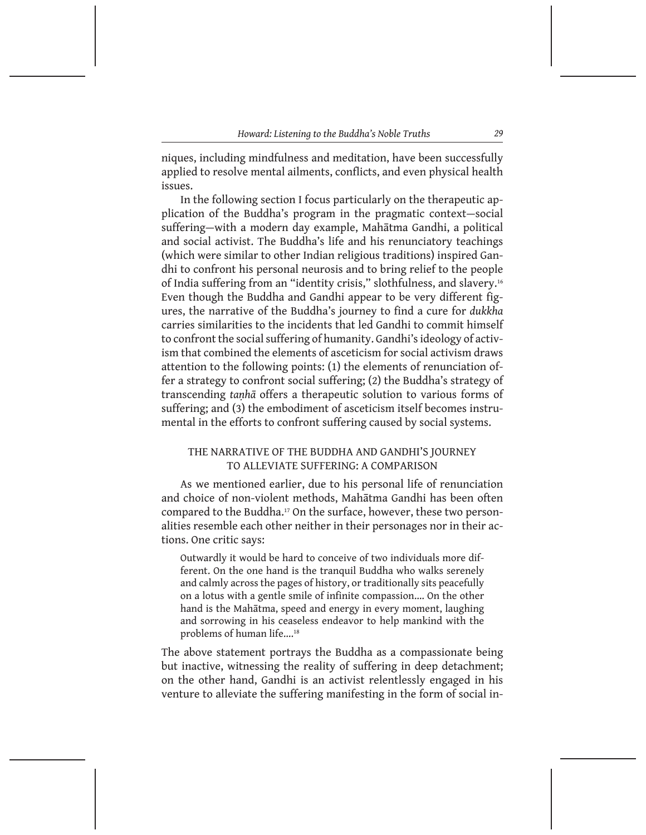niques, including mindfulness and meditation, have been successfully applied to resolve mental ailments, conflicts, and even physical health issues.

In the following section I focus particularly on the therapeutic application of the Buddha's program in the pragmatic context—social suffering—with a modern day example, Mahātma Gandhi, a political and social activist. The Buddha's life and his renunciatory teachings (which were similar to other Indian religious traditions) inspired Gandhi to confront his personal neurosis and to bring relief to the people of India suffering from an "identity crisis," slothfulness, and slavery.<sup>16</sup> Even though the Buddha and Gandhi appear to be very different figures, the narrative of the Buddha's journey to find a cure for *dukkha*  carries similarities to the incidents that led Gandhi to commit himself to confront the social suffering of humanity. Gandhi's ideology of activism that combined the elements of asceticism for social activism draws attention to the following points: (1) the elements of renunciation offer a strategy to confront social suffering; (2) the Buddha's strategy of transcending *taṇhā* offers a therapeutic solution to various forms of suffering; and (3) the embodiment of asceticism itself becomes instrumental in the efforts to confront suffering caused by social systems.

# THE NARRATIVE OF THE BUDDHA AND GANDHI'S JOURNEY TO ALLEVIATE SUFFERING: A COMPARISON

As we mentioned earlier, due to his personal life of renunciation and choice of non-violent methods, Mahātma Gandhi has been often compared to the Buddha.17 On the surface, however, these two personalities resemble each other neither in their personages nor in their actions. One critic says:

Outwardly it would be hard to conceive of two individuals more different. On the one hand is the tranquil Buddha who walks serenely and calmly across the pages of history, or traditionally sits peacefully on a lotus with a gentle smile of infinite compassion…. On the other hand is the Mahātma, speed and energy in every moment, laughing and sorrowing in his ceaseless endeavor to help mankind with the problems of human life....<sup>18</sup>

The above statement portrays the Buddha as a compassionate being but inactive, witnessing the reality of suffering in deep detachment; on the other hand, Gandhi is an activist relentlessly engaged in his venture to alleviate the suffering manifesting in the form of social in-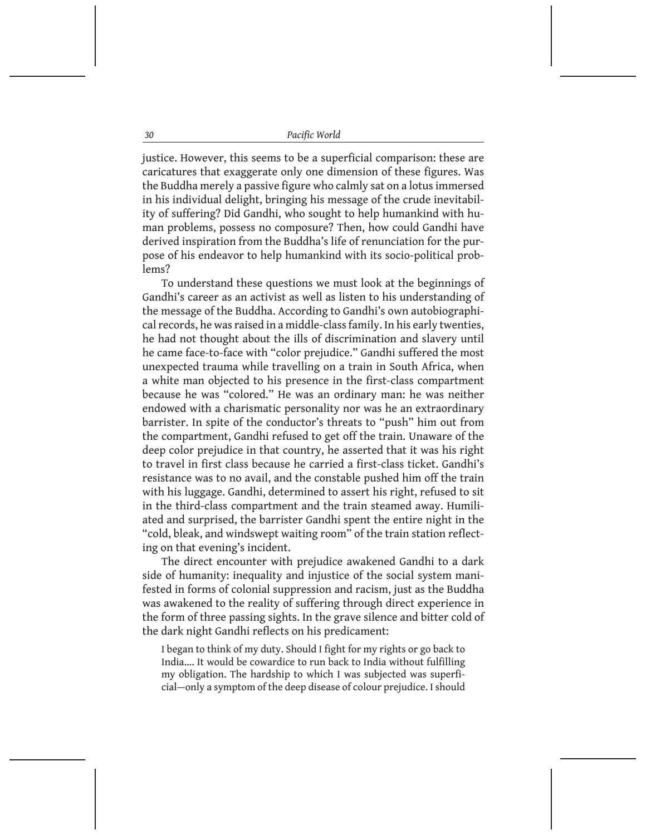justice. However, this seems to be a superficial comparison: these are caricatures that exaggerate only one dimension of these figures. Was the Buddha merely a passive figure who calmly sat on a lotus immersed in his individual delight, bringing his message of the crude inevitability of suffering? Did Gandhi, who sought to help humankind with human problems, possess no composure? Then, how could Gandhi have derived inspiration from the Buddha's life of renunciation for the purpose of his endeavor to help humankind with its socio-political problems?

To understand these questions we must look at the beginnings of Gandhi's career as an activist as well as listen to his understanding of the message of the Buddha. According to Gandhi's own autobiographical records, he was raised in a middle-class family. In his early twenties, he had not thought about the ills of discrimination and slavery until he came face-to-face with "color prejudice." Gandhi suffered the most unexpected trauma while travelling on a train in South Africa, when a white man objected to his presence in the first-class compartment because he was "colored." He was an ordinary man: he was neither endowed with a charismatic personality nor was he an extraordinary barrister. In spite of the conductor's threats to "push" him out from the compartment, Gandhi refused to get off the train. Unaware of the deep color prejudice in that country, he asserted that it was his right to travel in first class because he carried a first-class ticket. Gandhi's resistance was to no avail, and the constable pushed him off the train with his luggage. Gandhi, determined to assert his right, refused to sit in the third-class compartment and the train steamed away. Humiliated and surprised, the barrister Gandhi spent the entire night in the "cold, bleak, and windswept waiting room" of the train station reflecting on that evening's incident.

The direct encounter with prejudice awakened Gandhi to a dark side of humanity: inequality and injustice of the social system manifested in forms of colonial suppression and racism, just as the Buddha was awakened to the reality of suffering through direct experience in the form of three passing sights. In the grave silence and bitter cold of the dark night Gandhi reflects on his predicament:

I began to think of my duty. Should I fight for my rights or go back to India…. It would be cowardice to run back to India without fulfilling my obligation. The hardship to which I was subjected was superficial—only a symptom of the deep disease of colour prejudice. I should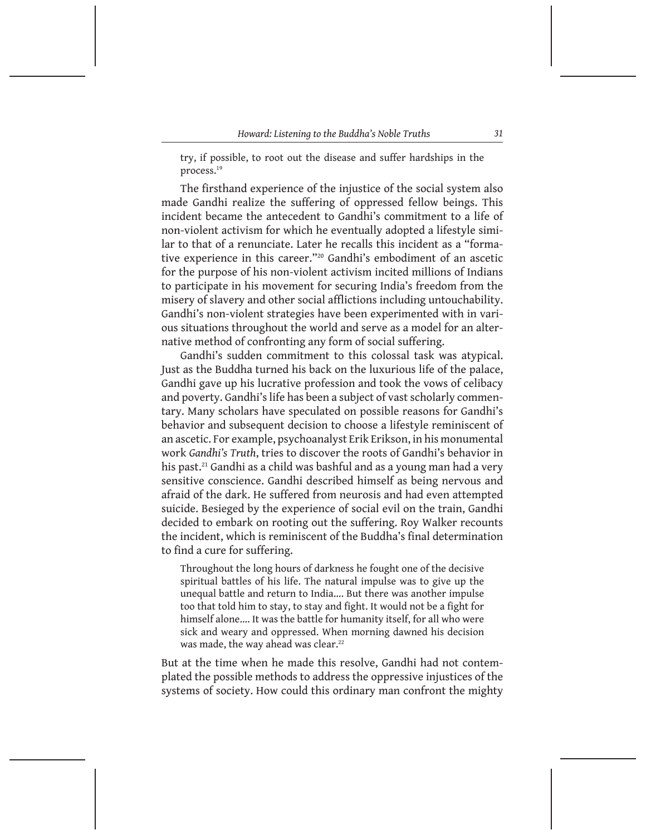try, if possible, to root out the disease and suffer hardships in the process.19

The firsthand experience of the injustice of the social system also made Gandhi realize the suffering of oppressed fellow beings. This incident became the antecedent to Gandhi's commitment to a life of non-violent activism for which he eventually adopted a lifestyle similar to that of a renunciate. Later he recalls this incident as a "formative experience in this career."20 Gandhi's embodiment of an ascetic for the purpose of his non-violent activism incited millions of Indians to participate in his movement for securing India's freedom from the misery of slavery and other social afflictions including untouchability. Gandhi's non-violent strategies have been experimented with in various situations throughout the world and serve as a model for an alternative method of confronting any form of social suffering.

Gandhi's sudden commitment to this colossal task was atypical. Just as the Buddha turned his back on the luxurious life of the palace, Gandhi gave up his lucrative profession and took the vows of celibacy and poverty. Gandhi's life has been a subject of vast scholarly commentary. Many scholars have speculated on possible reasons for Gandhi's behavior and subsequent decision to choose a lifestyle reminiscent of an ascetic. For example, psychoanalyst Erik Erikson, in his monumental work *Gandhi's Truth*, tries to discover the roots of Gandhi's behavior in his past.<sup>21</sup> Gandhi as a child was bashful and as a young man had a very sensitive conscience. Gandhi described himself as being nervous and afraid of the dark. He suffered from neurosis and had even attempted suicide. Besieged by the experience of social evil on the train, Gandhi decided to embark on rooting out the suffering. Roy Walker recounts the incident, which is reminiscent of the Buddha's final determination to find a cure for suffering.

Throughout the long hours of darkness he fought one of the decisive spiritual battles of his life. The natural impulse was to give up the unequal battle and return to India…. But there was another impulse too that told him to stay, to stay and fight. It would not be a fight for himself alone…. It was the battle for humanity itself, for all who were sick and weary and oppressed. When morning dawned his decision was made, the way ahead was clear.<sup>22</sup>

But at the time when he made this resolve, Gandhi had not contemplated the possible methods to address the oppressive injustices of the systems of society. How could this ordinary man confront the mighty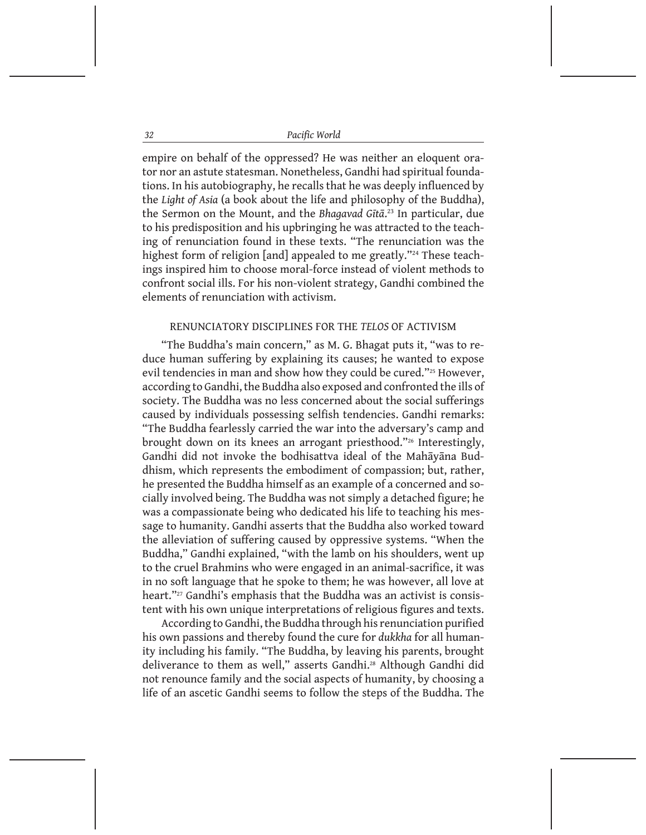empire on behalf of the oppressed? He was neither an eloquent orator nor an astute statesman. Nonetheless, Gandhi had spiritual foundations. In his autobiography, he recalls that he was deeply influenced by the *Light of Asia* (a book about the life and philosophy of the Buddha), the Sermon on the Mount, and the *Bhagavad Gītā*. <sup>23</sup> In particular, due to his predisposition and his upbringing he was attracted to the teaching of renunciation found in these texts. "The renunciation was the highest form of religion [and] appealed to me greatly."<sup>24</sup> These teachings inspired him to choose moral-force instead of violent methods to confront social ills. For his non-violent strategy, Gandhi combined the elements of renunciation with activism.

### RENUNCIATORY DISCIPLINES FOR THE *TELOS* OF ACTIVISM

"The Buddha's main concern," as M. G. Bhagat puts it, "was to reduce human suffering by explaining its causes; he wanted to expose evil tendencies in man and show how they could be cured."<sup>25</sup> However, according to Gandhi, the Buddha also exposed and confronted the ills of society. The Buddha was no less concerned about the social sufferings caused by individuals possessing selfish tendencies. Gandhi remarks: "The Buddha fearlessly carried the war into the adversary's camp and brought down on its knees an arrogant priesthood."26 Interestingly, Gandhi did not invoke the bodhisattva ideal of the Mahāyāna Buddhism, which represents the embodiment of compassion; but, rather, he presented the Buddha himself as an example of a concerned and socially involved being. The Buddha was not simply a detached figure; he was a compassionate being who dedicated his life to teaching his message to humanity. Gandhi asserts that the Buddha also worked toward the alleviation of suffering caused by oppressive systems. "When the Buddha," Gandhi explained, "with the lamb on his shoulders, went up to the cruel Brahmins who were engaged in an animal-sacrifice, it was in no soft language that he spoke to them; he was however, all love at heart."<sup>27</sup> Gandhi's emphasis that the Buddha was an activist is consistent with his own unique interpretations of religious figures and texts.

According to Gandhi, the Buddha through his renunciation purified his own passions and thereby found the cure for *dukkha* for all humanity including his family. "The Buddha, by leaving his parents, brought deliverance to them as well," asserts Gandhi.<sup>28</sup> Although Gandhi did not renounce family and the social aspects of humanity, by choosing a life of an ascetic Gandhi seems to follow the steps of the Buddha. The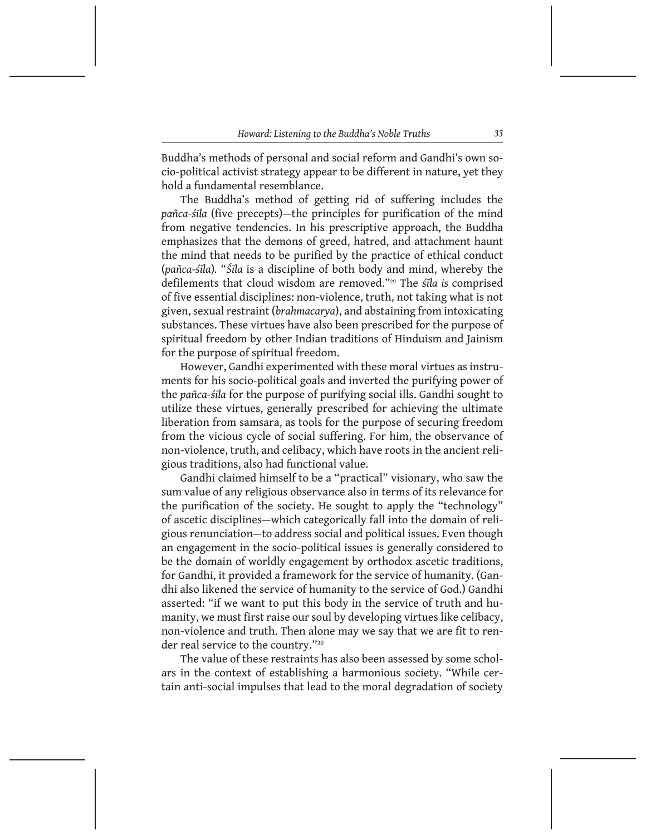Buddha's methods of personal and social reform and Gandhi's own socio-political activist strategy appear to be different in nature, yet they hold a fundamental resemblance.

The Buddha's method of getting rid of suffering includes the *pañca-śīla* (five precepts)—the principles for purification of the mind from negative tendencies. In his prescriptive approach, the Buddha emphasizes that the demons of greed, hatred, and attachment haunt the mind that needs to be purified by the practice of ethical conduct (*pañca-śīla*)*.* "*Śīla* is a discipline of both body and mind, whereby the defilements that cloud wisdom are removed."29 The *śīla is* comprised of five essential disciplines: non-violence, truth, not taking what is not given, sexual restraint (*brahmacarya*), and abstaining from intoxicating substances. These virtues have also been prescribed for the purpose of spiritual freedom by other Indian traditions of Hinduism and Jainism for the purpose of spiritual freedom.

However, Gandhi experimented with these moral virtues as instruments for his socio-political goals and inverted the purifying power of the *pañca-śīla* for the purpose of purifying social ills. Gandhi sought to utilize these virtues, generally prescribed for achieving the ultimate liberation from samsara, as tools for the purpose of securing freedom from the vicious cycle of social suffering. For him, the observance of non-violence, truth, and celibacy, which have roots in the ancient religious traditions, also had functional value.

Gandhi claimed himself to be a "practical" visionary, who saw the sum value of any religious observance also in terms of its relevance for the purification of the society. He sought to apply the "technology" of ascetic disciplines—which categorically fall into the domain of religious renunciation—to address social and political issues. Even though an engagement in the socio-political issues is generally considered to be the domain of worldly engagement by orthodox ascetic traditions, for Gandhi, it provided a framework for the service of humanity. (Gandhi also likened the service of humanity to the service of God.) Gandhi asserted: "if we want to put this body in the service of truth and humanity, we must first raise our soul by developing virtues like celibacy, non-violence and truth. Then alone may we say that we are fit to render real service to the country."30

The value of these restraints has also been assessed by some scholars in the context of establishing a harmonious society. "While certain anti-social impulses that lead to the moral degradation of society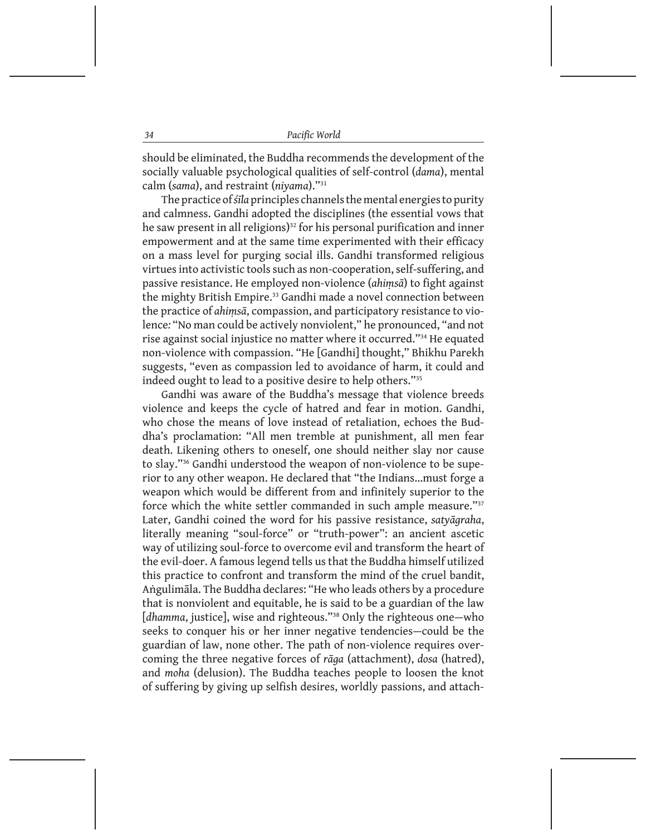should be eliminated, the Buddha recommends the development of the socially valuable psychological qualities of self-control (*dama*), mental calm (*sama*), and restraint (*niyama*)."31

The practice of *śīla* principles channels the mental energies to purity and calmness. Gandhi adopted the disciplines (the essential vows that he saw present in all religions)<sup>32</sup> for his personal purification and inner empowerment and at the same time experimented with their efficacy on a mass level for purging social ills. Gandhi transformed religious virtues into activistic tools such as non-cooperation, self-suffering, and passive resistance. He employed non-violence (*ahiṃsā*) to fight against the mighty British Empire.<sup>33</sup> Gandhi made a novel connection between the practice of *ahiṃsā*, compassion, and participatory resistance to violence*:* "No man could be actively nonviolent," he pronounced, "and not rise against social injustice no matter where it occurred."34 He equated non-violence with compassion. "He [Gandhi] thought," Bhikhu Parekh suggests, "even as compassion led to avoidance of harm, it could and indeed ought to lead to a positive desire to help others."35

Gandhi was aware of the Buddha's message that violence breeds violence and keeps the cycle of hatred and fear in motion. Gandhi, who chose the means of love instead of retaliation, echoes the Buddha's proclamation: "All men tremble at punishment, all men fear death. Likening others to oneself, one should neither slay nor cause to slay."36 Gandhi understood the weapon of non-violence to be superior to any other weapon. He declared that "the Indians…must forge a weapon which would be different from and infinitely superior to the force which the white settler commanded in such ample measure."<sup>37</sup> Later, Gandhi coined the word for his passive resistance, *satyāgraha*, literally meaning "soul-force" or "truth-power": an ancient ascetic way of utilizing soul-force to overcome evil and transform the heart of the evil-doer. A famous legend tells us that the Buddha himself utilized this practice to confront and transform the mind of the cruel bandit, Aṅgulimāla. The Buddha declares: "He who leads others by a procedure that is nonviolent and equitable, he is said to be a guardian of the law [*dhamma*, justice], wise and righteous."<sup>38</sup> Only the righteous one—who seeks to conquer his or her inner negative tendencies—could be the guardian of law, none other. The path of non-violence requires overcoming the three negative forces of *rāga* (attachment), *dosa* (hatred), and *moha* (delusion). The Buddha teaches people to loosen the knot of suffering by giving up selfish desires, worldly passions, and attach-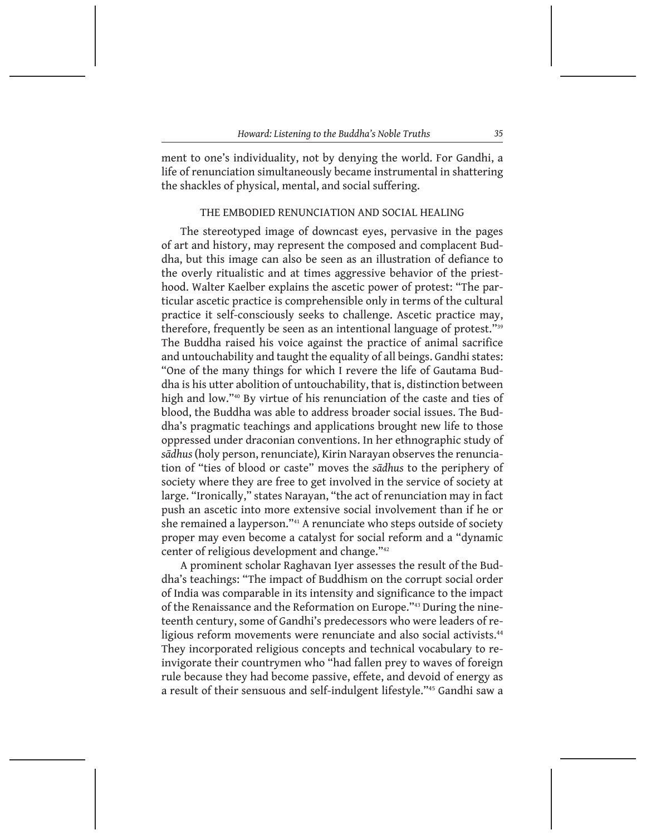ment to one's individuality, not by denying the world. For Gandhi, a life of renunciation simultaneously became instrumental in shattering the shackles of physical, mental, and social suffering.

#### THE EMBODIED RENUNCIATION AND SOCIAL HEALING

The stereotyped image of downcast eyes, pervasive in the pages of art and history, may represent the composed and complacent Buddha, but this image can also be seen as an illustration of defiance to the overly ritualistic and at times aggressive behavior of the priesthood. Walter Kaelber explains the ascetic power of protest: "The particular ascetic practice is comprehensible only in terms of the cultural practice it self-consciously seeks to challenge. Ascetic practice may, therefore, frequently be seen as an intentional language of protest."<sup>39</sup> The Buddha raised his voice against the practice of animal sacrifice and untouchability and taught the equality of all beings. Gandhi states: "One of the many things for which I revere the life of Gautama Buddha is his utter abolition of untouchability, that is, distinction between high and low."40 By virtue of his renunciation of the caste and ties of blood, the Buddha was able to address broader social issues. The Buddha's pragmatic teachings and applications brought new life to those oppressed under draconian conventions. In her ethnographic study of *sādhus* (holy person, renunciate)*,* Kirin Narayan observes the renunciation of "ties of blood or caste" moves the *sādhus* to the periphery of society where they are free to get involved in the service of society at large. "Ironically," states Narayan, "the act of renunciation may in fact push an ascetic into more extensive social involvement than if he or she remained a layperson."<sup>41</sup> A renunciate who steps outside of society proper may even become a catalyst for social reform and a "dynamic center of religious development and change."42

A prominent scholar Raghavan Iyer assesses the result of the Buddha's teachings: "The impact of Buddhism on the corrupt social order of India was comparable in its intensity and significance to the impact of the Renaissance and the Reformation on Europe."43 During the nineteenth century, some of Gandhi's predecessors who were leaders of religious reform movements were renunciate and also social activists.<sup>44</sup> They incorporated religious concepts and technical vocabulary to reinvigorate their countrymen who "had fallen prey to waves of foreign rule because they had become passive, effete, and devoid of energy as a result of their sensuous and self-indulgent lifestyle."45 Gandhi saw a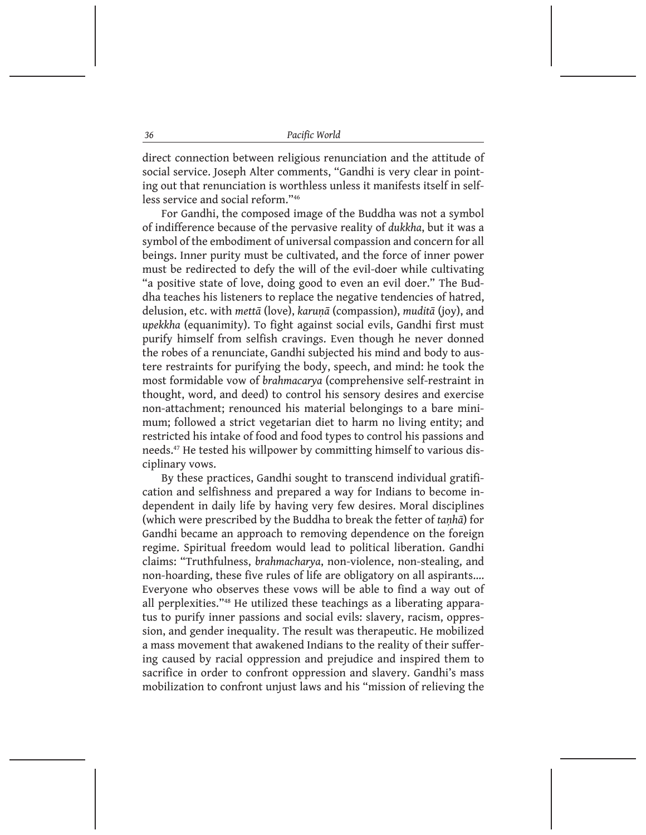direct connection between religious renunciation and the attitude of social service. Joseph Alter comments, "Gandhi is very clear in pointing out that renunciation is worthless unless it manifests itself in selfless service and social reform."46

For Gandhi, the composed image of the Buddha was not a symbol of indifference because of the pervasive reality of *dukkha*, but it was a symbol of the embodiment of universal compassion and concern for all beings. Inner purity must be cultivated, and the force of inner power must be redirected to defy the will of the evil-doer while cultivating "a positive state of love, doing good to even an evil doer." The Buddha teaches his listeners to replace the negative tendencies of hatred, delusion, etc. with *mettā* (love), *karuṇā* (compassion), *muditā* (joy), and *upekkha* (equanimity). To fight against social evils, Gandhi first must purify himself from selfish cravings. Even though he never donned the robes of a renunciate, Gandhi subjected his mind and body to austere restraints for purifying the body, speech, and mind: he took the most formidable vow of *brahmacarya* (comprehensive self-restraint in thought, word, and deed) to control his sensory desires and exercise non-attachment; renounced his material belongings to a bare minimum; followed a strict vegetarian diet to harm no living entity; and restricted his intake of food and food types to control his passions and needs.47 He tested his willpower by committing himself to various disciplinary vows.

By these practices, Gandhi sought to transcend individual gratification and selfishness and prepared a way for Indians to become independent in daily life by having very few desires. Moral disciplines (which were prescribed by the Buddha to break the fetter of *taṇhā*) for Gandhi became an approach to removing dependence on the foreign regime. Spiritual freedom would lead to political liberation. Gandhi claims: "Truthfulness, *brahmacharya*, non-violence, non-stealing, and non-hoarding, these five rules of life are obligatory on all aspirants…. Everyone who observes these vows will be able to find a way out of all perplexities."48 He utilized these teachings as a liberating apparatus to purify inner passions and social evils: slavery, racism, oppression, and gender inequality. The result was therapeutic. He mobilized a mass movement that awakened Indians to the reality of their suffering caused by racial oppression and prejudice and inspired them to sacrifice in order to confront oppression and slavery. Gandhi's mass mobilization to confront unjust laws and his "mission of relieving the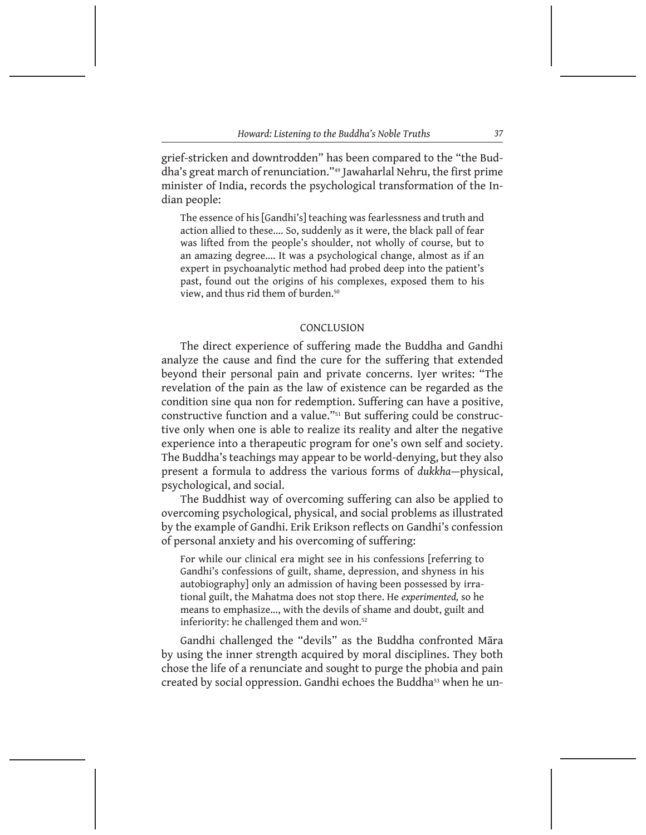grief-stricken and downtrodden" has been compared to the "the Buddha's great march of renunciation."49 Jawaharlal Nehru, the first prime minister of India, records the psychological transformation of the Indian people:

The essence of his [Gandhi's] teaching was fearlessness and truth and action allied to these…. So, suddenly as it were, the black pall of fear was lifted from the people's shoulder, not wholly of course, but to an amazing degree…. It was a psychological change, almost as if an expert in psychoanalytic method had probed deep into the patient's past, found out the origins of his complexes, exposed them to his view, and thus rid them of burden.<sup>50</sup>

#### CONCLUSION

The direct experience of suffering made the Buddha and Gandhi analyze the cause and find the cure for the suffering that extended beyond their personal pain and private concerns. Iyer writes: "The revelation of the pain as the law of existence can be regarded as the condition sine qua non for redemption. Suffering can have a positive, constructive function and a value."51 But suffering could be constructive only when one is able to realize its reality and alter the negative experience into a therapeutic program for one's own self and society. The Buddha's teachings may appear to be world-denying, but they also present a formula to address the various forms of *dukkha*—physical, psychological, and social.

The Buddhist way of overcoming suffering can also be applied to overcoming psychological, physical, and social problems as illustrated by the example of Gandhi. Erik Erikson reflects on Gandhi's confession of personal anxiety and his overcoming of suffering:

For while our clinical era might see in his confessions [referring to Gandhi's confessions of guilt, shame, depression, and shyness in his autobiography] only an admission of having been possessed by irrational guilt, the Mahatma does not stop there. He *experimented,* so he means to emphasize…, with the devils of shame and doubt, guilt and inferiority: he challenged them and won.<sup>52</sup>

Gandhi challenged the "devils" as the Buddha confronted Māra by using the inner strength acquired by moral disciplines. They both chose the life of a renunciate and sought to purge the phobia and pain created by social oppression. Gandhi echoes the Buddha<sup>53</sup> when he un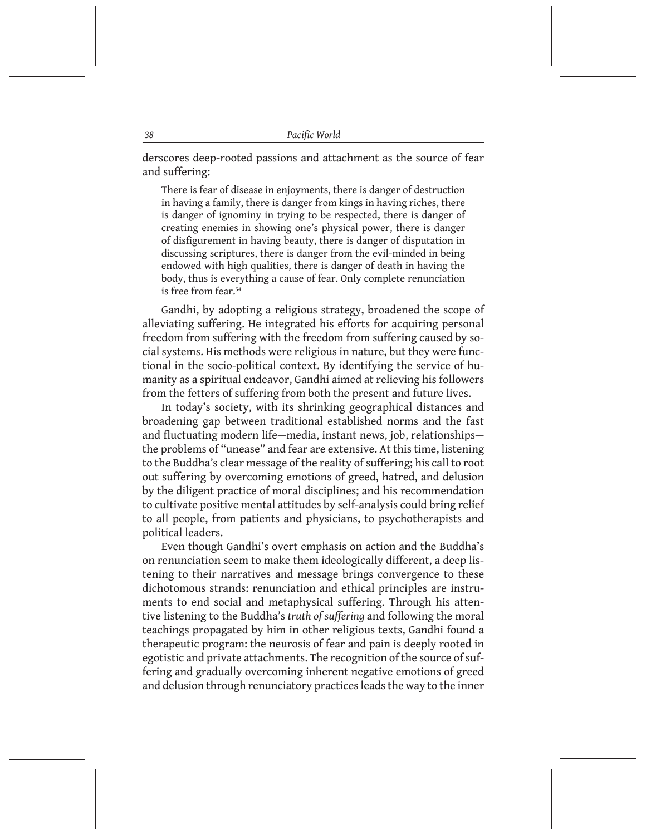derscores deep-rooted passions and attachment as the source of fear and suffering:

There is fear of disease in enjoyments, there is danger of destruction in having a family, there is danger from kings in having riches, there is danger of ignominy in trying to be respected, there is danger of creating enemies in showing one's physical power, there is danger of disfigurement in having beauty, there is danger of disputation in discussing scriptures, there is danger from the evil-minded in being endowed with high qualities, there is danger of death in having the body, thus is everything a cause of fear. Only complete renunciation is free from fear.<sup>54</sup>

Gandhi, by adopting a religious strategy, broadened the scope of alleviating suffering. He integrated his efforts for acquiring personal freedom from suffering with the freedom from suffering caused by social systems. His methods were religious in nature, but they were functional in the socio-political context. By identifying the service of humanity as a spiritual endeavor, Gandhi aimed at relieving his followers from the fetters of suffering from both the present and future lives.

In today's society, with its shrinking geographical distances and broadening gap between traditional established norms and the fast and fluctuating modern life—media, instant news, job, relationships the problems of "unease" and fear are extensive. At this time, listening to the Buddha's clear message of the reality of suffering; his call to root out suffering by overcoming emotions of greed, hatred, and delusion by the diligent practice of moral disciplines; and his recommendation to cultivate positive mental attitudes by self-analysis could bring relief to all people, from patients and physicians, to psychotherapists and political leaders.

Even though Gandhi's overt emphasis on action and the Buddha's on renunciation seem to make them ideologically different, a deep listening to their narratives and message brings convergence to these dichotomous strands: renunciation and ethical principles are instruments to end social and metaphysical suffering. Through his attentive listening to the Buddha's *truth of suffering* and following the moral teachings propagated by him in other religious texts, Gandhi found a therapeutic program: the neurosis of fear and pain is deeply rooted in egotistic and private attachments. The recognition of the source of suffering and gradually overcoming inherent negative emotions of greed and delusion through renunciatory practices leads the way to the inner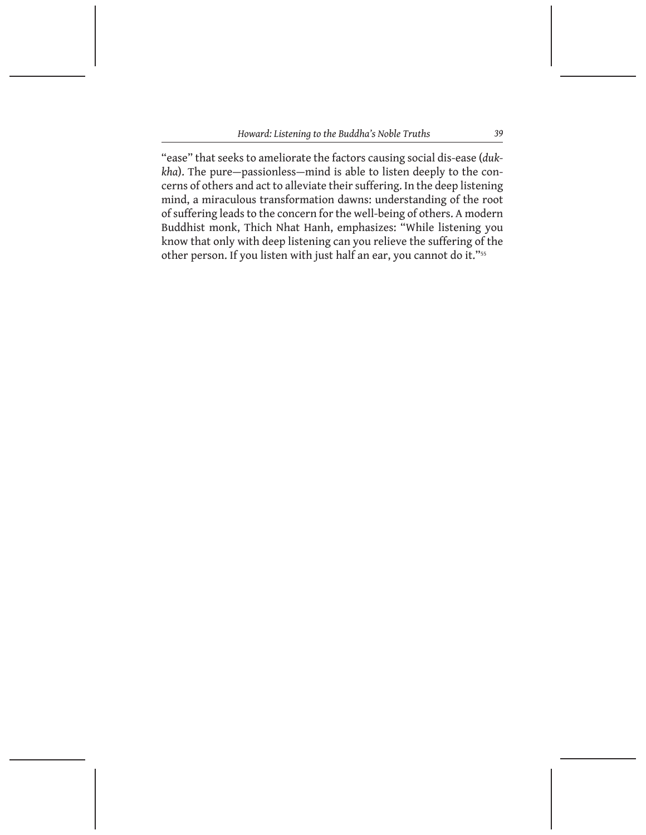"ease" that seeks to ameliorate the factors causing social dis-ease (*dukkha*). The pure—passionless—mind is able to listen deeply to the concerns of others and act to alleviate their suffering. In the deep listening mind, a miraculous transformation dawns: understanding of the root of suffering leads to the concern for the well-being of others. A modern Buddhist monk, Thich Nhat Hanh, emphasizes: "While listening you know that only with deep listening can you relieve the suffering of the other person. If you listen with just half an ear, you cannot do it."55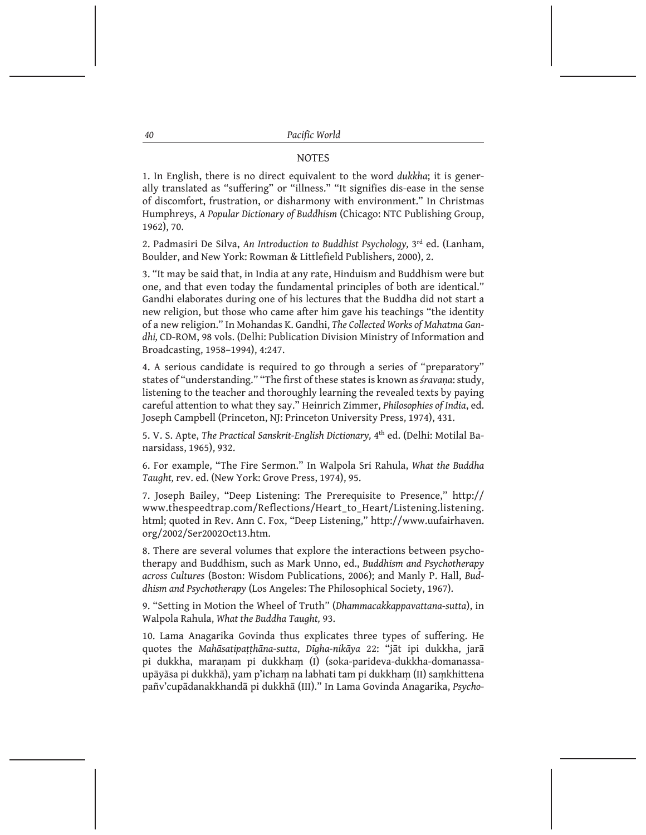#### **NOTES**

1. In English, there is no direct equivalent to the word *dukkha*; it is generally translated as "suffering" or "illness." "It signifies dis-ease in the sense of discomfort, frustration, or disharmony with environment." In Christmas Humphreys, *A Popular Dictionary of Buddhism* (Chicago: NTC Publishing Group, 1962), 70.

2. Padmasiri De Silva, *An Introduction to Buddhist Psychology,* 3rd ed. (Lanham, Boulder, and New York: Rowman & Littlefield Publishers, 2000), 2.

3. "It may be said that, in India at any rate, Hinduism and Buddhism were but one, and that even today the fundamental principles of both are identical." Gandhi elaborates during one of his lectures that the Buddha did not start a new religion, but those who came after him gave his teachings "the identity of a new religion." In Mohandas K. Gandhi, *The Collected Works of Mahatma Gandhi,* CD-ROM, 98 vols. (Delhi: Publication Division Ministry of Information and Broadcasting, 1958–1994), 4:247.

4. A serious candidate is required to go through a series of "preparatory" states of "understanding." "The first of these states is known as *śravaṇa*: study, listening to the teacher and thoroughly learning the revealed texts by paying careful attention to what they say." Heinrich Zimmer, *Philosophies of India*, ed. Joseph Campbell (Princeton, NJ: Princeton University Press, 1974), 431.

5. V. S. Apte, *The Practical Sanskrit-English Dictionary,* 4th ed. (Delhi: Motilal Banarsidass, 1965), 932.

6. For example, "The Fire Sermon." In Walpola Sri Rahula, *What the Buddha Taught,* rev. ed. (New York: Grove Press, 1974), 95.

7. Joseph Bailey, "Deep Listening: The Prerequisite to Presence," http:// www.thespeedtrap.com/Reflections/Heart\_to\_Heart/Listening.listening. html; quoted in Rev. Ann C. Fox, "Deep Listening," http://www.uufairhaven. org/2002/Ser2002Oct13.htm.

8. There are several volumes that explore the interactions between psychotherapy and Buddhism, such as Mark Unno, ed., *Buddhism and Psychotherapy across Cultures* (Boston: Wisdom Publications, 2006); and Manly P. Hall, *Buddhism and Psychotherapy* (Los Angeles: The Philosophical Society, 1967).

9. "Setting in Motion the Wheel of Truth" (*Dhammacakkappavattana-sutta*), in Walpola Rahula, *What the Buddha Taught,* 93.

10. Lama Anagarika Govinda thus explicates three types of suffering. He quotes the *Mahāsatipaṭṭhāna-sutta*, *Dīgha-nikāya* 22: "jāt ipi dukkha, jarā pi dukkha, maraṇam pi dukkhaṃ (I) (soka-parideva-dukkha-domanassaupāyāsa pi dukkhā), yam p'ichaṃ na labhati tam pi dukkhaṃ (II) saṃkhittena pañv'cupādanakkhandā pi dukkhā (III)." In Lama Govinda Anagarika, *Psycho-*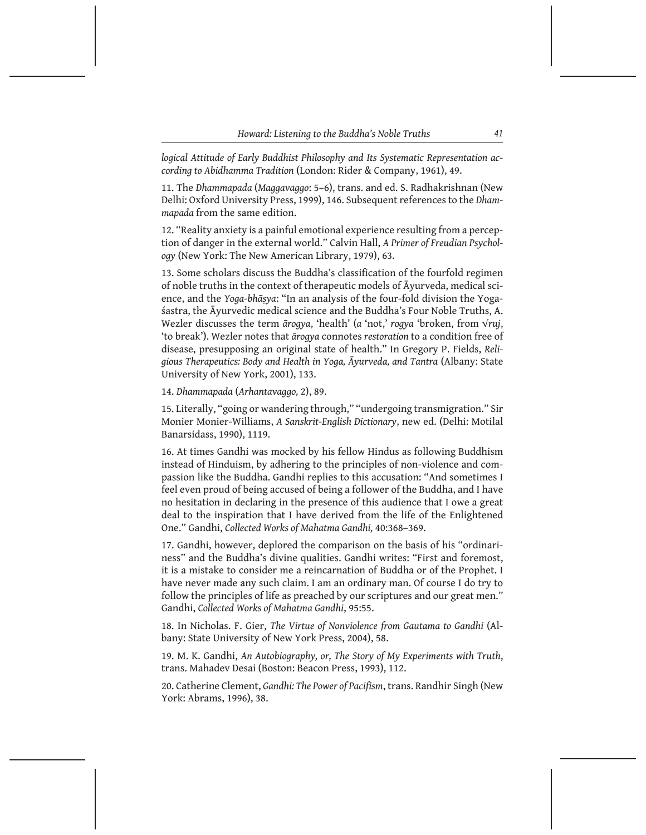*logical Attitude of Early Buddhist Philosophy and Its Systematic Representation according to Abidhamma Tradition* (London: Rider & Company, 1961), 49.

11. The *Dhammapada* (*Maggavaggo*: 5–6), trans. and ed. S. Radhakrishnan (New Delhi: Oxford University Press, 1999), 146. Subsequent references to the *Dhammapada* from the same edition.

12. "Reality anxiety is a painful emotional experience resulting from a perception of danger in the external world." Calvin Hall, *A Primer of Freudian Psychology* (New York: The New American Library, 1979), 63.

13. Some scholars discuss the Buddha's classification of the fourfold regimen of noble truths in the context of therapeutic models of Āyurveda, medical science, and the *Yoga-bhāṣya*: "In an analysis of the four-fold division the Yogaśastra, the Āyurvedic medical science and the Buddha's Four Noble Truths, A. Wezler discusses the term *ārogya*, 'health' (*a* 'not,' *rogya* 'broken, from √*ruj*, 'to break'). Wezler notes that *ārogya* connotes *restoration* to a condition free of disease, presupposing an original state of health." In Gregory P. Fields, *Religious Therapeutics: Body and Health in Yoga, Āyurveda, and Tantra* (Albany: State University of New York, 2001), 133.

14. *Dhammapada* (*Arhantavaggo,* 2), 89.

15. Literally, "going or wandering through," "undergoing transmigration." Sir Monier Monier-Williams, *A Sanskrit-English Dictionary*, new ed. (Delhi: Motilal Banarsidass, 1990), 1119.

16. At times Gandhi was mocked by his fellow Hindus as following Buddhism instead of Hinduism, by adhering to the principles of non-violence and compassion like the Buddha. Gandhi replies to this accusation: "And sometimes I feel even proud of being accused of being a follower of the Buddha, and I have no hesitation in declaring in the presence of this audience that I owe a great deal to the inspiration that I have derived from the life of the Enlightened One." Gandhi, *Collected Works of Mahatma Gandhi,* 40:368–369.

17. Gandhi, however, deplored the comparison on the basis of his "ordinariness" and the Buddha's divine qualities. Gandhi writes: "First and foremost, it is a mistake to consider me a reincarnation of Buddha or of the Prophet. I have never made any such claim. I am an ordinary man. Of course I do try to follow the principles of life as preached by our scriptures and our great men." Gandhi, *Collected Works of Mahatma Gandhi*, 95:55.

18. In Nicholas. F. Gier, *The Virtue of Nonviolence from Gautama to Gandhi* (Albany: State University of New York Press, 2004), 58.

19. M. K. Gandhi, *An Autobiography, or, The Story of My Experiments with Truth*, trans. Mahadev Desai (Boston: Beacon Press, 1993), 112.

20. Catherine Clement, *Gandhi: The Power of Pacifism*, trans. Randhir Singh (New York: Abrams, 1996), 38.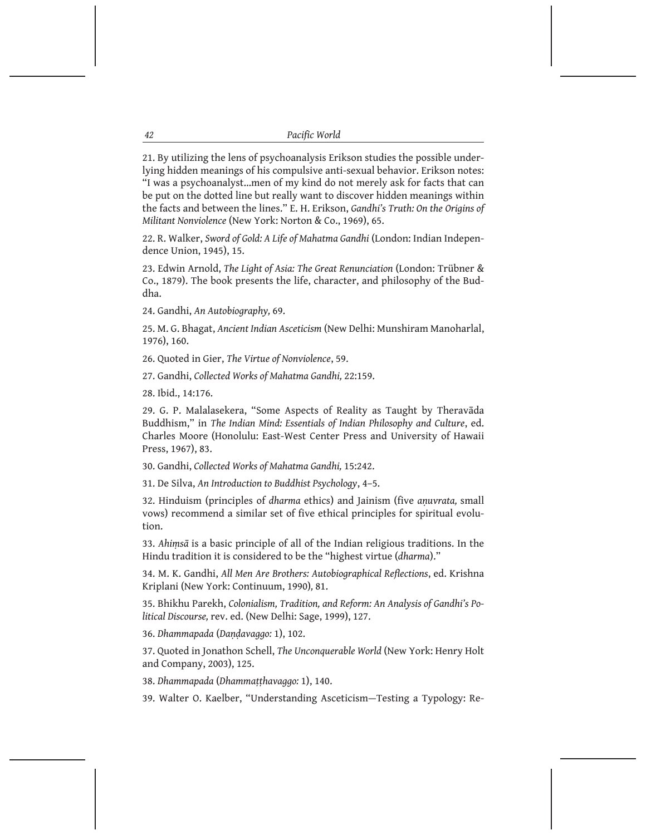21. By utilizing the lens of psychoanalysis Erikson studies the possible underlying hidden meanings of his compulsive anti-sexual behavior. Erikson notes: "I was a psychoanalyst…men of my kind do not merely ask for facts that can be put on the dotted line but really want to discover hidden meanings within the facts and between the lines." E. H. Erikson, *Gandhi's Truth: On the Origins of Militant Nonviolence* (New York: Norton & Co., 1969), 65.

22. R. Walker, *Sword of Gold: A Life of Mahatma Gandhi* (London: Indian Independence Union, 1945), 15.

23. Edwin Arnold, *The Light of Asia: The Great Renunciation* (London: Trübner & Co., 1879). The book presents the life, character, and philosophy of the Buddha.

24. Gandhi, *An Autobiography,* 69.

25. M. G. Bhagat, *Ancient Indian Asceticism* (New Delhi: Munshiram Manoharlal, 1976), 160.

26. Quoted in Gier, *The Virtue of Nonviolence*, 59.

27. Gandhi, *Collected Works of Mahatma Gandhi,* 22:159.

28. Ibid., 14:176.

29. G. P. Malalasekera, "Some Aspects of Reality as Taught by Theravāda Buddhism," in *The Indian Mind: Essentials of Indian Philosophy and Culture*, ed. Charles Moore (Honolulu: East-West Center Press and University of Hawaii Press, 1967), 83.

30. Gandhi, *Collected Works of Mahatma Gandhi,* 15:242.

31. De Silva, *An Introduction to Buddhist Psychology*, 4–5.

32. Hinduism (principles of *dharma* ethics) and Jainism (five *aṇuvrata,* small vows) recommend a similar set of five ethical principles for spiritual evolution.

33. *Ahiṃsā* is a basic principle of all of the Indian religious traditions. In the Hindu tradition it is considered to be the "highest virtue (*dharma*)."

34. M. K. Gandhi, *All Men Are Brothers: Autobiographical Reflections*, ed. Krishna Kriplani (New York: Continuum, 1990)*,* 81.

35. Bhikhu Parekh, *Colonialism, Tradition, and Reform: An Analysis of Gandhi's Political Discourse,* rev. ed. (New Delhi: Sage, 1999), 127.

36. *Dhammapada* (*Daṇḍavaggo:* 1), 102.

37. Quoted in Jonathon Schell, *The Unconquerable World* (New York: Henry Holt and Company, 2003), 125.

38. *Dhammapada* (*Dhammaṭṭhavaggo:* 1), 140.

39. Walter O. Kaelber, "Understanding Asceticism—Testing a Typology: Re-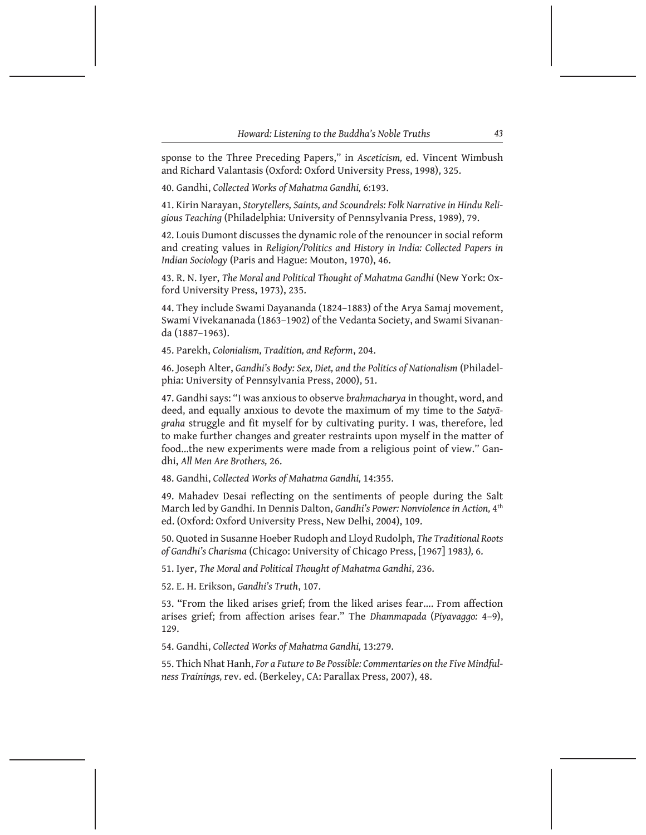sponse to the Three Preceding Papers," in *Asceticism,* ed. Vincent Wimbush and Richard Valantasis (Oxford: Oxford University Press, 1998), 325.

40. Gandhi, *Collected Works of Mahatma Gandhi,* 6:193.

41. Kirin Narayan, *Storytellers, Saints, and Scoundrels: Folk Narrative in Hindu Religious Teaching* (Philadelphia: University of Pennsylvania Press, 1989), 79.

42. Louis Dumont discusses the dynamic role of the renouncer in social reform and creating values in *Religion/Politics and History in India: Collected Papers in Indian Sociology* (Paris and Hague: Mouton, 1970), 46.

43. R. N. Iyer, *The Moral and Political Thought of Mahatma Gandhi* (New York: Oxford University Press, 1973), 235.

44. They include Swami Dayananda (1824–1883) of the Arya Samaj movement, Swami Vivekananada (1863–1902) of the Vedanta Society, and Swami Sivananda (1887–1963).

45. Parekh, *Colonialism, Tradition, and Reform*, 204.

46. Joseph Alter, *Gandhi's Body: Sex, Diet, and the Politics of Nationalism* (Philadelphia: University of Pennsylvania Press, 2000), 51.

47. Gandhi says: "I was anxious to observe *brahmacharya* in thought, word, and deed, and equally anxious to devote the maximum of my time to the *Satyāgraha* struggle and fit myself for by cultivating purity. I was, therefore, led to make further changes and greater restraints upon myself in the matter of food…the new experiments were made from a religious point of view." Gandhi, *All Men Are Brothers,* 26.

48. Gandhi, *Collected Works of Mahatma Gandhi,* 14:355.

49. Mahadev Desai reflecting on the sentiments of people during the Salt March led by Gandhi. In Dennis Dalton, *Gandhi's Power: Nonviolence in Action,* 4th ed. (Oxford: Oxford University Press, New Delhi, 2004), 109.

50. Quoted in Susanne Hoeber Rudoph and Lloyd Rudolph, *The Traditional Roots of Gandhi's Charisma* (Chicago: University of Chicago Press, [1967] 1983*),* 6.

51. Iyer, *The Moral and Political Thought of Mahatma Gandhi*, 236.

52. E. H. Erikson, *Gandhi's Truth*, 107.

53. "From the liked arises grief; from the liked arises fear…. From affection arises grief; from affection arises fear." The *Dhammapada* (*Piyavaggo:* 4–9), 129.

54. Gandhi, *Collected Works of Mahatma Gandhi,* 13:279.

55. Thich Nhat Hanh, *For a Future to Be Possible: Commentaries on the Five Mindfulness Trainings,* rev. ed. (Berkeley, CA: Parallax Press, 2007), 48.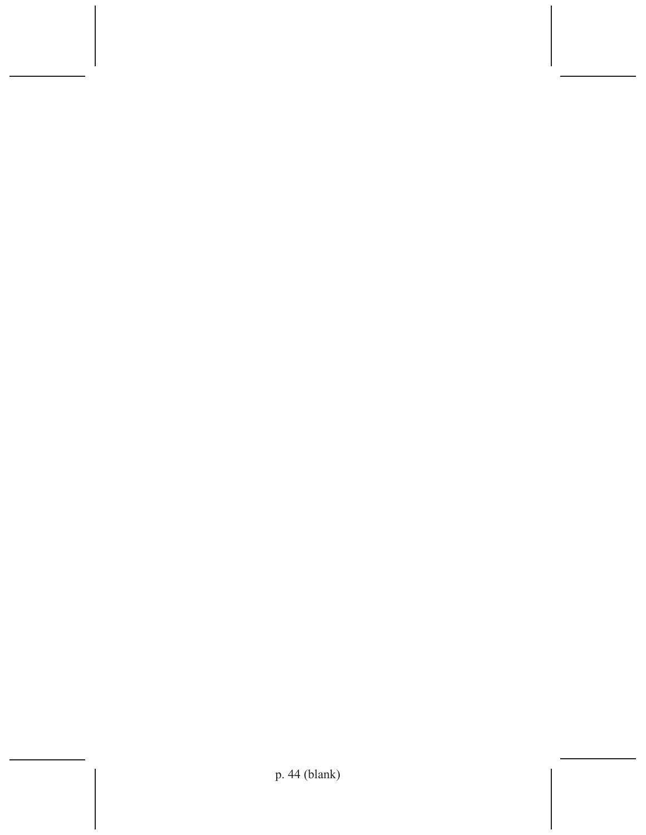p. 44 (blank)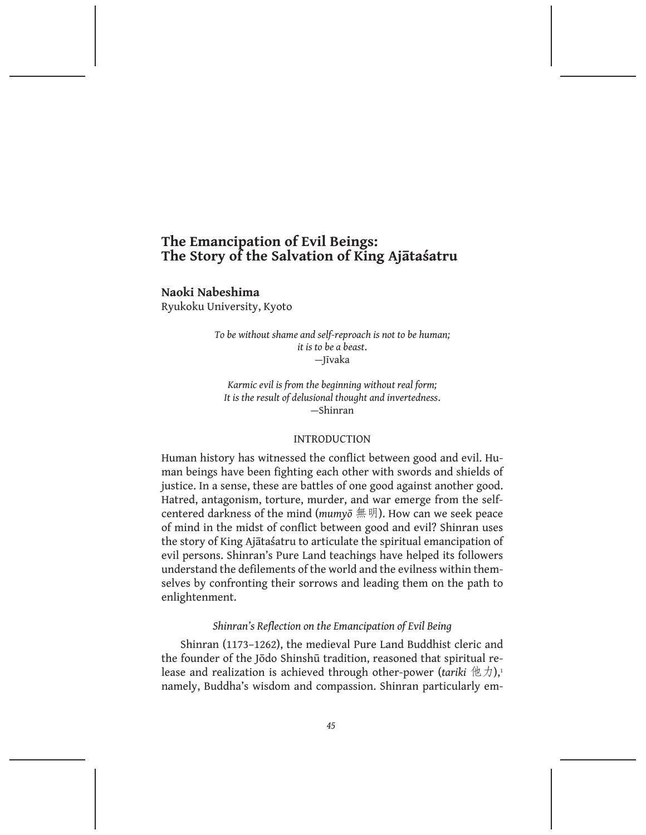# **The Emancipation of Evil Beings: The Story of the Salvation of King Ajātaśatru**

## **Naoki Nabeshima**

Ryukoku University, Kyoto

*To be without shame and self-reproach is not to be human; it is to be a beast*. —Jīvaka

*Karmic evil is from the beginning without real form; It is the result of delusional thought and invertedness*. —Shinran

#### INTRODUCTION

Human history has witnessed the conflict between good and evil. Human beings have been fighting each other with swords and shields of justice. In a sense, these are battles of one good against another good. Hatred, antagonism, torture, murder, and war emerge from the selfcentered darkness of the mind (*mumyō* 無明). How can we seek peace of mind in the midst of conflict between good and evil? Shinran uses the story of King Ajātaśatru to articulate the spiritual emancipation of evil persons. Shinran's Pure Land teachings have helped its followers understand the defilements of the world and the evilness within themselves by confronting their sorrows and leading them on the path to enlightenment.

## *Shinran's Reflection on the Emancipation of Evil Being*

Shinran (1173–1262), the medieval Pure Land Buddhist cleric and the founder of the Jōdo Shinshū tradition, reasoned that spiritual release and realization is achieved through other-power (tariki  $(\forall \pi)$ ),<sup>1</sup> namely, Buddha's wisdom and compassion. Shinran particularly em-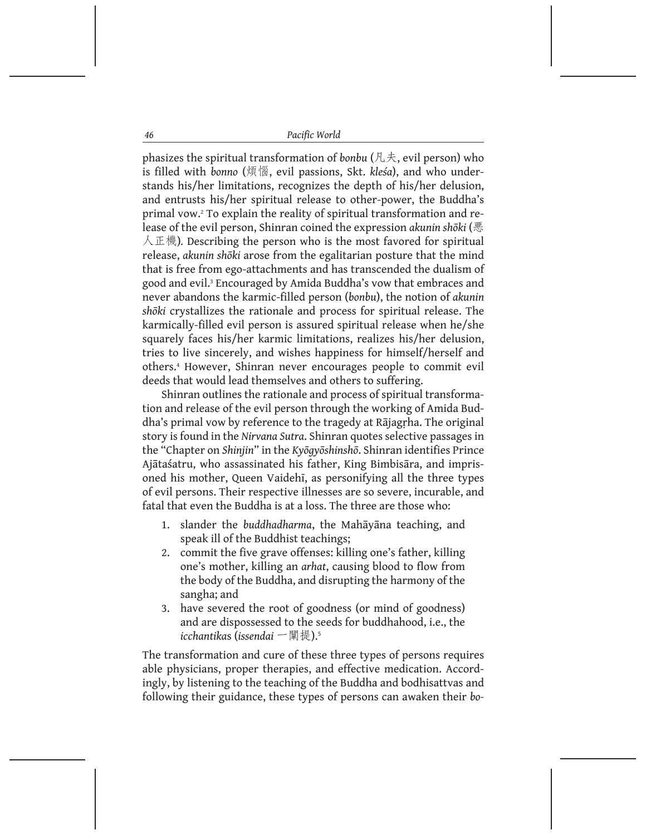phasizes the spiritual transformation of *bonbu* (凡夫, evil person) who is filled with *bonno* (煩惱, evil passions, Skt. *kleśa*), and who understands his/her limitations, recognizes the depth of his/her delusion, and entrusts his/her spiritual release to other-power, the Buddha's primal vow.2 To explain the reality of spiritual transformation and release of the evil person, Shinran coined the expression *akunin shōki* (悪 人正機)*.* Describing the person who is the most favored for spiritual release, *akunin shōki* arose from the egalitarian posture that the mind that is free from ego-attachments and has transcended the dualism of good and evil.3 Encouraged by Amida Buddha's vow that embraces and never abandons the karmic-filled person (*bonbu*), the notion of *akunin shōki* crystallizes the rationale and process for spiritual release. The karmically-filled evil person is assured spiritual release when he/she squarely faces his/her karmic limitations, realizes his/her delusion, tries to live sincerely, and wishes happiness for himself/herself and others.4 However, Shinran never encourages people to commit evil deeds that would lead themselves and others to suffering.

Shinran outlines the rationale and process of spiritual transformation and release of the evil person through the working of Amida Buddha's primal vow by reference to the tragedy at Rājagṛha. The original story is found in the *Nirvana Sutra*. Shinran quotes selective passages in the "Chapter on *Shinjin*" in the *Kyōgyōshinshō*. Shinran identifies Prince Ajātaśatru, who assassinated his father, King Bimbisāra, and imprisoned his mother, Queen Vaidehī, as personifying all the three types of evil persons. Their respective illnesses are so severe, incurable, and fatal that even the Buddha is at a loss. The three are those who:

- 1. slander the *buddhadharma*, the Mahāyāna teaching, and speak ill of the Buddhist teachings;
- 2. commit the five grave offenses: killing one's father, killing one's mother, killing an *arhat*, causing blood to flow from the body of the Buddha, and disrupting the harmony of the sangha; and
- 3. have severed the root of goodness (or mind of goodness) and are dispossessed to the seeds for buddhahood, i.e., the *icchantika*s (*issendai* 一闡提).5

The transformation and cure of these three types of persons requires able physicians, proper therapies, and effective medication. Accordingly, by listening to the teaching of the Buddha and bodhisattvas and following their guidance, these types of persons can awaken their *bo-*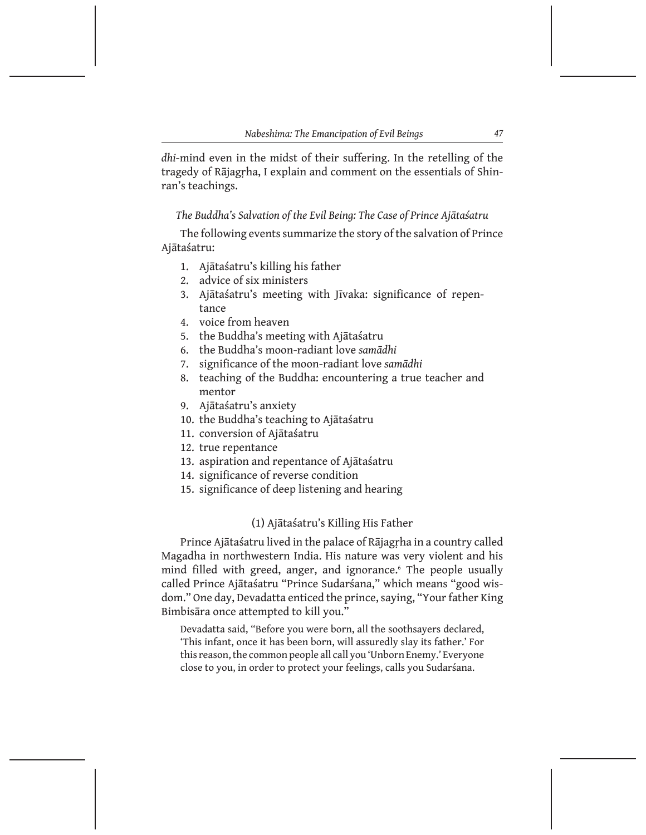*dhi*-mind even in the midst of their suffering. In the retelling of the tragedy of Rājagṛha, I explain and comment on the essentials of Shinran's teachings.

## *The Buddha's Salvation of the Evil Being: The Case of Prince Ajātaśatru*

The following events summarize the story of the salvation of Prince Ajātaśatru:

- 1. Ajātaśatru's killing his father
- 2. advice of six ministers
- 3. Ajātaśatru's meeting with Jīvaka: significance of repentance
- 4. voice from heaven
- 5. the Buddha's meeting with Ajātaśatru
- 6. the Buddha's moon-radiant love *samādhi*
- 7. significance of the moon-radiant love *samādhi*
- 8. teaching of the Buddha: encountering a true teacher and mentor
- 9. Ajātaśatru's anxiety
- 10. the Buddha's teaching to Ajātaśatru
- 11. conversion of Ajātaśatru
- 12. true repentance
- 13. aspiration and repentance of Ajātaśatru
- 14. significance of reverse condition
- 15. significance of deep listening and hearing

## (1) Ajātaśatru's Killing His Father

Prince Ajātaśatru lived in the palace of Rājagṛha in a country called Magadha in northwestern India. His nature was very violent and his mind filled with greed, anger, and ignorance.<sup>6</sup> The people usually called Prince Ajātaśatru "Prince Sudarśana," which means "good wisdom." One day, Devadatta enticed the prince, saying, "Your father King Bimbisāra once attempted to kill you."

Devadatta said, "Before you were born, all the soothsayers declared, 'This infant, once it has been born, will assuredly slay its father.' For this reason, the common people all call you 'Unborn Enemy.' Everyone close to you, in order to protect your feelings, calls you Sudarśana.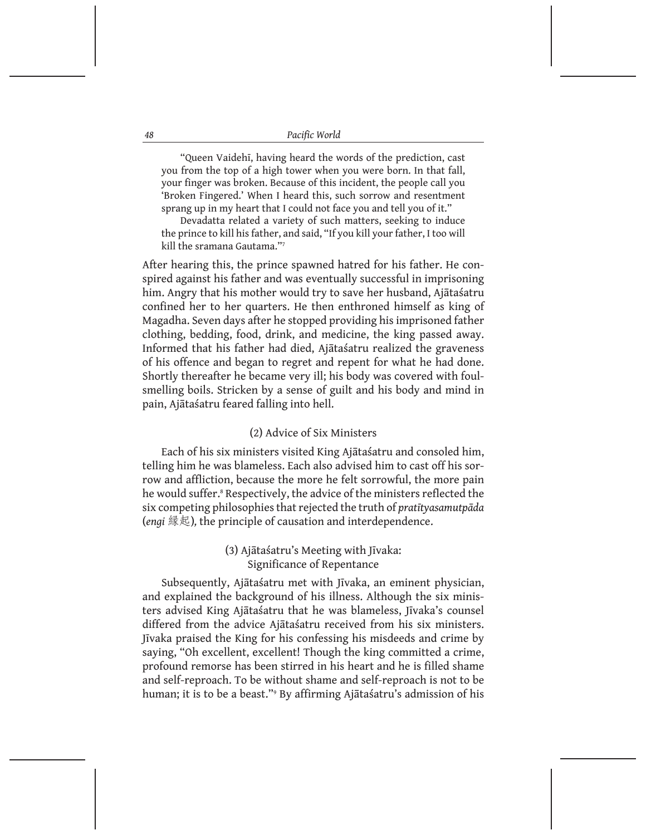"Queen Vaidehī, having heard the words of the prediction, cast you from the top of a high tower when you were born. In that fall, your finger was broken. Because of this incident, the people call you 'Broken Fingered.' When I heard this, such sorrow and resentment sprang up in my heart that I could not face you and tell you of it."

Devadatta related a variety of such matters, seeking to induce the prince to kill his father, and said, "If you kill your father, I too will kill the sramana Gautama."7

After hearing this, the prince spawned hatred for his father. He conspired against his father and was eventually successful in imprisoning him. Angry that his mother would try to save her husband, Ajātaśatru confined her to her quarters. He then enthroned himself as king of Magadha. Seven days after he stopped providing his imprisoned father clothing, bedding, food, drink, and medicine, the king passed away. Informed that his father had died, Ajātaśatru realized the graveness of his offence and began to regret and repent for what he had done. Shortly thereafter he became very ill; his body was covered with foulsmelling boils. Stricken by a sense of guilt and his body and mind in pain, Ajātaśatru feared falling into hell.

## (2) Advice of Six Ministers

Each of his six ministers visited King Ajātaśatru and consoled him, telling him he was blameless. Each also advised him to cast off his sorrow and affliction, because the more he felt sorrowful, the more pain he would suffer.<sup>8</sup> Respectively, the advice of the ministers reflected the six competing philosophies that rejected the truth of *pratītyasamutpāda* (*engi* 縁起)*,* the principle of causation and interdependence.

## (3) Ajātaśatru's Meeting with Jīvaka: Significance of Repentance

Subsequently, Ajātaśatru met with Jīvaka, an eminent physician, and explained the background of his illness. Although the six ministers advised King Ajātaśatru that he was blameless, Jīvaka's counsel differed from the advice Ajātaśatru received from his six ministers. Jīvaka praised the King for his confessing his misdeeds and crime by saying, "Oh excellent, excellent! Though the king committed a crime, profound remorse has been stirred in his heart and he is filled shame and self-reproach. To be without shame and self-reproach is not to be human; it is to be a beast."<sup>9</sup> By affirming Ajātaśatru's admission of his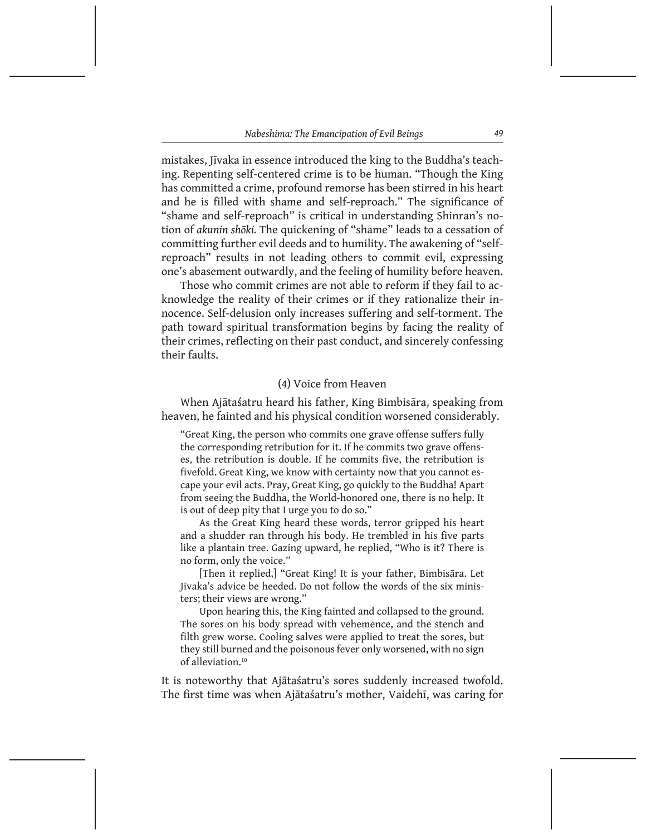mistakes, Jīvaka in essence introduced the king to the Buddha's teaching. Repenting self-centered crime is to be human. "Though the King has committed a crime, profound remorse has been stirred in his heart and he is filled with shame and self-reproach." The significance of "shame and self-reproach" is critical in understanding Shinran's notion of *akunin shōki.* The quickening of "shame" leads to a cessation of committing further evil deeds and to humility. The awakening of "selfreproach" results in not leading others to commit evil, expressing one's abasement outwardly, and the feeling of humility before heaven.

Those who commit crimes are not able to reform if they fail to acknowledge the reality of their crimes or if they rationalize their innocence. Self-delusion only increases suffering and self-torment. The path toward spiritual transformation begins by facing the reality of their crimes, reflecting on their past conduct, and sincerely confessing their faults.

### (4) Voice from Heaven

When Ajātaśatru heard his father, King Bimbisāra, speaking from heaven, he fainted and his physical condition worsened considerably.

"Great King, the person who commits one grave offense suffers fully the corresponding retribution for it. If he commits two grave offenses, the retribution is double. If he commits five, the retribution is fivefold. Great King, we know with certainty now that you cannot escape your evil acts. Pray, Great King, go quickly to the Buddha! Apart from seeing the Buddha, the World-honored one, there is no help. It is out of deep pity that I urge you to do so."

As the Great King heard these words, terror gripped his heart and a shudder ran through his body. He trembled in his five parts like a plantain tree. Gazing upward, he replied, "Who is it? There is no form, only the voice."

[Then it replied,] "Great King! It is your father, Bimbisāra. Let Jīvaka's advice be heeded. Do not follow the words of the six ministers; their views are wrong."

Upon hearing this, the King fainted and collapsed to the ground. The sores on his body spread with vehemence, and the stench and filth grew worse. Cooling salves were applied to treat the sores, but they still burned and the poisonous fever only worsened, with no sign of alleviation.<sup>10</sup>

It is noteworthy that Ajātaśatru's sores suddenly increased twofold. The first time was when Ajātaśatru's mother, Vaidehī, was caring for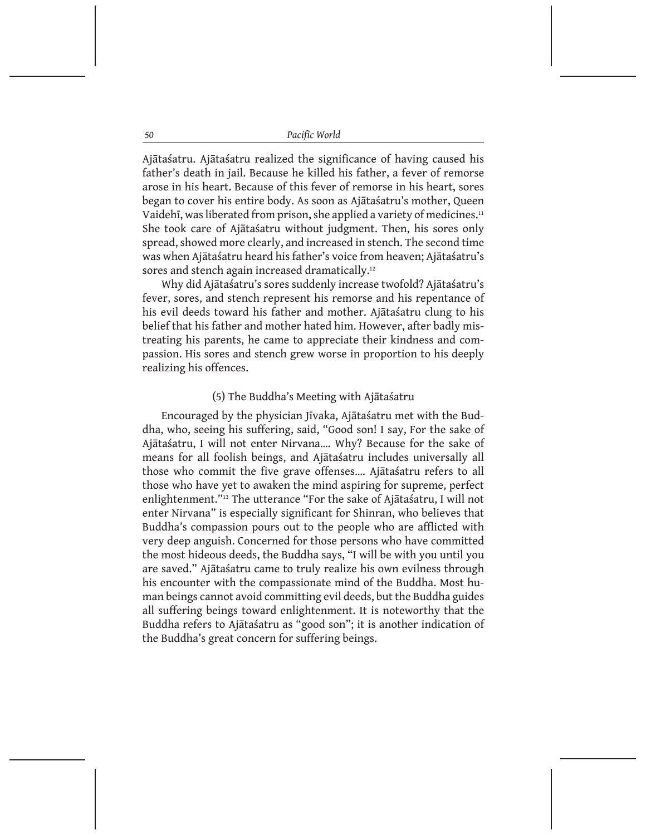Ajātaśatru. Ajātaśatru realized the significance of having caused his father's death in jail. Because he killed his father, a fever of remorse arose in his heart. Because of this fever of remorse in his heart, sores began to cover his entire body. As soon as Ajātaśatru's mother, Queen Vaidehī, was liberated from prison, she applied a variety of medicines.<sup>11</sup> She took care of Ajātaśatru without judgment. Then, his sores only spread, showed more clearly, and increased in stench. The second time was when Ajātaśatru heard his father's voice from heaven; Ajātaśatru's sores and stench again increased dramatically.<sup>12</sup>

Why did Ajātaśatru's sores suddenly increase twofold? Ajātaśatru's fever, sores, and stench represent his remorse and his repentance of his evil deeds toward his father and mother. Ajātaśatru clung to his belief that his father and mother hated him. However, after badly mistreating his parents, he came to appreciate their kindness and compassion. His sores and stench grew worse in proportion to his deeply realizing his offences.

#### (5) The Buddha's Meeting with Ajātaśatru

Encouraged by the physician Jīvaka, Ajātaśatru met with the Buddha, who, seeing his suffering, said, "Good son! I say, For the sake of Ajātaśatru, I will not enter Nirvana…. Why? Because for the sake of means for all foolish beings, and Ajātaśatru includes universally all those who commit the five grave offenses…. Ajātaśatru refers to all those who have yet to awaken the mind aspiring for supreme, perfect enlightenment."13 The utterance "For the sake of Ajātaśatru, I will not enter Nirvana" is especially significant for Shinran, who believes that Buddha's compassion pours out to the people who are afflicted with very deep anguish. Concerned for those persons who have committed the most hideous deeds, the Buddha says, "I will be with you until you are saved." Ajātaśatru came to truly realize his own evilness through his encounter with the compassionate mind of the Buddha. Most human beings cannot avoid committing evil deeds, but the Buddha guides all suffering beings toward enlightenment. It is noteworthy that the Buddha refers to Ajātaśatru as "good son"; it is another indication of the Buddha's great concern for suffering beings.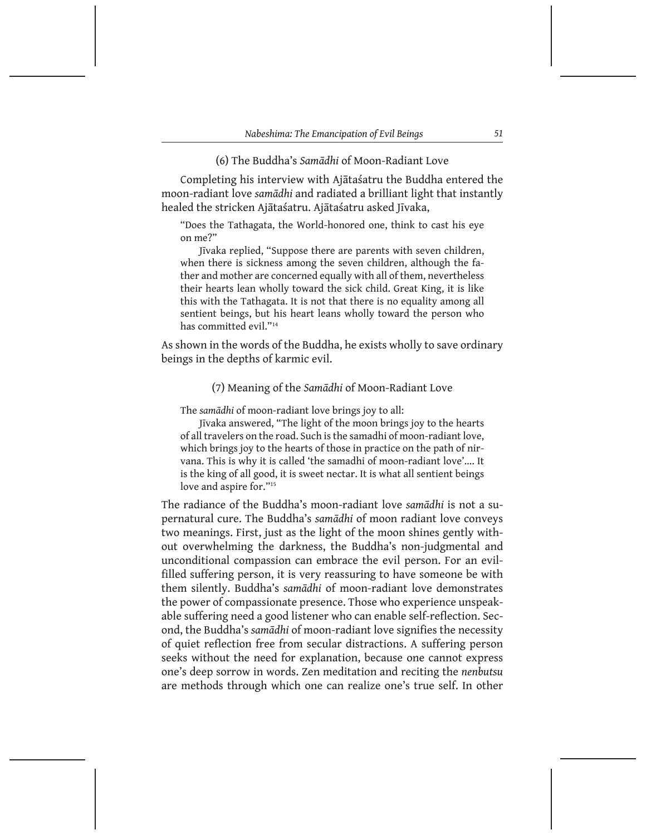#### (6) The Buddha's *Samādhi* of Moon-Radiant Love

Completing his interview with Ajātaśatru the Buddha entered the moon-radiant love *samādhi* and radiated a brilliant light that instantly healed the stricken Ajātaśatru. Ajātaśatru asked Jīvaka,

"Does the Tathagata, the World-honored one, think to cast his eye on me?"

Jīvaka replied, "Suppose there are parents with seven children, when there is sickness among the seven children, although the father and mother are concerned equally with all of them, nevertheless their hearts lean wholly toward the sick child. Great King, it is like this with the Tathagata. It is not that there is no equality among all sentient beings, but his heart leans wholly toward the person who has committed evil."14

As shown in the words of the Buddha, he exists wholly to save ordinary beings in the depths of karmic evil.

## (7) Meaning of the *Samādhi* of Moon-Radiant Love

The *samādhi* of moon-radiant love brings joy to all:

Jīvaka answered, "The light of the moon brings joy to the hearts of all travelers on the road. Such is the samadhi of moon-radiant love, which brings joy to the hearts of those in practice on the path of nirvana. This is why it is called 'the samadhi of moon-radiant love'…. It is the king of all good, it is sweet nectar. It is what all sentient beings love and aspire for."15

The radiance of the Buddha's moon-radiant love *samādhi* is not a supernatural cure. The Buddha's *samādhi* of moon radiant love conveys two meanings. First, just as the light of the moon shines gently without overwhelming the darkness, the Buddha's non-judgmental and unconditional compassion can embrace the evil person. For an evilfilled suffering person, it is very reassuring to have someone be with them silently. Buddha's *samādhi* of moon-radiant love demonstrates the power of compassionate presence. Those who experience unspeakable suffering need a good listener who can enable self-reflection. Second, the Buddha's *samādhi* of moon-radiant love signifies the necessity of quiet reflection free from secular distractions. A suffering person seeks without the need for explanation, because one cannot express one's deep sorrow in words. Zen meditation and reciting the *nenbutsu* are methods through which one can realize one's true self. In other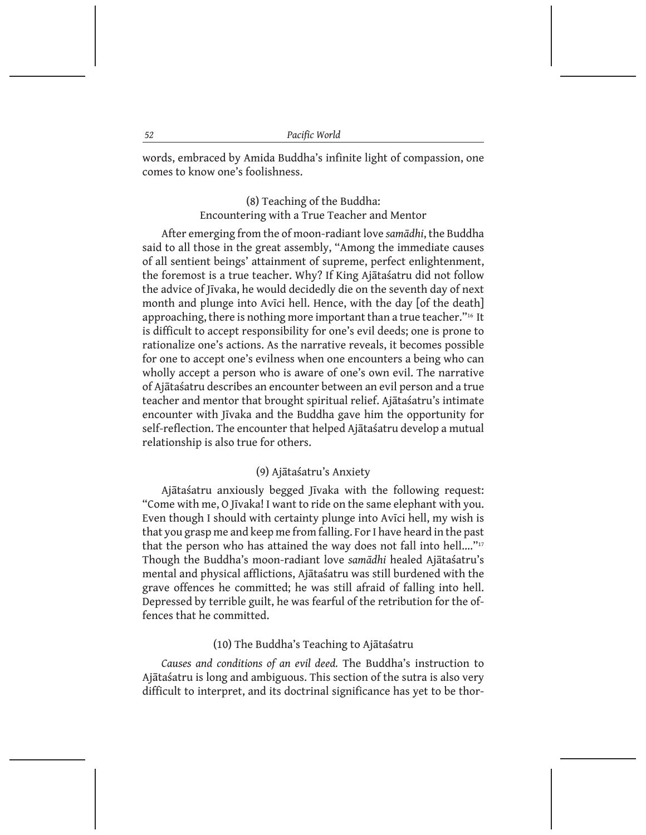words, embraced by Amida Buddha's infinite light of compassion, one comes to know one's foolishness.

## (8) Teaching of the Buddha: Encountering with a True Teacher and Mentor

After emerging from the of moon-radiant love *samādhi*, the Buddha said to all those in the great assembly, "Among the immediate causes of all sentient beings' attainment of supreme, perfect enlightenment, the foremost is a true teacher. Why? If King Ajātaśatru did not follow the advice of Jīvaka, he would decidedly die on the seventh day of next month and plunge into Avīci hell. Hence, with the day [of the death] approaching, there is nothing more important than a true teacher."16 It is difficult to accept responsibility for one's evil deeds; one is prone to rationalize one's actions. As the narrative reveals, it becomes possible for one to accept one's evilness when one encounters a being who can wholly accept a person who is aware of one's own evil. The narrative of Ajātaśatru describes an encounter between an evil person and a true teacher and mentor that brought spiritual relief. Ajātaśatru's intimate encounter with Jīvaka and the Buddha gave him the opportunity for self-reflection. The encounter that helped Ajātaśatru develop a mutual relationship is also true for others.

## (9) Ajātaśatru's Anxiety

Ajātaśatru anxiously begged Jīvaka with the following request: "Come with me, O Jīvaka! I want to ride on the same elephant with you. Even though I should with certainty plunge into Avīci hell, my wish is that you grasp me and keep me from falling. For I have heard in the past that the person who has attained the way does not fall into hell…."17 Though the Buddha's moon-radiant love *samādhi* healed Ajātaśatru's mental and physical afflictions, Ajātaśatru was still burdened with the grave offences he committed; he was still afraid of falling into hell. Depressed by terrible guilt, he was fearful of the retribution for the offences that he committed.

## (10) The Buddha's Teaching to Ajātaśatru

*Causes and conditions of an evil deed.* The Buddha's instruction to Ajātaśatru is long and ambiguous. This section of the sutra is also very difficult to interpret, and its doctrinal significance has yet to be thor-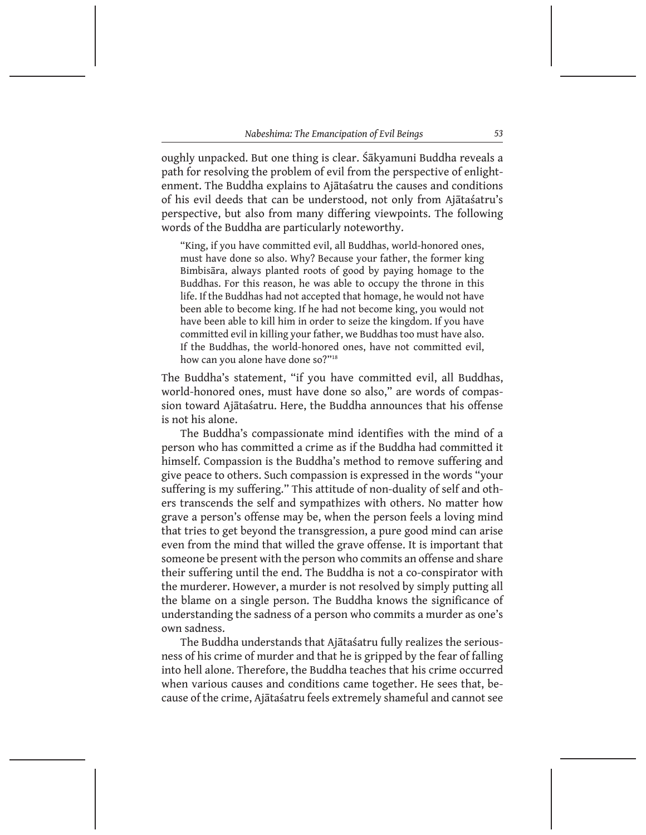oughly unpacked. But one thing is clear. Śākyamuni Buddha reveals a path for resolving the problem of evil from the perspective of enlightenment. The Buddha explains to Ajātaśatru the causes and conditions of his evil deeds that can be understood, not only from Ajātaśatru's perspective, but also from many differing viewpoints. The following words of the Buddha are particularly noteworthy.

"King, if you have committed evil, all Buddhas, world-honored ones, must have done so also. Why? Because your father, the former king Bimbisāra, always planted roots of good by paying homage to the Buddhas. For this reason, he was able to occupy the throne in this life. If the Buddhas had not accepted that homage, he would not have been able to become king. If he had not become king, you would not have been able to kill him in order to seize the kingdom. If you have committed evil in killing your father, we Buddhas too must have also. If the Buddhas, the world-honored ones, have not committed evil, how can you alone have done so?"18

The Buddha's statement, "if you have committed evil, all Buddhas, world-honored ones, must have done so also," are words of compassion toward Ajātaśatru. Here, the Buddha announces that his offense is not his alone.

The Buddha's compassionate mind identifies with the mind of a person who has committed a crime as if the Buddha had committed it himself. Compassion is the Buddha's method to remove suffering and give peace to others. Such compassion is expressed in the words "your suffering is my suffering." This attitude of non-duality of self and others transcends the self and sympathizes with others. No matter how grave a person's offense may be, when the person feels a loving mind that tries to get beyond the transgression, a pure good mind can arise even from the mind that willed the grave offense. It is important that someone be present with the person who commits an offense and share their suffering until the end. The Buddha is not a co-conspirator with the murderer. However, a murder is not resolved by simply putting all the blame on a single person. The Buddha knows the significance of understanding the sadness of a person who commits a murder as one's own sadness.

The Buddha understands that Ajātaśatru fully realizes the seriousness of his crime of murder and that he is gripped by the fear of falling into hell alone. Therefore, the Buddha teaches that his crime occurred when various causes and conditions came together. He sees that, because of the crime, Ajātaśatru feels extremely shameful and cannot see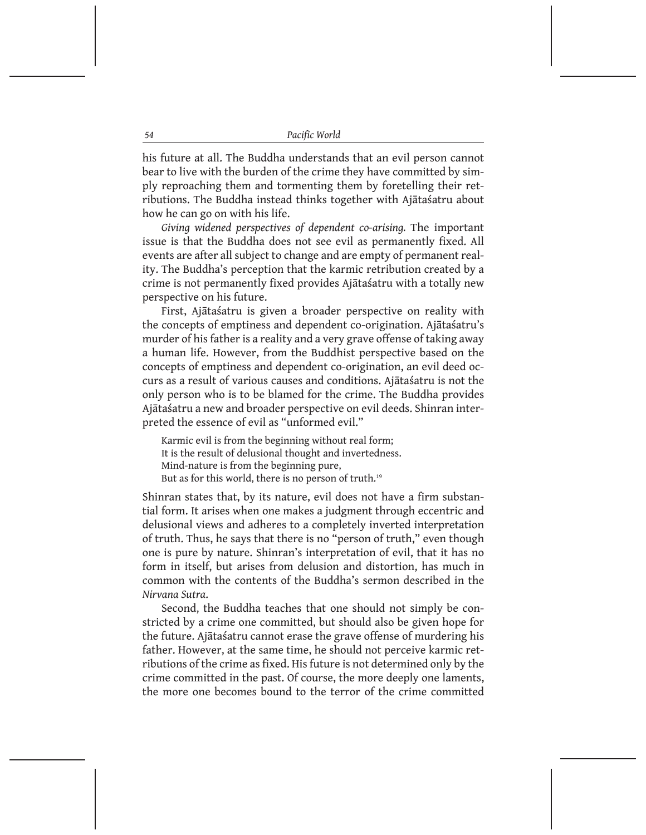his future at all. The Buddha understands that an evil person cannot bear to live with the burden of the crime they have committed by simply reproaching them and tormenting them by foretelling their retributions. The Buddha instead thinks together with Ajātaśatru about how he can go on with his life.

*Giving widened perspectives of dependent co-arising.* The important issue is that the Buddha does not see evil as permanently fixed. All events are after all subject to change and are empty of permanent reality. The Buddha's perception that the karmic retribution created by a crime is not permanently fixed provides Ajātaśatru with a totally new perspective on his future.

First, Ajātaśatru is given a broader perspective on reality with the concepts of emptiness and dependent co-origination. Ajātaśatru's murder of his father is a reality and a very grave offense of taking away a human life. However, from the Buddhist perspective based on the concepts of emptiness and dependent co-origination, an evil deed occurs as a result of various causes and conditions. Ajātaśatru is not the only person who is to be blamed for the crime. The Buddha provides Ajātaśatru a new and broader perspective on evil deeds. Shinran interpreted the essence of evil as "unformed evil."

Karmic evil is from the beginning without real form; It is the result of delusional thought and invertedness. Mind-nature is from the beginning pure, But as for this world, there is no person of truth.<sup>19</sup>

Shinran states that, by its nature, evil does not have a firm substantial form. It arises when one makes a judgment through eccentric and delusional views and adheres to a completely inverted interpretation of truth. Thus, he says that there is no "person of truth," even though one is pure by nature. Shinran's interpretation of evil, that it has no form in itself, but arises from delusion and distortion, has much in common with the contents of the Buddha's sermon described in the *Nirvana Sutra*.

Second, the Buddha teaches that one should not simply be constricted by a crime one committed, but should also be given hope for the future. Ajātaśatru cannot erase the grave offense of murdering his father. However, at the same time, he should not perceive karmic retributions of the crime as fixed. His future is not determined only by the crime committed in the past. Of course, the more deeply one laments, the more one becomes bound to the terror of the crime committed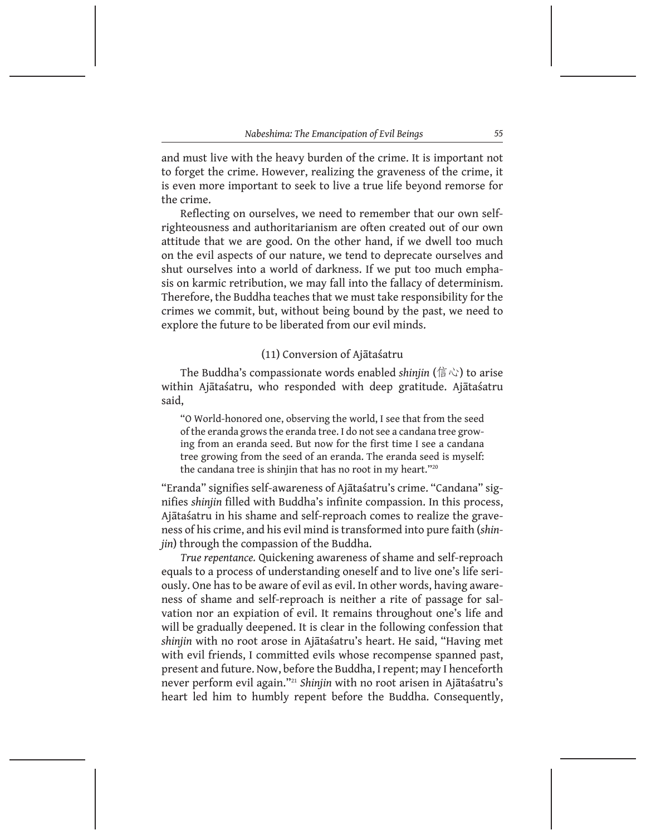and must live with the heavy burden of the crime. It is important not to forget the crime. However, realizing the graveness of the crime, it is even more important to seek to live a true life beyond remorse for the crime.

Reflecting on ourselves, we need to remember that our own selfrighteousness and authoritarianism are often created out of our own attitude that we are good. On the other hand, if we dwell too much on the evil aspects of our nature, we tend to deprecate ourselves and shut ourselves into a world of darkness. If we put too much emphasis on karmic retribution, we may fall into the fallacy of determinism. Therefore, the Buddha teaches that we must take responsibility for the crimes we commit, but, without being bound by the past, we need to explore the future to be liberated from our evil minds.

## (11) Conversion of Ajātaśatru

The Buddha's compassionate words enabled *shinjin* (信心) to arise within Ajātaśatru, who responded with deep gratitude. Ajātaśatru said,

"O World-honored one, observing the world, I see that from the seed of the eranda grows the eranda tree. I do not see a candana tree growing from an eranda seed. But now for the first time I see a candana tree growing from the seed of an eranda. The eranda seed is myself: the candana tree is shinjin that has no root in my heart."20

"Eranda" signifies self-awareness of Ajātaśatru's crime. "Candana" signifies *shinjin* filled with Buddha's infinite compassion. In this process, Ajātaśatru in his shame and self-reproach comes to realize the graveness of his crime, and his evil mind is transformed into pure faith (*shinjin*) through the compassion of the Buddha.

*True repentance.* Quickening awareness of shame and self-reproach equals to a process of understanding oneself and to live one's life seriously. One has to be aware of evil as evil. In other words, having awareness of shame and self-reproach is neither a rite of passage for salvation nor an expiation of evil. It remains throughout one's life and will be gradually deepened. It is clear in the following confession that *shinjin* with no root arose in Ajātaśatru's heart. He said, "Having met with evil friends, I committed evils whose recompense spanned past, present and future. Now, before the Buddha, I repent; may I henceforth never perform evil again."21 *Shinjin* with no root arisen in Ajātaśatru's heart led him to humbly repent before the Buddha. Consequently,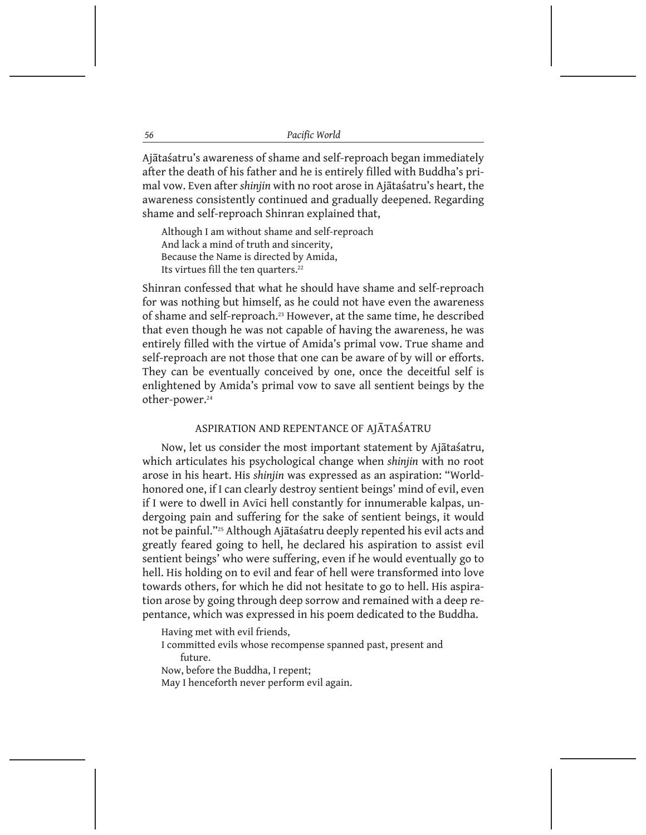Ajātaśatru's awareness of shame and self-reproach began immediately after the death of his father and he is entirely filled with Buddha's primal vow. Even after *shinjin* with no root arose in Ajātaśatru's heart, the awareness consistently continued and gradually deepened. Regarding shame and self-reproach Shinran explained that,

Although I am without shame and self-reproach And lack a mind of truth and sincerity, Because the Name is directed by Amida, Its virtues fill the ten quarters.<sup>22</sup>

Shinran confessed that what he should have shame and self-reproach for was nothing but himself, as he could not have even the awareness of shame and self-reproach.23 However, at the same time, he described that even though he was not capable of having the awareness, he was entirely filled with the virtue of Amida's primal vow. True shame and self-reproach are not those that one can be aware of by will or efforts. They can be eventually conceived by one, once the deceitful self is enlightened by Amida's primal vow to save all sentient beings by the other-power.<sup>24</sup>

## ASPIRATION AND REPENTANCE OF AJĀTAŚATRU

Now, let us consider the most important statement by Ajātaśatru, which articulates his psychological change when *shinjin* with no root arose in his heart. His *shinjin* was expressed as an aspiration: "Worldhonored one, if I can clearly destroy sentient beings' mind of evil, even if I were to dwell in Avīci hell constantly for innumerable kalpas, undergoing pain and suffering for the sake of sentient beings, it would not be painful."25 Although Ajātaśatru deeply repented his evil acts and greatly feared going to hell, he declared his aspiration to assist evil sentient beings' who were suffering, even if he would eventually go to hell. His holding on to evil and fear of hell were transformed into love towards others, for which he did not hesitate to go to hell. His aspiration arose by going through deep sorrow and remained with a deep repentance, which was expressed in his poem dedicated to the Buddha.

Having met with evil friends,

I committed evils whose recompense spanned past, present and future.

Now, before the Buddha, I repent;

May I henceforth never perform evil again.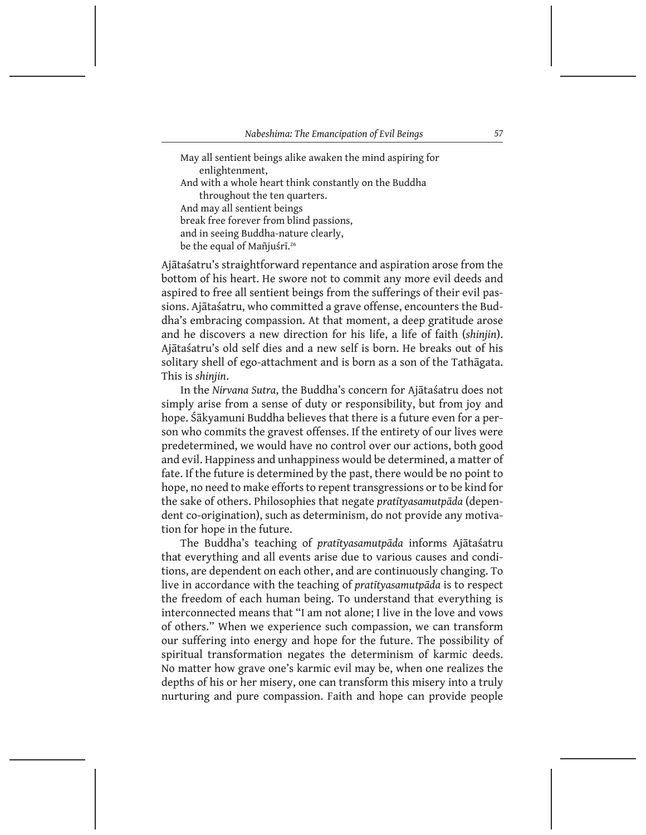May all sentient beings alike awaken the mind aspiring for enlightenment,

And with a whole heart think constantly on the Buddha throughout the ten quarters. And may all sentient beings break free forever from blind passions, and in seeing Buddha-nature clearly,

be the equal of Mañjuśrī.<sup>26</sup>

Ajātaśatru's straightforward repentance and aspiration arose from the bottom of his heart. He swore not to commit any more evil deeds and aspired to free all sentient beings from the sufferings of their evil passions. Ajātaśatru, who committed a grave offense, encounters the Buddha's embracing compassion. At that moment, a deep gratitude arose and he discovers a new direction for his life, a life of faith (*shinjin*). Ajātaśatru's old self dies and a new self is born. He breaks out of his solitary shell of ego-attachment and is born as a son of the Tathāgata. This is *shinjin*.

In the *Nirvana Sutra*, the Buddha's concern for Ajātaśatru does not simply arise from a sense of duty or responsibility, but from joy and hope. Śākyamuni Buddha believes that there is a future even for a person who commits the gravest offenses. If the entirety of our lives were predetermined, we would have no control over our actions, both good and evil. Happiness and unhappiness would be determined, a matter of fate. If the future is determined by the past, there would be no point to hope, no need to make efforts to repent transgressions or to be kind for the sake of others. Philosophies that negate *pratītyasamutpāda* (dependent co-origination), such as determinism, do not provide any motivation for hope in the future.

The Buddha's teaching of *pratītyasamutpāda* informs Ajātaśatru that everything and all events arise due to various causes and conditions, are dependent on each other, and are continuously changing. To live in accordance with the teaching of *pratītyasamutpāda* is to respect the freedom of each human being. To understand that everything is interconnected means that "I am not alone; I live in the love and vows of others." When we experience such compassion, we can transform our suffering into energy and hope for the future. The possibility of spiritual transformation negates the determinism of karmic deeds. No matter how grave one's karmic evil may be, when one realizes the depths of his or her misery, one can transform this misery into a truly nurturing and pure compassion. Faith and hope can provide people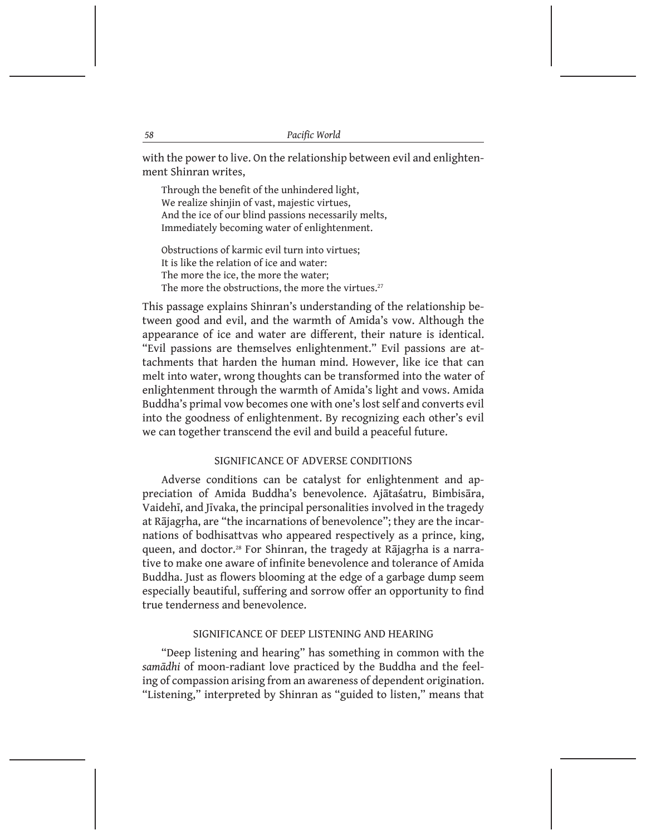with the power to live. On the relationship between evil and enlightenment Shinran writes,

Through the benefit of the unhindered light, We realize shinjin of vast, majestic virtues, And the ice of our blind passions necessarily melts, Immediately becoming water of enlightenment.

Obstructions of karmic evil turn into virtues; It is like the relation of ice and water: The more the ice, the more the water; The more the obstructions, the more the virtues.<sup>27</sup>

This passage explains Shinran's understanding of the relationship between good and evil, and the warmth of Amida's vow. Although the appearance of ice and water are different, their nature is identical. "Evil passions are themselves enlightenment." Evil passions are attachments that harden the human mind. However, like ice that can melt into water, wrong thoughts can be transformed into the water of enlightenment through the warmth of Amida's light and vows. Amida Buddha's primal vow becomes one with one's lost self and converts evil into the goodness of enlightenment. By recognizing each other's evil we can together transcend the evil and build a peaceful future.

#### SIGNIFICANCE OF ADVERSE CONDITIONS

Adverse conditions can be catalyst for enlightenment and appreciation of Amida Buddha's benevolence. Ajātaśatru, Bimbisāra, Vaidehī, and Jīvaka, the principal personalities involved in the tragedy at Rājagṛha, are "the incarnations of benevolence"; they are the incarnations of bodhisattvas who appeared respectively as a prince, king, queen, and doctor.<sup>28</sup> For Shinran, the tragedy at Rājagṛha is a narrative to make one aware of infinite benevolence and tolerance of Amida Buddha. Just as flowers blooming at the edge of a garbage dump seem especially beautiful, suffering and sorrow offer an opportunity to find true tenderness and benevolence.

## SIGNIFICANCE OF DEEP LISTENING AND HEARING

"Deep listening and hearing" has something in common with the *samādhi* of moon-radiant love practiced by the Buddha and the feeling of compassion arising from an awareness of dependent origination. "Listening," interpreted by Shinran as "guided to listen," means that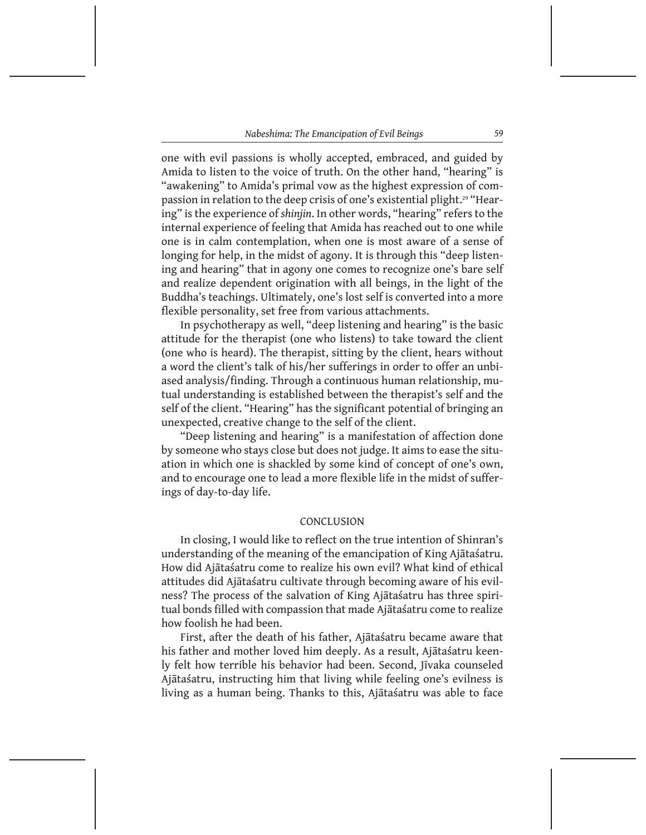one with evil passions is wholly accepted, embraced, and guided by Amida to listen to the voice of truth. On the other hand, "hearing" is "awakening" to Amida's primal vow as the highest expression of compassion in relation to the deep crisis of one's existential plight.<sup>29</sup> "Hearing" is the experience of *shinjin*. In other words, "hearing" refers to the internal experience of feeling that Amida has reached out to one while one is in calm contemplation, when one is most aware of a sense of longing for help, in the midst of agony. It is through this "deep listening and hearing" that in agony one comes to recognize one's bare self and realize dependent origination with all beings, in the light of the Buddha's teachings. Ultimately, one's lost self is converted into a more flexible personality, set free from various attachments.

In psychotherapy as well, "deep listening and hearing" is the basic attitude for the therapist (one who listens) to take toward the client (one who is heard). The therapist, sitting by the client, hears without a word the client's talk of his/her sufferings in order to offer an unbiased analysis/finding. Through a continuous human relationship, mutual understanding is established between the therapist's self and the self of the client. "Hearing" has the significant potential of bringing an unexpected, creative change to the self of the client.

"Deep listening and hearing" is a manifestation of affection done by someone who stays close but does not judge. It aims to ease the situation in which one is shackled by some kind of concept of one's own, and to encourage one to lead a more flexible life in the midst of sufferings of day-to-day life.

#### CONCLUSION

In closing, I would like to reflect on the true intention of Shinran's understanding of the meaning of the emancipation of King Ajātaśatru. How did Ajātaśatru come to realize his own evil? What kind of ethical attitudes did Ajātaśatru cultivate through becoming aware of his evilness? The process of the salvation of King Ajātaśatru has three spiritual bonds filled with compassion that made Ajātaśatru come to realize how foolish he had been.

First, after the death of his father, Ajātaśatru became aware that his father and mother loved him deeply. As a result, Ajātaśatru keenly felt how terrible his behavior had been. Second, Jīvaka counseled Ajātaśatru, instructing him that living while feeling one's evilness is living as a human being. Thanks to this, Ajātaśatru was able to face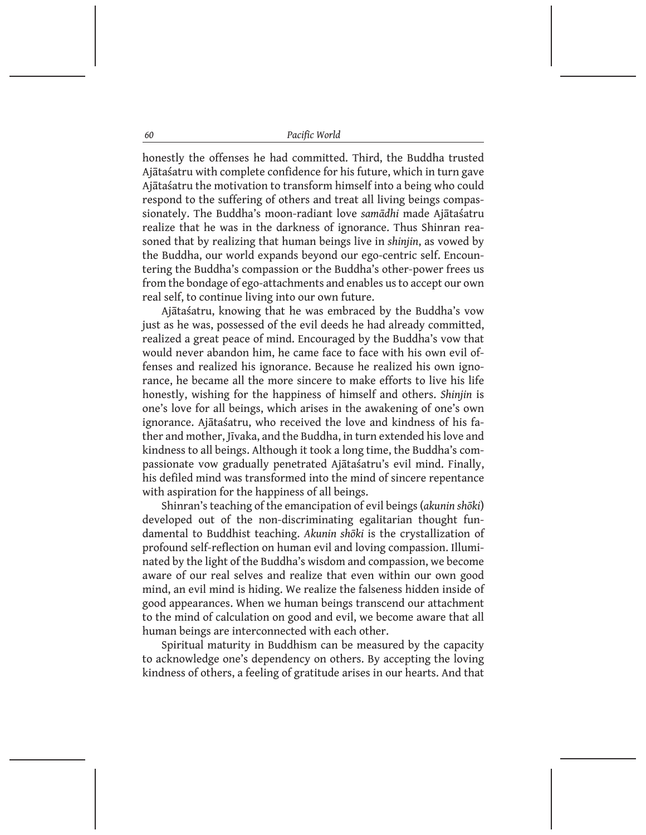honestly the offenses he had committed. Third, the Buddha trusted Ajātaśatru with complete confidence for his future, which in turn gave Ajātaśatru the motivation to transform himself into a being who could respond to the suffering of others and treat all living beings compassionately. The Buddha's moon-radiant love *samādhi* made Ajātaśatru realize that he was in the darkness of ignorance. Thus Shinran reasoned that by realizing that human beings live in *shinjin*, as vowed by the Buddha, our world expands beyond our ego-centric self. Encountering the Buddha's compassion or the Buddha's other-power frees us from the bondage of ego-attachments and enables us to accept our own real self, to continue living into our own future.

Ajātaśatru, knowing that he was embraced by the Buddha's vow just as he was, possessed of the evil deeds he had already committed, realized a great peace of mind. Encouraged by the Buddha's vow that would never abandon him, he came face to face with his own evil offenses and realized his ignorance. Because he realized his own ignorance, he became all the more sincere to make efforts to live his life honestly, wishing for the happiness of himself and others. *Shinjin* is one's love for all beings, which arises in the awakening of one's own ignorance. Ajātaśatru, who received the love and kindness of his father and mother, Jīvaka, and the Buddha, in turn extended his love and kindness to all beings. Although it took a long time, the Buddha's compassionate vow gradually penetrated Ajātaśatru's evil mind. Finally, his defiled mind was transformed into the mind of sincere repentance with aspiration for the happiness of all beings.

Shinran's teaching of the emancipation of evil beings (*akunin shōki*) developed out of the non-discriminating egalitarian thought fundamental to Buddhist teaching. *Akunin shōki* is the crystallization of profound self-reflection on human evil and loving compassion. Illuminated by the light of the Buddha's wisdom and compassion, we become aware of our real selves and realize that even within our own good mind, an evil mind is hiding. We realize the falseness hidden inside of good appearances. When we human beings transcend our attachment to the mind of calculation on good and evil, we become aware that all human beings are interconnected with each other.

Spiritual maturity in Buddhism can be measured by the capacity to acknowledge one's dependency on others. By accepting the loving kindness of others, a feeling of gratitude arises in our hearts. And that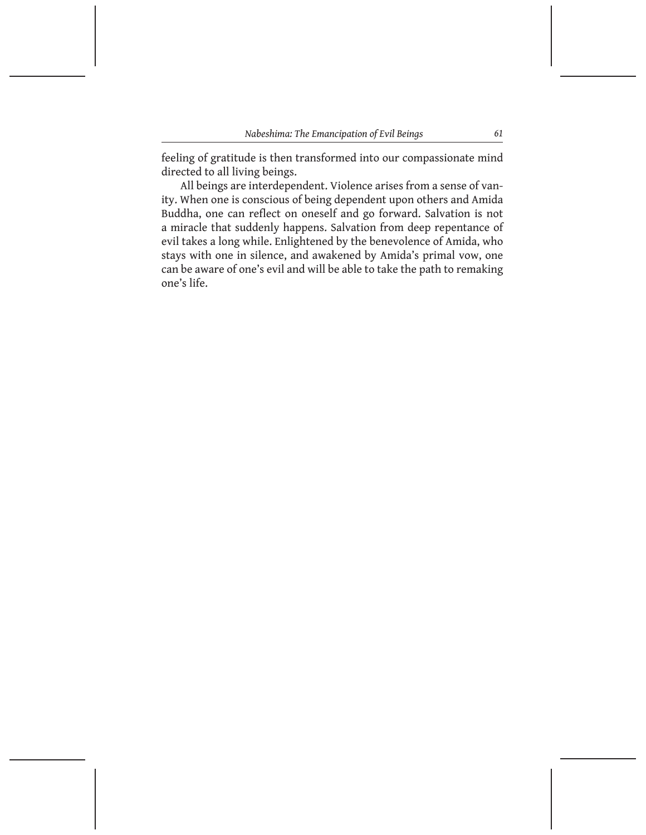feeling of gratitude is then transformed into our compassionate mind directed to all living beings.

All beings are interdependent. Violence arises from a sense of vanity. When one is conscious of being dependent upon others and Amida Buddha, one can reflect on oneself and go forward. Salvation is not a miracle that suddenly happens. Salvation from deep repentance of evil takes a long while. Enlightened by the benevolence of Amida, who stays with one in silence, and awakened by Amida's primal vow, one can be aware of one's evil and will be able to take the path to remaking one's life.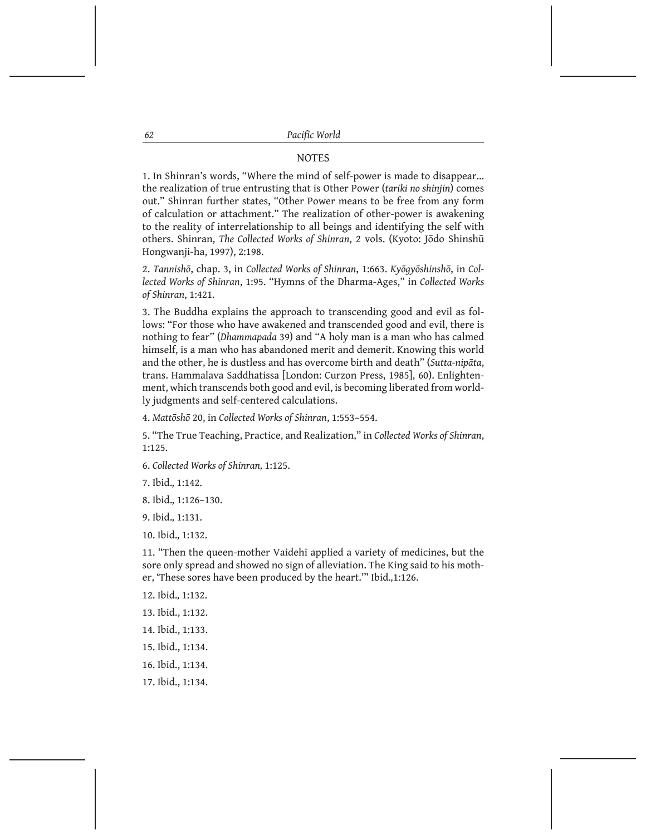#### **NOTES**

1. In Shinran's words, "Where the mind of self-power is made to disappear… the realization of true entrusting that is Other Power (*tariki no shinjin*) comes out." Shinran further states, "Other Power means to be free from any form of calculation or attachment." The realization of other-power is awakening to the reality of interrelationship to all beings and identifying the self with others. Shinran, *The Collected Works of Shinran*, 2 vols. (Kyoto: Jōdo Shinshū Hongwanji-ha, 1997), 2:198.

2. *Tannishō*, chap. 3, in *Collected Works of Shinran*, 1:663. *Kyōgyōshinshō*, in *Collected Works of Shinran*, 1:95. "Hymns of the Dharma-Ages," in *Collected Works of Shinran*, 1:421.

3. The Buddha explains the approach to transcending good and evil as follows: "For those who have awakened and transcended good and evil, there is nothing to fear" (*Dhammapada* 39) and "A holy man is a man who has calmed himself, is a man who has abandoned merit and demerit. Knowing this world and the other, he is dustless and has overcome birth and death" (*Sutta-nipāta*, trans. Hammalava Saddhatissa [London: Curzon Press, 1985], 60). Enlightenment, which transcends both good and evil, is becoming liberated from worldly judgments and self-centered calculations.

4. *Mattōshō* 20, in *Collected Works of Shinran*, 1:553–554.

5. "The True Teaching, Practice, and Realization," in *Collected Works of Shinran*, 1:125.

6. *Collected Works of Shinran,* 1:125.

7. Ibid.*,* 1:142.

8. Ibid.*,* 1:126–130.

9. Ibid.*,* 1:131.

10. Ibid.*,* 1:132.

11. "Then the queen-mother Vaidehī applied a variety of medicines, but the sore only spread and showed no sign of alleviation. The King said to his mother, 'These sores have been produced by the heart.'" Ibid.*,*1:126.

12. Ibid.*,* 1:132.

- 13. Ibid., 1:132.
- 14. Ibid., 1:133.
- 15. Ibid., 1:134.
- 16. Ibid., 1:134.
- 17. Ibid., 1:134.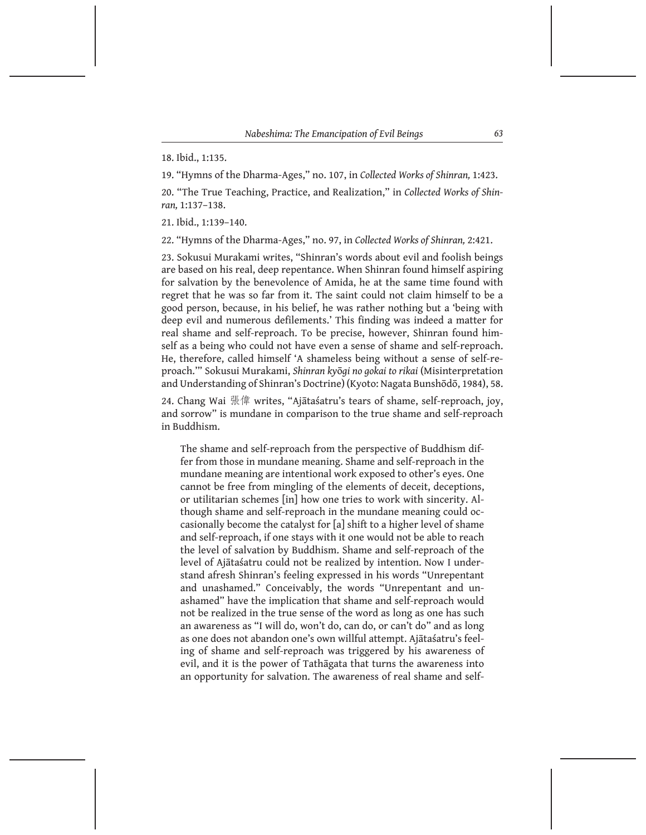#### 18. Ibid., 1:135.

19. "Hymns of the Dharma-Ages," no. 107, in *Collected Works of Shinran,* 1:423.

20. "The True Teaching, Practice, and Realization," in *Collected Works of Shinran,* 1:137–138.

21. Ibid., 1:139–140.

22. "Hymns of the Dharma-Ages," no. 97, in *Collected Works of Shinran,* 2:421.

23. Sokusui Murakami writes, "Shinran's words about evil and foolish beings are based on his real, deep repentance. When Shinran found himself aspiring for salvation by the benevolence of Amida, he at the same time found with regret that he was so far from it. The saint could not claim himself to be a good person, because, in his belief, he was rather nothing but a 'being with deep evil and numerous defilements.' This finding was indeed a matter for real shame and self-reproach. To be precise, however, Shinran found himself as a being who could not have even a sense of shame and self-reproach. He, therefore, called himself 'A shameless being without a sense of self-reproach.'" Sokusui Murakami, *Shinran ky*ō*gi no gokai to rikai* (Misinterpretation and Understanding of Shinran's Doctrine) (Kyoto: Nagata Bunshōdō, 1984), 58.

24. Chang Wai 張偉 writes, "Ajātaśatru's tears of shame, self-reproach, joy, and sorrow" is mundane in comparison to the true shame and self-reproach in Buddhism.

The shame and self-reproach from the perspective of Buddhism differ from those in mundane meaning. Shame and self-reproach in the mundane meaning are intentional work exposed to other's eyes. One cannot be free from mingling of the elements of deceit, deceptions, or utilitarian schemes [in] how one tries to work with sincerity. Although shame and self-reproach in the mundane meaning could occasionally become the catalyst for [a] shift to a higher level of shame and self-reproach, if one stays with it one would not be able to reach the level of salvation by Buddhism. Shame and self-reproach of the level of Ajātaśatru could not be realized by intention. Now I understand afresh Shinran's feeling expressed in his words "Unrepentant and unashamed." Conceivably, the words "Unrepentant and unashamed" have the implication that shame and self-reproach would not be realized in the true sense of the word as long as one has such an awareness as "I will do, won't do, can do, or can't do" and as long as one does not abandon one's own willful attempt. Ajātaśatru's feeling of shame and self-reproach was triggered by his awareness of evil, and it is the power of Tathāgata that turns the awareness into an opportunity for salvation. The awareness of real shame and self-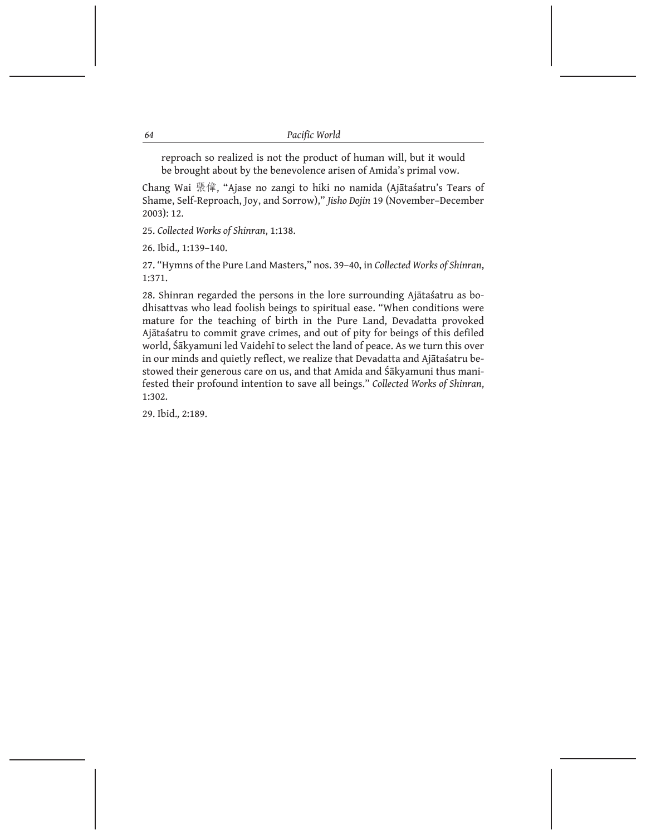reproach so realized is not the product of human will, but it would be brought about by the benevolence arisen of Amida's primal vow.

Chang Wai 張偉, "Ajase no zangi to hiki no namida (Ajātaśatru's Tears of Shame, Self-Reproach, Joy, and Sorrow)," *Jisho Dojin* 19 (November–December 2003): 12.

25. *Collected Works of Shinran*, 1:138.

26. Ibid.*,* 1:139–140.

27. "Hymns of the Pure Land Masters," nos. 39–40, in *Collected Works of Shinran*, 1:371.

28. Shinran regarded the persons in the lore surrounding Ajātaśatru as bodhisattvas who lead foolish beings to spiritual ease. "When conditions were mature for the teaching of birth in the Pure Land, Devadatta provoked Ajātaśatru to commit grave crimes, and out of pity for beings of this defiled world, Śākyamuni led Vaidehī to select the land of peace. As we turn this over in our minds and quietly reflect, we realize that Devadatta and Ajātaśatru bestowed their generous care on us, and that Amida and Śākyamuni thus manifested their profound intention to save all beings." *Collected Works of Shinran*, 1:302.

29. Ibid.*,* 2:189.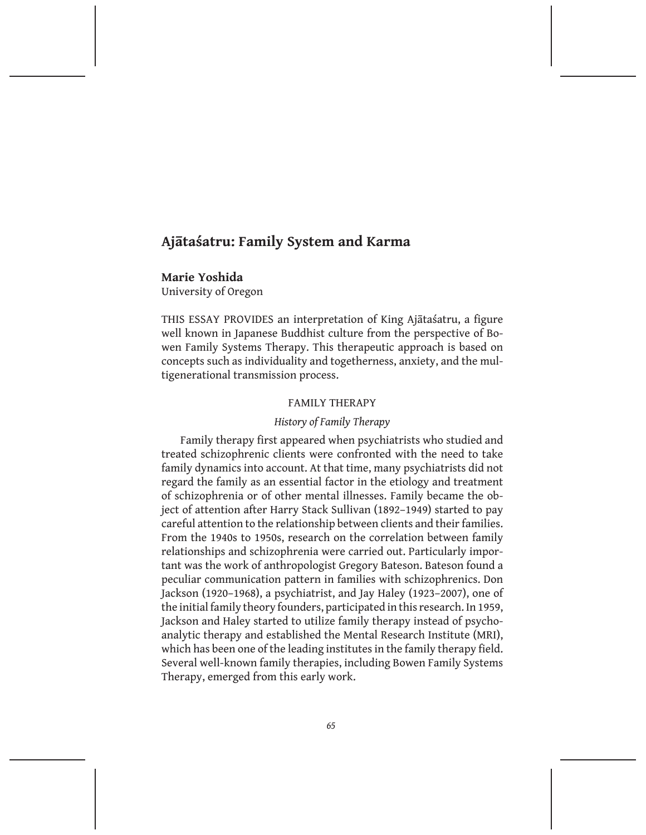# **Ajātaśatru: Family System and Karma**

## **Marie Yoshida**

University of Oregon

THIS ESSAY PROVIDES an interpretation of King Ajātaśatru, a figure well known in Japanese Buddhist culture from the perspective of Bowen Family Systems Therapy. This therapeutic approach is based on concepts such as individuality and togetherness, anxiety, and the multigenerational transmission process.

### FAMILY THERAPY

## *History of Family Therapy*

Family therapy first appeared when psychiatrists who studied and treated schizophrenic clients were confronted with the need to take family dynamics into account. At that time, many psychiatrists did not regard the family as an essential factor in the etiology and treatment of schizophrenia or of other mental illnesses. Family became the object of attention after Harry Stack Sullivan (1892–1949) started to pay careful attention to the relationship between clients and their families. From the 1940s to 1950s, research on the correlation between family relationships and schizophrenia were carried out. Particularly important was the work of anthropologist Gregory Bateson. Bateson found a peculiar communication pattern in families with schizophrenics. Don Jackson (1920–1968), a psychiatrist, and Jay Haley (1923–2007), one of the initial family theory founders, participated in this research. In 1959, Jackson and Haley started to utilize family therapy instead of psychoanalytic therapy and established the Mental Research Institute (MRI), which has been one of the leading institutes in the family therapy field. Several well-known family therapies, including Bowen Family Systems Therapy, emerged from this early work.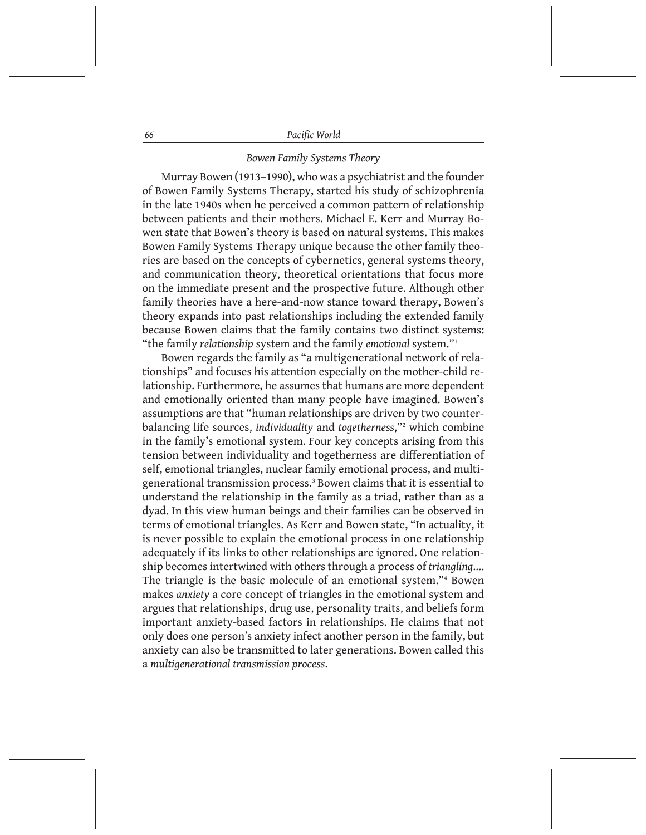#### *Bowen Family Systems Theory*

Murray Bowen (1913–1990), who was a psychiatrist and the founder of Bowen Family Systems Therapy, started his study of schizophrenia in the late 1940s when he perceived a common pattern of relationship between patients and their mothers. Michael E. Kerr and Murray Bowen state that Bowen's theory is based on natural systems. This makes Bowen Family Systems Therapy unique because the other family theories are based on the concepts of cybernetics, general systems theory, and communication theory, theoretical orientations that focus more on the immediate present and the prospective future. Although other family theories have a here-and-now stance toward therapy, Bowen's theory expands into past relationships including the extended family because Bowen claims that the family contains two distinct systems: "the family *relationship* system and the family *emotional* system."1

Bowen regards the family as "a multigenerational network of relationships" and focuses his attention especially on the mother-child relationship. Furthermore, he assumes that humans are more dependent and emotionally oriented than many people have imagined. Bowen's assumptions are that "human relationships are driven by two counterbalancing life sources, *individuality* and *togetherness*,"2 which combine in the family's emotional system. Four key concepts arising from this tension between individuality and togetherness are differentiation of self, emotional triangles, nuclear family emotional process, and multigenerational transmission process.3 Bowen claims that it is essential to understand the relationship in the family as a triad, rather than as a dyad. In this view human beings and their families can be observed in terms of emotional triangles. As Kerr and Bowen state, "In actuality, it is never possible to explain the emotional process in one relationship adequately if its links to other relationships are ignored. One relationship becomes intertwined with others through a process of *triangling*…. The triangle is the basic molecule of an emotional system."4 Bowen makes *anxiety* a core concept of triangles in the emotional system and argues that relationships, drug use, personality traits, and beliefs form important anxiety-based factors in relationships. He claims that not only does one person's anxiety infect another person in the family, but anxiety can also be transmitted to later generations. Bowen called this a *multigenerational transmission process*.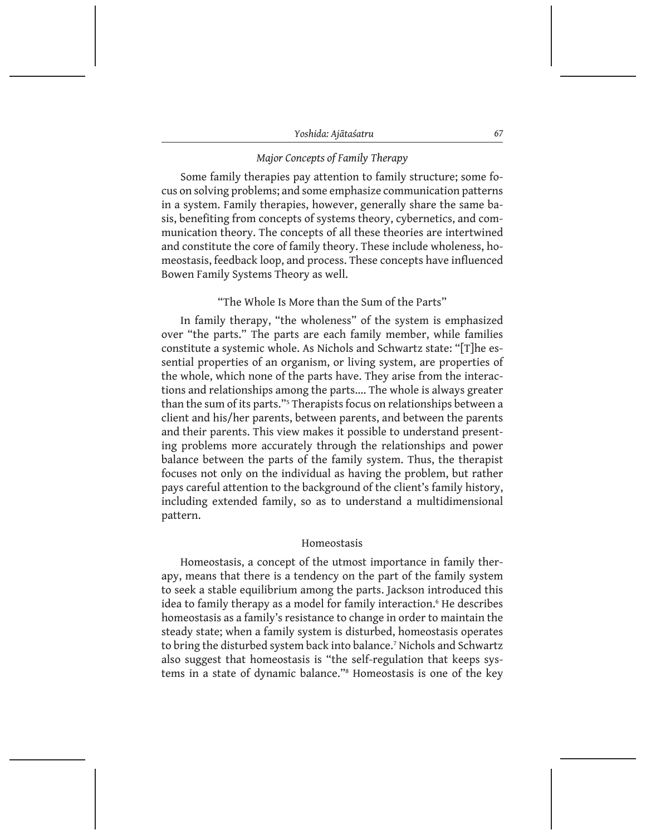#### *Yoshida: Ajātaśatru 67*

#### *Major Concepts of Family Therapy*

Some family therapies pay attention to family structure; some focus on solving problems; and some emphasize communication patterns in a system. Family therapies, however, generally share the same basis, benefiting from concepts of systems theory, cybernetics, and communication theory. The concepts of all these theories are intertwined and constitute the core of family theory. These include wholeness, homeostasis, feedback loop, and process. These concepts have influenced Bowen Family Systems Theory as well.

## "The Whole Is More than the Sum of the Parts"

In family therapy, "the wholeness" of the system is emphasized over "the parts." The parts are each family member, while families constitute a systemic whole. As Nichols and Schwartz state: "[T]he essential properties of an organism, or living system, are properties of the whole, which none of the parts have. They arise from the interactions and relationships among the parts…. The whole is always greater than the sum of its parts."5 Therapists focus on relationships between a client and his/her parents, between parents, and between the parents and their parents. This view makes it possible to understand presenting problems more accurately through the relationships and power balance between the parts of the family system. Thus, the therapist focuses not only on the individual as having the problem, but rather pays careful attention to the background of the client's family history, including extended family, so as to understand a multidimensional pattern.

#### Homeostasis

Homeostasis, a concept of the utmost importance in family therapy, means that there is a tendency on the part of the family system to seek a stable equilibrium among the parts. Jackson introduced this idea to family therapy as a model for family interaction.6 He describes homeostasis as a family's resistance to change in order to maintain the steady state; when a family system is disturbed, homeostasis operates to bring the disturbed system back into balance.7 Nichols and Schwartz also suggest that homeostasis is "the self-regulation that keeps systems in a state of dynamic balance."8 Homeostasis is one of the key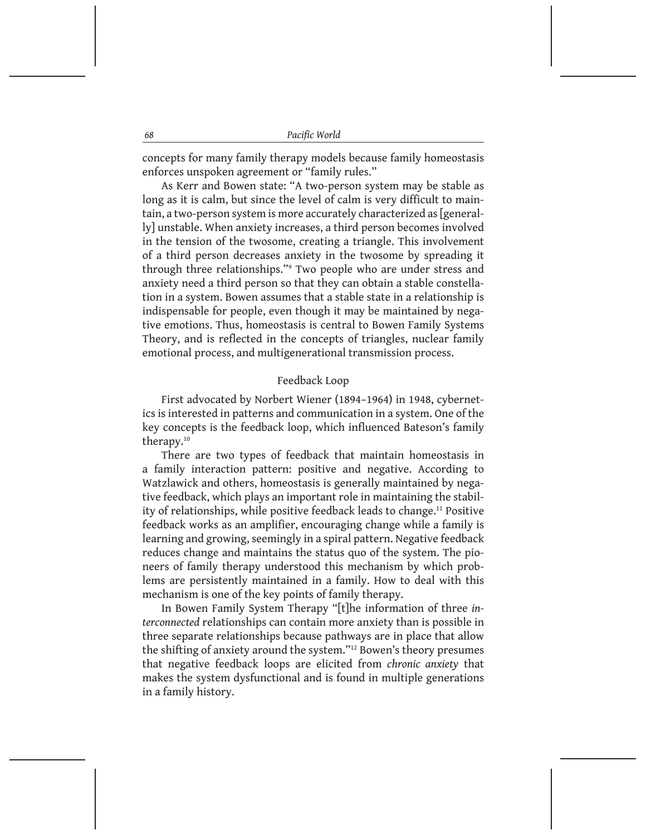concepts for many family therapy models because family homeostasis enforces unspoken agreement or "family rules."

As Kerr and Bowen state: "A two-person system may be stable as long as it is calm, but since the level of calm is very difficult to maintain, a two-person system is more accurately characterized as [generally] unstable. When anxiety increases, a third person becomes involved in the tension of the twosome, creating a triangle. This involvement of a third person decreases anxiety in the twosome by spreading it through three relationships."9 Two people who are under stress and anxiety need a third person so that they can obtain a stable constellation in a system. Bowen assumes that a stable state in a relationship is indispensable for people, even though it may be maintained by negative emotions. Thus, homeostasis is central to Bowen Family Systems Theory, and is reflected in the concepts of triangles, nuclear family emotional process, and multigenerational transmission process.

#### Feedback Loop

First advocated by Norbert Wiener (1894–1964) in 1948, cybernetics is interested in patterns and communication in a system. One of the key concepts is the feedback loop, which influenced Bateson's family therapy.10

There are two types of feedback that maintain homeostasis in a family interaction pattern: positive and negative. According to Watzlawick and others, homeostasis is generally maintained by negative feedback, which plays an important role in maintaining the stability of relationships, while positive feedback leads to change.11 Positive feedback works as an amplifier, encouraging change while a family is learning and growing, seemingly in a spiral pattern. Negative feedback reduces change and maintains the status quo of the system. The pioneers of family therapy understood this mechanism by which problems are persistently maintained in a family. How to deal with this mechanism is one of the key points of family therapy.

In Bowen Family System Therapy "[t]he information of three *interconnected* relationships can contain more anxiety than is possible in three separate relationships because pathways are in place that allow the shifting of anxiety around the system."12 Bowen's theory presumes that negative feedback loops are elicited from *chronic anxiety* that makes the system dysfunctional and is found in multiple generations in a family history.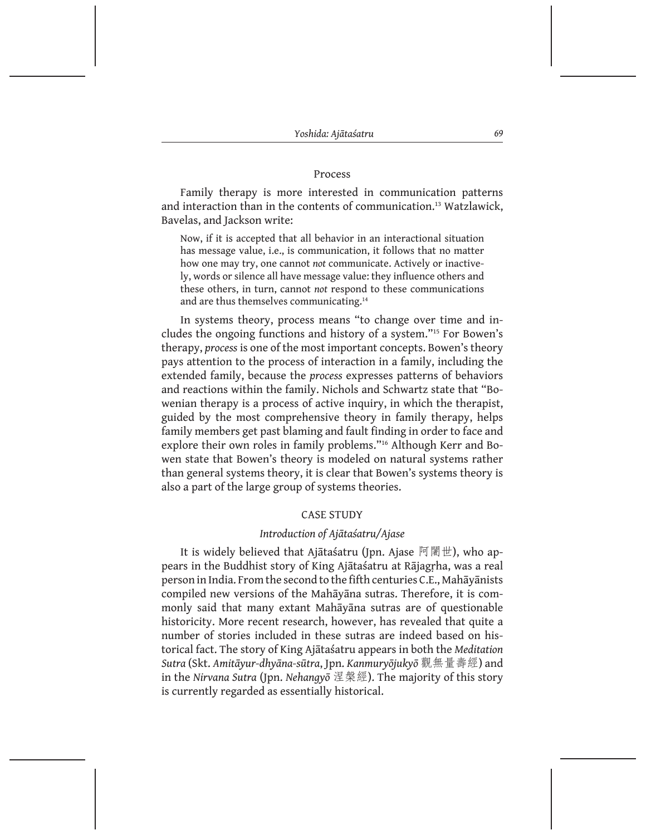#### Process

Family therapy is more interested in communication patterns and interaction than in the contents of communication.<sup>13</sup> Watzlawick, Bavelas, and Jackson write:

Now, if it is accepted that all behavior in an interactional situation has message value, i.e., is communication, it follows that no matter how one may try, one cannot *not* communicate. Actively or inactively, words or silence all have message value: they influence others and these others, in turn, cannot *not* respond to these communications and are thus themselves communicating.<sup>14</sup>

In systems theory, process means "to change over time and includes the ongoing functions and history of a system."15 For Bowen's therapy, *process* is one of the most important concepts. Bowen's theory pays attention to the process of interaction in a family, including the extended family, because the *process* expresses patterns of behaviors and reactions within the family. Nichols and Schwartz state that "Bowenian therapy is a process of active inquiry, in which the therapist, guided by the most comprehensive theory in family therapy, helps family members get past blaming and fault finding in order to face and explore their own roles in family problems."16 Although Kerr and Bowen state that Bowen's theory is modeled on natural systems rather than general systems theory, it is clear that Bowen's systems theory is also a part of the large group of systems theories.

## CASE STUDY

## *Introduction of Ajātaśatru/Ajase*

It is widely believed that Ajātaśatru (Jpn. Ajase 阿闍世), who appears in the Buddhist story of King Ajātaśatru at Rājagṛha, was a real person in India. From the second to the fifth centuries C.E., Mahāyānists compiled new versions of the Mahāyāna sutras. Therefore, it is commonly said that many extant Mahāyāna sutras are of questionable historicity. More recent research, however, has revealed that quite a number of stories included in these sutras are indeed based on historical fact. The story of King Ajātaśatru appears in both the *Meditation Sutra* (Skt. *Amitāyur-dhyāna-sūtra*, Jpn. *Kanmuryōjukyō* 觀無量壽經) and in the *Nirvana Sutra* (Jpn. *Nehangyō* 涅槃經). The majority of this story is currently regarded as essentially historical.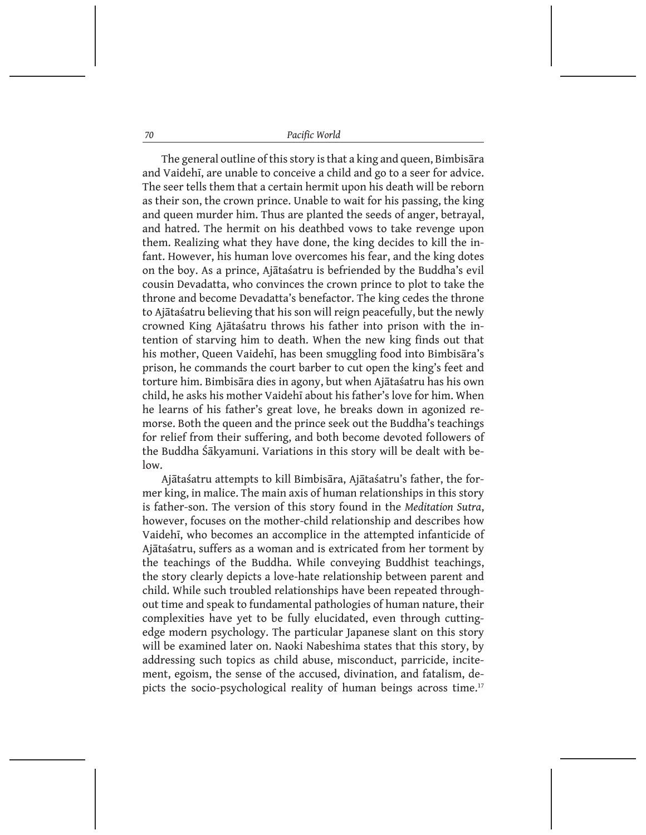The general outline of this story is that a king and queen, Bimbisāra and Vaidehī, are unable to conceive a child and go to a seer for advice. The seer tells them that a certain hermit upon his death will be reborn as their son, the crown prince. Unable to wait for his passing, the king and queen murder him. Thus are planted the seeds of anger, betrayal, and hatred. The hermit on his deathbed vows to take revenge upon them. Realizing what they have done, the king decides to kill the infant. However, his human love overcomes his fear, and the king dotes on the boy. As a prince, Ajātaśatru is befriended by the Buddha's evil cousin Devadatta, who convinces the crown prince to plot to take the throne and become Devadatta's benefactor. The king cedes the throne to Ajātaśatru believing that his son will reign peacefully, but the newly crowned King Ajātaśatru throws his father into prison with the intention of starving him to death. When the new king finds out that his mother, Queen Vaidehī, has been smuggling food into Bimbisāra's prison, he commands the court barber to cut open the king's feet and torture him. Bimbisāra dies in agony, but when Ajātaśatru has his own child, he asks his mother Vaidehī about his father's love for him. When he learns of his father's great love, he breaks down in agonized remorse. Both the queen and the prince seek out the Buddha's teachings for relief from their suffering, and both become devoted followers of the Buddha Śākyamuni. Variations in this story will be dealt with below.

Ajātaśatru attempts to kill Bimbisāra, Ajātaśatru's father, the former king, in malice. The main axis of human relationships in this story is father-son. The version of this story found in the *Meditation Sutra*, however, focuses on the mother-child relationship and describes how Vaidehī, who becomes an accomplice in the attempted infanticide of Ajātaśatru, suffers as a woman and is extricated from her torment by the teachings of the Buddha. While conveying Buddhist teachings, the story clearly depicts a love-hate relationship between parent and child. While such troubled relationships have been repeated throughout time and speak to fundamental pathologies of human nature, their complexities have yet to be fully elucidated, even through cuttingedge modern psychology. The particular Japanese slant on this story will be examined later on. Naoki Nabeshima states that this story, by addressing such topics as child abuse, misconduct, parricide, incitement, egoism, the sense of the accused, divination, and fatalism, depicts the socio-psychological reality of human beings across time.<sup>17</sup>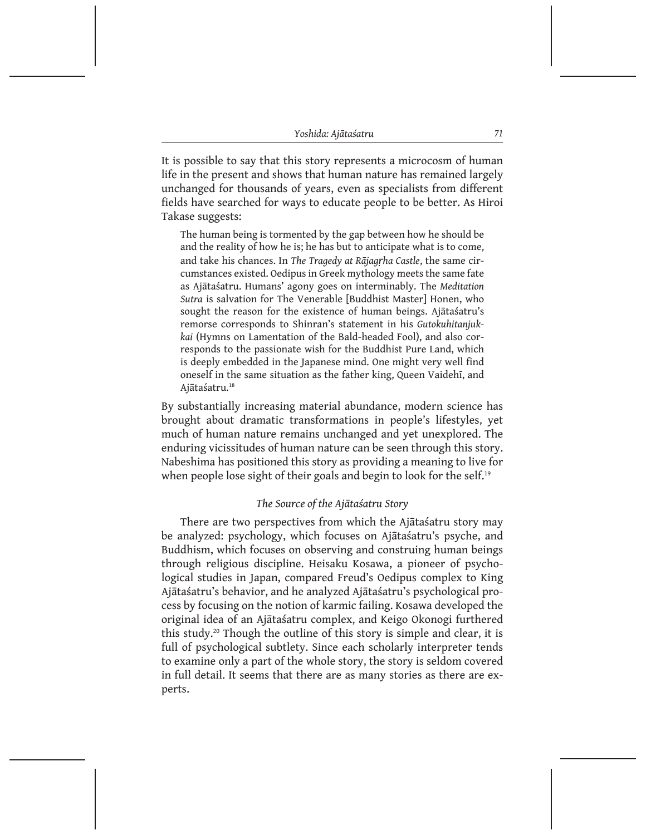It is possible to say that this story represents a microcosm of human life in the present and shows that human nature has remained largely unchanged for thousands of years, even as specialists from different fields have searched for ways to educate people to be better. As Hiroi Takase suggests:

The human being is tormented by the gap between how he should be and the reality of how he is; he has but to anticipate what is to come, and take his chances. In *The Tragedy at Rājagṛha Castle*, the same circumstances existed. Oedipus in Greek mythology meets the same fate as Ajātaśatru. Humans' agony goes on interminably. The *Meditation Sutra* is salvation for The Venerable [Buddhist Master] Honen, who sought the reason for the existence of human beings. Ajātaśatru's remorse corresponds to Shinran's statement in his *Gutokuhitanjukkai* (Hymns on Lamentation of the Bald-headed Fool), and also corresponds to the passionate wish for the Buddhist Pure Land, which is deeply embedded in the Japanese mind. One might very well find oneself in the same situation as the father king, Queen Vaidehī, and Ajātaśatru.18

By substantially increasing material abundance, modern science has brought about dramatic transformations in people's lifestyles, yet much of human nature remains unchanged and yet unexplored. The enduring vicissitudes of human nature can be seen through this story. Nabeshima has positioned this story as providing a meaning to live for when people lose sight of their goals and begin to look for the self.<sup>19</sup>

# *The Source of the Ajātaśatru Story*

There are two perspectives from which the Ajātaśatru story may be analyzed: psychology, which focuses on Ajātaśatru's psyche, and Buddhism, which focuses on observing and construing human beings through religious discipline. Heisaku Kosawa, a pioneer of psychological studies in Japan, compared Freud's Oedipus complex to King Ajātaśatru's behavior, and he analyzed Ajātaśatru's psychological process by focusing on the notion of karmic failing. Kosawa developed the original idea of an Ajātaśatru complex, and Keigo Okonogi furthered this study.20 Though the outline of this story is simple and clear, it is full of psychological subtlety. Since each scholarly interpreter tends to examine only a part of the whole story, the story is seldom covered in full detail. It seems that there are as many stories as there are experts.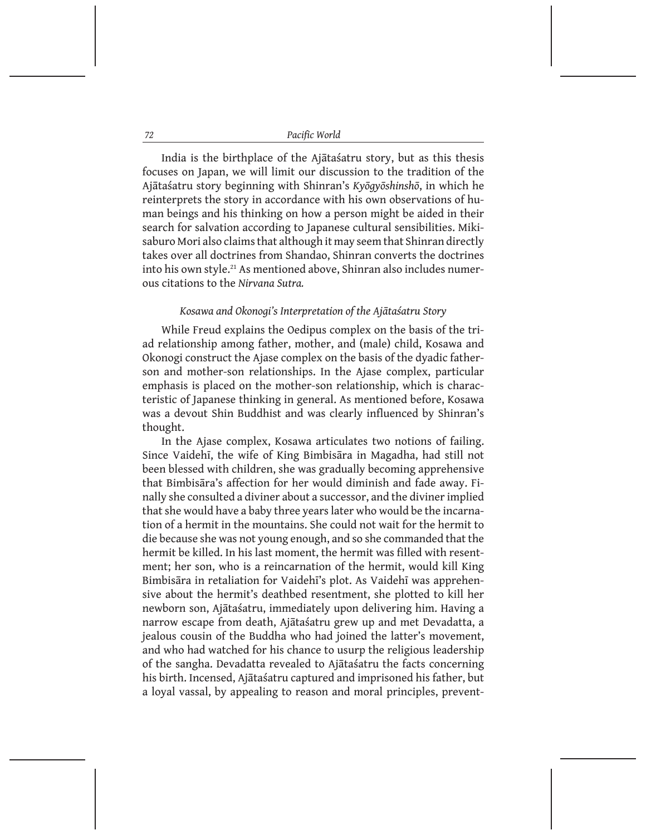India is the birthplace of the Ajātaśatru story, but as this thesis focuses on Japan, we will limit our discussion to the tradition of the Ajātaśatru story beginning with Shinran's *Kyōgyōshinshō*, in which he reinterprets the story in accordance with his own observations of human beings and his thinking on how a person might be aided in their search for salvation according to Japanese cultural sensibilities. Mikisaburo Mori also claims that although it may seem that Shinran directly takes over all doctrines from Shandao, Shinran converts the doctrines into his own style.<sup>21</sup> As mentioned above, Shinran also includes numerous citations to the *Nirvana Sutra.* 

#### *Kosawa and Okonogi's Interpretation of the Ajātaśatru Story*

While Freud explains the Oedipus complex on the basis of the triad relationship among father, mother, and (male) child, Kosawa and Okonogi construct the Ajase complex on the basis of the dyadic fatherson and mother-son relationships. In the Ajase complex, particular emphasis is placed on the mother-son relationship, which is characteristic of Japanese thinking in general. As mentioned before, Kosawa was a devout Shin Buddhist and was clearly influenced by Shinran's thought.

In the Ajase complex, Kosawa articulates two notions of failing. Since Vaidehī, the wife of King Bimbisāra in Magadha, had still not been blessed with children, she was gradually becoming apprehensive that Bimbisāra's affection for her would diminish and fade away. Finally she consulted a diviner about a successor, and the diviner implied that she would have a baby three years later who would be the incarnation of a hermit in the mountains. She could not wait for the hermit to die because she was not young enough, and so she commanded that the hermit be killed. In his last moment, the hermit was filled with resentment; her son, who is a reincarnation of the hermit, would kill King Bimbisāra in retaliation for Vaidehī's plot. As Vaidehī was apprehensive about the hermit's deathbed resentment, she plotted to kill her newborn son, Ajātaśatru, immediately upon delivering him. Having a narrow escape from death, Ajātaśatru grew up and met Devadatta, a jealous cousin of the Buddha who had joined the latter's movement, and who had watched for his chance to usurp the religious leadership of the sangha. Devadatta revealed to Ajātaśatru the facts concerning his birth. Incensed, Ajātaśatru captured and imprisoned his father, but a loyal vassal, by appealing to reason and moral principles, prevent-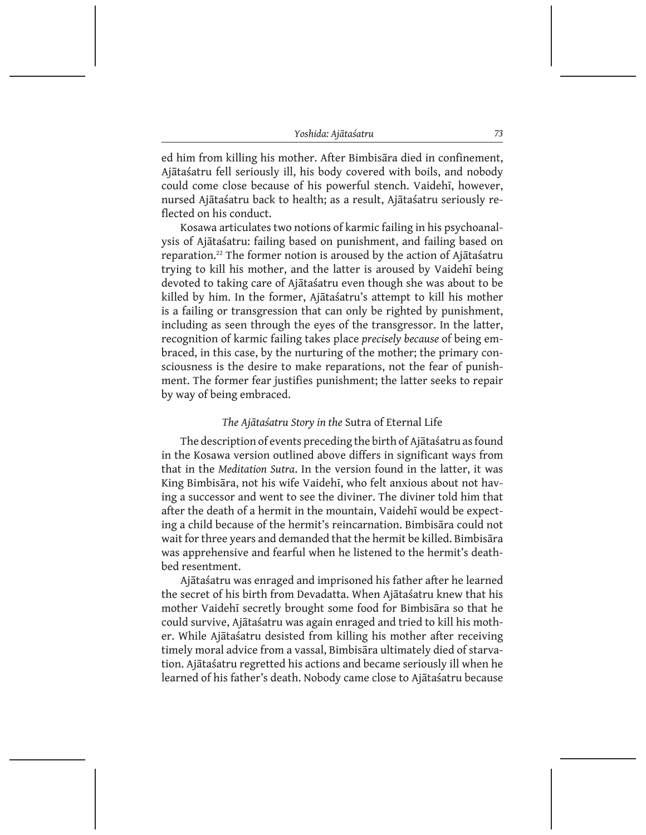ed him from killing his mother. After Bimbisāra died in confinement, Ajātaśatru fell seriously ill, his body covered with boils, and nobody could come close because of his powerful stench. Vaidehī, however, nursed Ajātaśatru back to health; as a result, Ajātaśatru seriously reflected on his conduct.

Kosawa articulates two notions of karmic failing in his psychoanalysis of Ajātaśatru: failing based on punishment, and failing based on reparation.<sup>22</sup> The former notion is aroused by the action of Ajātaśatru trying to kill his mother, and the latter is aroused by Vaidehī being devoted to taking care of Ajātaśatru even though she was about to be killed by him. In the former, Ajātaśatru's attempt to kill his mother is a failing or transgression that can only be righted by punishment, including as seen through the eyes of the transgressor. In the latter, recognition of karmic failing takes place *precisely because* of being embraced, in this case, by the nurturing of the mother; the primary consciousness is the desire to make reparations, not the fear of punishment. The former fear justifies punishment; the latter seeks to repair by way of being embraced.

## *The Ajātaśatru Story in the* Sutra of Eternal Life

The description of events preceding the birth of Ajātaśatru as found in the Kosawa version outlined above differs in significant ways from that in the *Meditation Sutra*. In the version found in the latter, it was King Bimbisāra, not his wife Vaidehī, who felt anxious about not having a successor and went to see the diviner. The diviner told him that after the death of a hermit in the mountain, Vaidehī would be expecting a child because of the hermit's reincarnation. Bimbisāra could not wait for three years and demanded that the hermit be killed. Bimbisāra was apprehensive and fearful when he listened to the hermit's deathbed resentment.

Ajātaśatru was enraged and imprisoned his father after he learned the secret of his birth from Devadatta. When Ajātaśatru knew that his mother Vaidehī secretly brought some food for Bimbisāra so that he could survive, Ajātaśatru was again enraged and tried to kill his mother. While Ajātaśatru desisted from killing his mother after receiving timely moral advice from a vassal, Bimbisāra ultimately died of starvation. Ajātaśatru regretted his actions and became seriously ill when he learned of his father's death. Nobody came close to Ajātaśatru because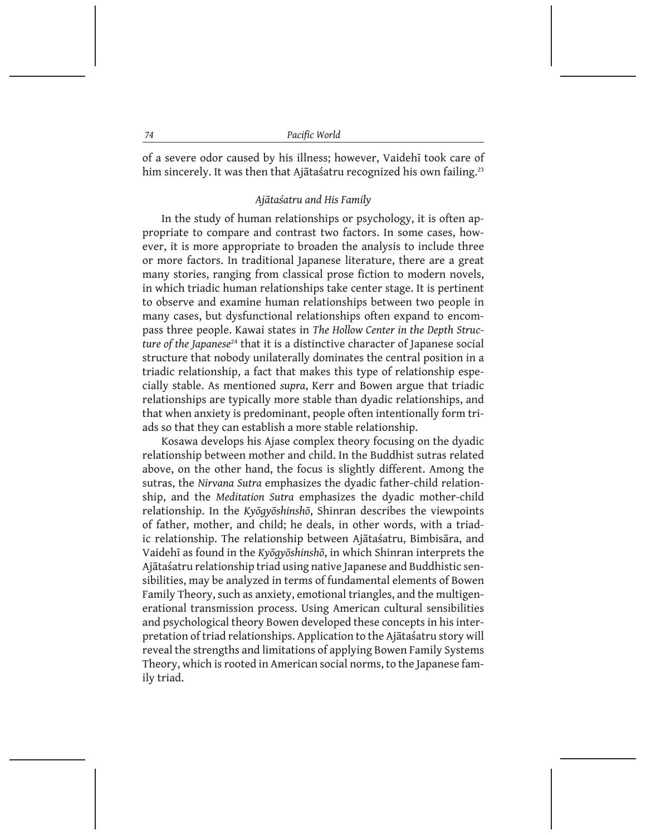of a severe odor caused by his illness; however, Vaidehī took care of him sincerely. It was then that Ajātaśatru recognized his own failing.<sup>23</sup>

# *Ajātaśatru and His Family*

In the study of human relationships or psychology, it is often appropriate to compare and contrast two factors. In some cases, however, it is more appropriate to broaden the analysis to include three or more factors. In traditional Japanese literature, there are a great many stories, ranging from classical prose fiction to modern novels, in which triadic human relationships take center stage. It is pertinent to observe and examine human relationships between two people in many cases, but dysfunctional relationships often expand to encompass three people. Kawai states in *The Hollow Center in the Depth Structure of the Japanese*<sup>24</sup> that it is a distinctive character of Japanese social structure that nobody unilaterally dominates the central position in a triadic relationship, a fact that makes this type of relationship especially stable. As mentioned *supra*, Kerr and Bowen argue that triadic relationships are typically more stable than dyadic relationships, and that when anxiety is predominant, people often intentionally form triads so that they can establish a more stable relationship.

Kosawa develops his Ajase complex theory focusing on the dyadic relationship between mother and child. In the Buddhist sutras related above, on the other hand, the focus is slightly different. Among the sutras, the *Nirvana Sutra* emphasizes the dyadic father-child relationship, and the *Meditation Sutra* emphasizes the dyadic mother-child relationship. In the *Kyōgyōshinshō*, Shinran describes the viewpoints of father, mother, and child; he deals, in other words, with a triadic relationship. The relationship between Ajātaśatru, Bimbisāra, and Vaidehī as found in the *Kyōgyōshinshō*, in which Shinran interprets the Ajātaśatru relationship triad using native Japanese and Buddhistic sensibilities, may be analyzed in terms of fundamental elements of Bowen Family Theory, such as anxiety, emotional triangles, and the multigenerational transmission process. Using American cultural sensibilities and psychological theory Bowen developed these concepts in his interpretation of triad relationships. Application to the Ajātaśatru story will reveal the strengths and limitations of applying Bowen Family Systems Theory, which is rooted in American social norms, to the Japanese family triad.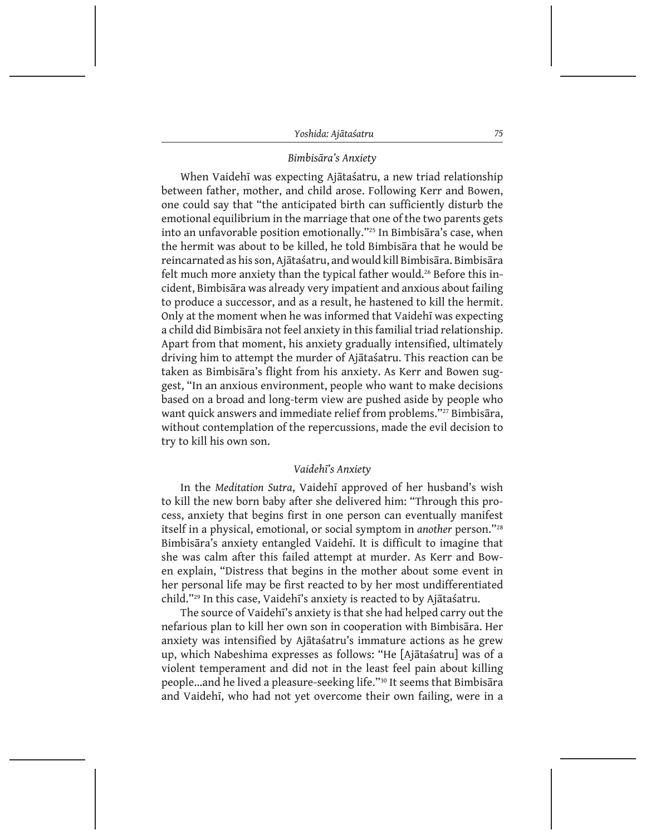#### *Yoshida: Ajātaśatru 75*

## *Bimbisāra's Anxiety*

When Vaidehī was expecting Ajātaśatru, a new triad relationship between father, mother, and child arose. Following Kerr and Bowen, one could say that "the anticipated birth can sufficiently disturb the emotional equilibrium in the marriage that one of the two parents gets into an unfavorable position emotionally."25 In Bimbisāra's case, when the hermit was about to be killed, he told Bimbisāra that he would be reincarnated as his son, Ajātaśatru, and would kill Bimbisāra. Bimbisāra felt much more anxiety than the typical father would.<sup>26</sup> Before this incident, Bimbisāra was already very impatient and anxious about failing to produce a successor, and as a result, he hastened to kill the hermit. Only at the moment when he was informed that Vaidehī was expecting a child did Bimbisāra not feel anxiety in this familial triad relationship. Apart from that moment, his anxiety gradually intensified, ultimately driving him to attempt the murder of Ajātaśatru. This reaction can be taken as Bimbisāra's flight from his anxiety. As Kerr and Bowen suggest, "In an anxious environment, people who want to make decisions based on a broad and long-term view are pushed aside by people who want quick answers and immediate relief from problems."<sup>27</sup> Bimbisāra, without contemplation of the repercussions, made the evil decision to try to kill his own son.

# *Vaidehī's Anxiety*

In the *Meditation Sutra*, Vaidehī approved of her husband's wish to kill the new born baby after she delivered him: "Through this process, anxiety that begins first in one person can eventually manifest itself in a physical, emotional, or social symptom in *another* person."28 Bimbisāra's anxiety entangled Vaidehī. It is difficult to imagine that she was calm after this failed attempt at murder. As Kerr and Bowen explain, "Distress that begins in the mother about some event in her personal life may be first reacted to by her most undifferentiated child."29 In this case, Vaidehī's anxiety is reacted to by Ajātaśatru.

The source of Vaidehī's anxiety is that she had helped carry out the nefarious plan to kill her own son in cooperation with Bimbisāra. Her anxiety was intensified by Ajātaśatru's immature actions as he grew up, which Nabeshima expresses as follows: "He [Ajātaśatru] was of a violent temperament and did not in the least feel pain about killing people…and he lived a pleasure-seeking life."30 It seems that Bimbisāra and Vaidehī, who had not yet overcome their own failing, were in a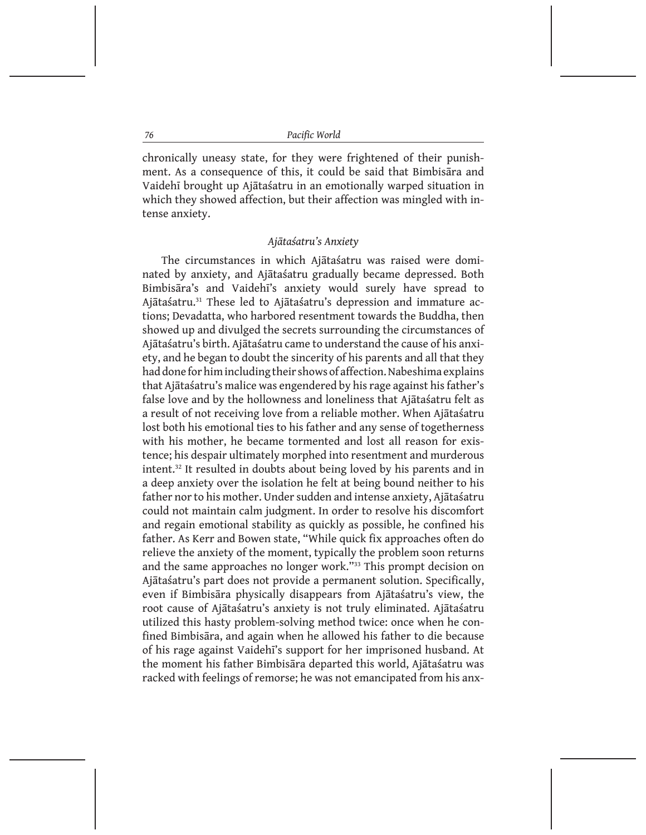chronically uneasy state, for they were frightened of their punishment. As a consequence of this, it could be said that Bimbisāra and Vaidehī brought up Ajātaśatru in an emotionally warped situation in which they showed affection, but their affection was mingled with intense anxiety.

#### *Ajātaśatru's Anxiety*

The circumstances in which Ajātaśatru was raised were dominated by anxiety, and Ajātaśatru gradually became depressed. Both Bimbisāra's and Vaidehī's anxiety would surely have spread to Ajātaśatru.31 These led to Ajātaśatru's depression and immature actions; Devadatta, who harbored resentment towards the Buddha, then showed up and divulged the secrets surrounding the circumstances of Ajātaśatru's birth. Ajātaśatru came to understand the cause of his anxiety, and he began to doubt the sincerity of his parents and all that they had done for him including their shows of affection. Nabeshima explains that Ajātaśatru's malice was engendered by his rage against his father's false love and by the hollowness and loneliness that Ajātaśatru felt as a result of not receiving love from a reliable mother. When Ajātaśatru lost both his emotional ties to his father and any sense of togetherness with his mother, he became tormented and lost all reason for existence; his despair ultimately morphed into resentment and murderous intent.32 It resulted in doubts about being loved by his parents and in a deep anxiety over the isolation he felt at being bound neither to his father nor to his mother. Under sudden and intense anxiety, Ajātaśatru could not maintain calm judgment. In order to resolve his discomfort and regain emotional stability as quickly as possible, he confined his father. As Kerr and Bowen state, "While quick fix approaches often do relieve the anxiety of the moment, typically the problem soon returns and the same approaches no longer work."33 This prompt decision on Ajātaśatru's part does not provide a permanent solution. Specifically, even if Bimbisāra physically disappears from Ajātaśatru's view, the root cause of Ajātaśatru's anxiety is not truly eliminated. Ajātaśatru utilized this hasty problem-solving method twice: once when he confined Bimbisāra, and again when he allowed his father to die because of his rage against Vaidehī's support for her imprisoned husband. At the moment his father Bimbisāra departed this world, Ajātaśatru was racked with feelings of remorse; he was not emancipated from his anx-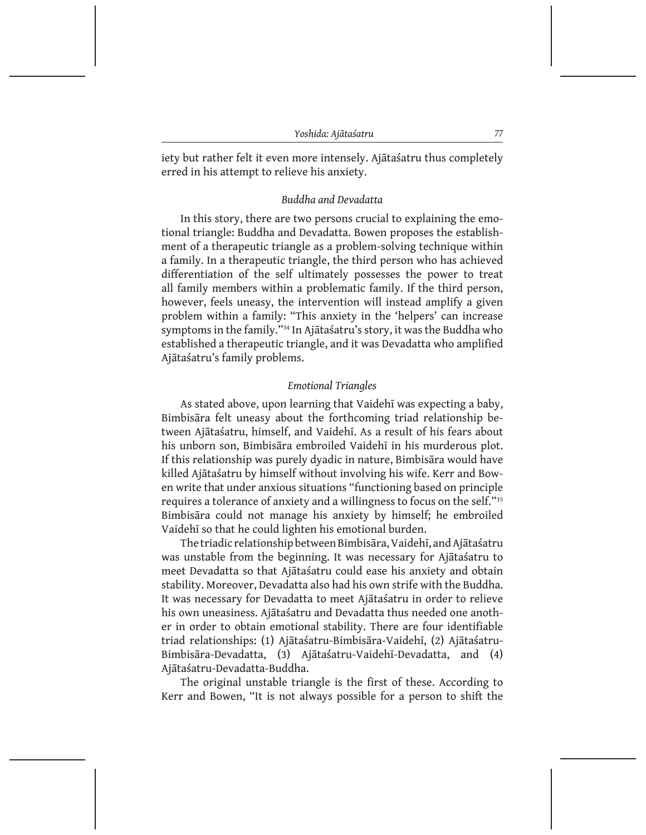iety but rather felt it even more intensely. Ajātaśatru thus completely erred in his attempt to relieve his anxiety.

#### *Buddha and Devadatta*

In this story, there are two persons crucial to explaining the emotional triangle: Buddha and Devadatta. Bowen proposes the establishment of a therapeutic triangle as a problem-solving technique within a family. In a therapeutic triangle, the third person who has achieved differentiation of the self ultimately possesses the power to treat all family members within a problematic family. If the third person, however, feels uneasy, the intervention will instead amplify a given problem within a family: "This anxiety in the 'helpers' can increase symptoms in the family."34 In Ajātaśatru's story, it was the Buddha who established a therapeutic triangle, and it was Devadatta who amplified Ajātaśatru's family problems.

## *Emotional Triangles*

As stated above, upon learning that Vaidehī was expecting a baby, Bimbisāra felt uneasy about the forthcoming triad relationship between Ajātaśatru, himself, and Vaidehī. As a result of his fears about his unborn son, Bimbisāra embroiled Vaidehī in his murderous plot. If this relationship was purely dyadic in nature, Bimbisāra would have killed Ajātaśatru by himself without involving his wife. Kerr and Bowen write that under anxious situations "functioning based on principle requires a tolerance of anxiety and a willingness to focus on the self."35 Bimbisāra could not manage his anxiety by himself; he embroiled Vaidehī so that he could lighten his emotional burden.

The triadic relationship between Bimbisāra, Vaidehī, and Ajātaśatru was unstable from the beginning. It was necessary for Ajātaśatru to meet Devadatta so that Ajātaśatru could ease his anxiety and obtain stability. Moreover, Devadatta also had his own strife with the Buddha. It was necessary for Devadatta to meet Ajātaśatru in order to relieve his own uneasiness. Ajātaśatru and Devadatta thus needed one another in order to obtain emotional stability. There are four identifiable triad relationships: (1) Ajātaśatru-Bimbisāra-Vaidehī, (2) Ajātaśatru-Bimbisāra-Devadatta, (3) Ajātaśatru-Vaidehī-Devadatta, and (4) Ajātaśatru-Devadatta-Buddha.

The original unstable triangle is the first of these. According to Kerr and Bowen, "It is not always possible for a person to shift the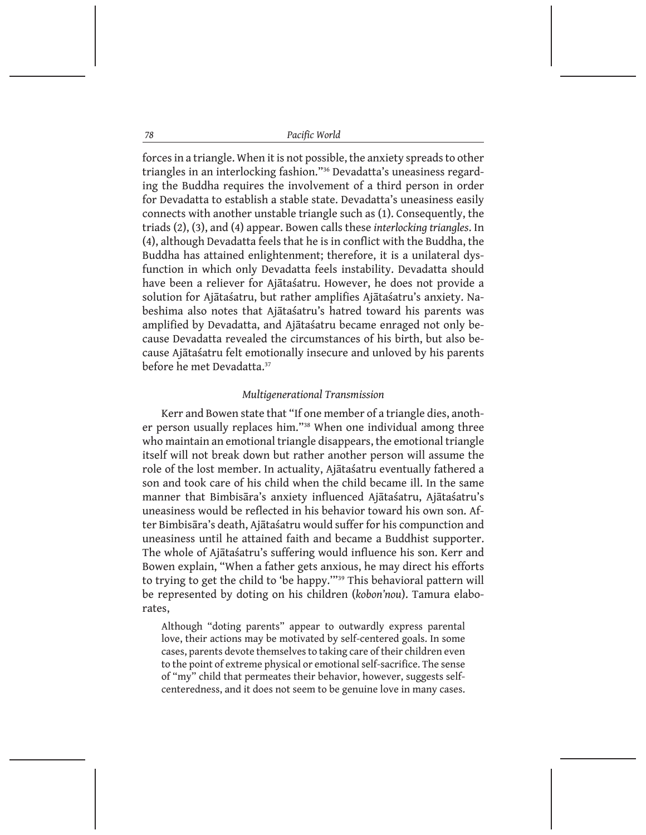forces in a triangle. When it is not possible, the anxiety spreads to other triangles in an interlocking fashion."36 Devadatta's uneasiness regarding the Buddha requires the involvement of a third person in order for Devadatta to establish a stable state. Devadatta's uneasiness easily connects with another unstable triangle such as (1). Consequently, the triads (2), (3), and (4) appear. Bowen calls these *interlocking triangles*. In (4), although Devadatta feels that he is in conflict with the Buddha, the Buddha has attained enlightenment; therefore, it is a unilateral dysfunction in which only Devadatta feels instability. Devadatta should have been a reliever for Ajātaśatru. However, he does not provide a solution for Ajātaśatru, but rather amplifies Ajātaśatru's anxiety. Nabeshima also notes that Ajātaśatru's hatred toward his parents was amplified by Devadatta, and Ajātaśatru became enraged not only because Devadatta revealed the circumstances of his birth, but also because Ajātaśatru felt emotionally insecure and unloved by his parents before he met Devadatta.<sup>37</sup>

## *Multigenerational Transmission*

Kerr and Bowen state that "If one member of a triangle dies, another person usually replaces him."38 When one individual among three who maintain an emotional triangle disappears, the emotional triangle itself will not break down but rather another person will assume the role of the lost member. In actuality, Ajātaśatru eventually fathered a son and took care of his child when the child became ill. In the same manner that Bimbisāra's anxiety influenced Ajātaśatru, Ajātaśatru's uneasiness would be reflected in his behavior toward his own son. After Bimbisāra's death, Ajātaśatru would suffer for his compunction and uneasiness until he attained faith and became a Buddhist supporter. The whole of Ajātaśatru's suffering would influence his son. Kerr and Bowen explain, "When a father gets anxious, he may direct his efforts to trying to get the child to 'be happy.'"39 This behavioral pattern will be represented by doting on his children (*kobon'nou*). Tamura elaborates,

Although "doting parents" appear to outwardly express parental love, their actions may be motivated by self-centered goals. In some cases, parents devote themselves to taking care of their children even to the point of extreme physical or emotional self-sacrifice. The sense of "my" child that permeates their behavior, however, suggests selfcenteredness, and it does not seem to be genuine love in many cases.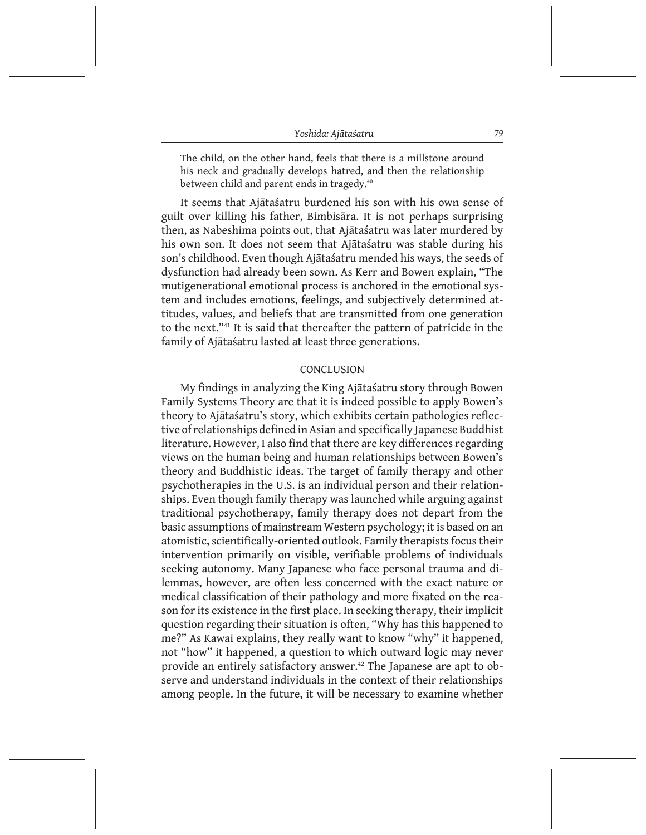The child, on the other hand, feels that there is a millstone around his neck and gradually develops hatred, and then the relationship between child and parent ends in tragedy.<sup>40</sup>

It seems that Ajātaśatru burdened his son with his own sense of guilt over killing his father, Bimbisāra. It is not perhaps surprising then, as Nabeshima points out, that Ajātaśatru was later murdered by his own son. It does not seem that Ajātaśatru was stable during his son's childhood. Even though Ajātaśatru mended his ways, the seeds of dysfunction had already been sown. As Kerr and Bowen explain, "The mutigenerational emotional process is anchored in the emotional system and includes emotions, feelings, and subjectively determined attitudes, values, and beliefs that are transmitted from one generation to the next."41 It is said that thereafter the pattern of patricide in the family of Ajātaśatru lasted at least three generations.

#### CONCLUSION

My findings in analyzing the King Ajātaśatru story through Bowen Family Systems Theory are that it is indeed possible to apply Bowen's theory to Ajātaśatru's story, which exhibits certain pathologies reflective of relationships defined in Asian and specifically Japanese Buddhist literature. However, I also find that there are key differences regarding views on the human being and human relationships between Bowen's theory and Buddhistic ideas. The target of family therapy and other psychotherapies in the U.S. is an individual person and their relationships. Even though family therapy was launched while arguing against traditional psychotherapy, family therapy does not depart from the basic assumptions of mainstream Western psychology; it is based on an atomistic, scientifically-oriented outlook. Family therapists focus their intervention primarily on visible, verifiable problems of individuals seeking autonomy. Many Japanese who face personal trauma and dilemmas, however, are often less concerned with the exact nature or medical classification of their pathology and more fixated on the reason for its existence in the first place. In seeking therapy, their implicit question regarding their situation is often, "Why has this happened to me?" As Kawai explains, they really want to know "why" it happened, not "how" it happened, a question to which outward logic may never provide an entirely satisfactory answer.<sup>42</sup> The Japanese are apt to observe and understand individuals in the context of their relationships among people. In the future, it will be necessary to examine whether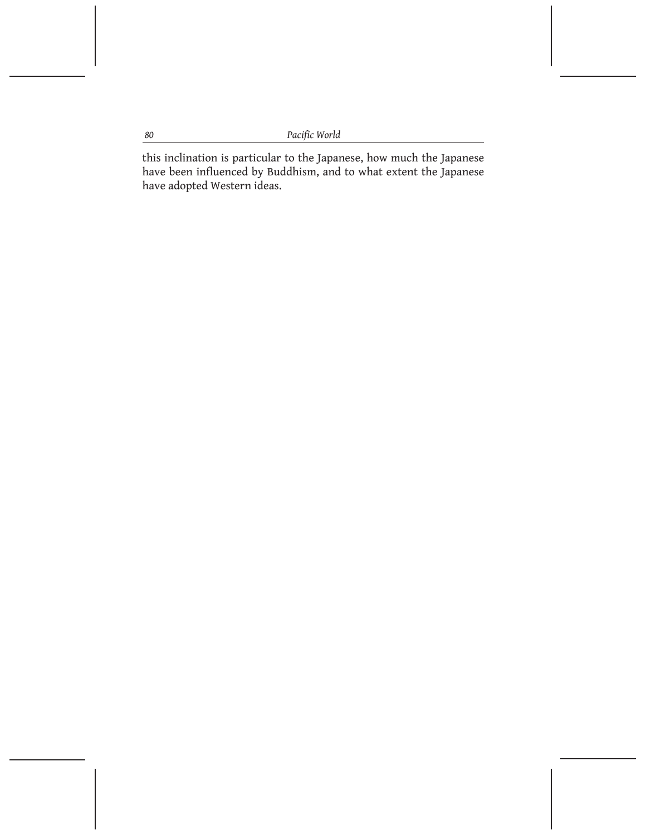this inclination is particular to the Japanese, how much the Japanese have been influenced by Buddhism, and to what extent the Japanese have adopted Western ideas.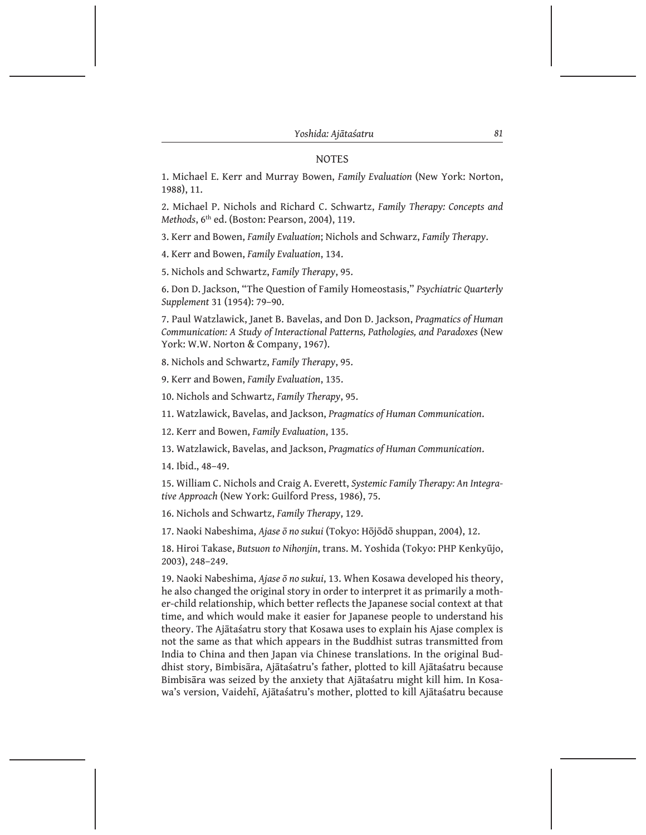#### **NOTES**

1. Michael E. Kerr and Murray Bowen, *Family Evaluation* (New York: Norton, 1988), 11.

2. Michael P. Nichols and Richard C. Schwartz, *Family Therapy: Concepts and Methods*, 6th ed. (Boston: Pearson, 2004), 119.

3. Kerr and Bowen, *Family Evaluation*; Nichols and Schwarz, *Family Therapy*.

4. Kerr and Bowen, *Family Evaluation*, 134.

5. Nichols and Schwartz, *Family Therapy*, 95.

6. Don D. Jackson, "The Question of Family Homeostasis," *Psychiatric Quarterly Supplement* 31 (1954): 79–90.

7. Paul Watzlawick, Janet B. Bavelas, and Don D. Jackson, *Pragmatics of Human Communication: A Study of Interactional Patterns, Pathologies, and Paradoxes* (New York: W.W. Norton & Company, 1967).

8. Nichols and Schwartz, *Family Therapy*, 95.

9. Kerr and Bowen, *Family Evaluation*, 135.

10. Nichols and Schwartz, *Family Therapy*, 95.

11. Watzlawick, Bavelas, and Jackson, *Pragmatics of Human Communication*.

12. Kerr and Bowen, *Family Evaluation*, 135.

13. Watzlawick, Bavelas, and Jackson, *Pragmatics of Human Communication*.

14. Ibid., 48–49.

15. William C. Nichols and Craig A. Everett, *Systemic Family Therapy: An Integrative Approach* (New York: Guilford Press, 1986), 75.

16. Nichols and Schwartz, *Family Therapy*, 129.

17. Naoki Nabeshima, *Ajase ō no sukui* (Tokyo: Hōjōdō shuppan, 2004), 12.

18. Hiroi Takase, *Butsuon to Nihonjin*, trans. M. Yoshida (Tokyo: PHP Kenkyūjo, 2003), 248–249.

19. Naoki Nabeshima, *Ajase ō no sukui*, 13. When Kosawa developed his theory, he also changed the original story in order to interpret it as primarily a mother-child relationship, which better reflects the Japanese social context at that time, and which would make it easier for Japanese people to understand his theory. The Ajātaśatru story that Kosawa uses to explain his Ajase complex is not the same as that which appears in the Buddhist sutras transmitted from India to China and then Japan via Chinese translations. In the original Buddhist story, Bimbisāra, Ajātaśatru's father, plotted to kill Ajātaśatru because Bimbisāra was seized by the anxiety that Ajātaśatru might kill him. In Kosawa's version, Vaidehī, Ajātaśatru's mother, plotted to kill Ajātaśatru because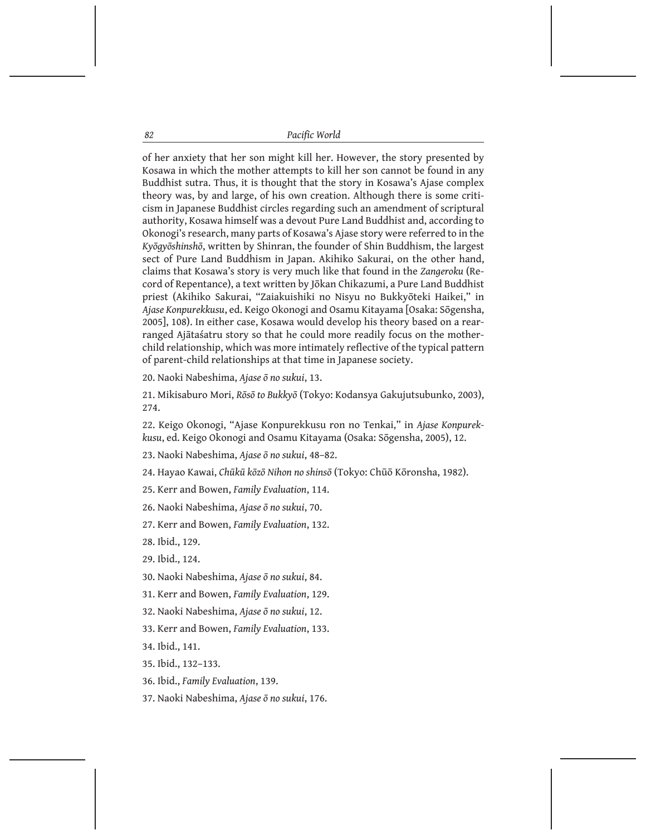of her anxiety that her son might kill her. However, the story presented by Kosawa in which the mother attempts to kill her son cannot be found in any Buddhist sutra. Thus, it is thought that the story in Kosawa's Ajase complex theory was, by and large, of his own creation. Although there is some criticism in Japanese Buddhist circles regarding such an amendment of scriptural authority, Kosawa himself was a devout Pure Land Buddhist and, according to Okonogi's research, many parts of Kosawa's Ajase story were referred to in the *Kyōgyōshinshō*, written by Shinran, the founder of Shin Buddhism, the largest sect of Pure Land Buddhism in Japan. Akihiko Sakurai, on the other hand, claims that Kosawa's story is very much like that found in the *Zangeroku* (Record of Repentance), a text written by Jōkan Chikazumi, a Pure Land Buddhist priest (Akihiko Sakurai, "Zaiakuishiki no Nisyu no Bukkyōteki Haikei," in *Ajase Konpurekkusu*, ed. Keigo Okonogi and Osamu Kitayama [Osaka: Sōgensha, 2005], 108). In either case, Kosawa would develop his theory based on a rearranged Ajātaśatru story so that he could more readily focus on the motherchild relationship, which was more intimately reflective of the typical pattern of parent-child relationships at that time in Japanese society.

20. Naoki Nabeshima, *Ajase ō no sukui*, 13.

21. Mikisaburo Mori, *Rōsō to Bukkyō* (Tokyo: Kodansya Gakujutsubunko, 2003), 274.

22. Keigo Okonogi, "Ajase Konpurekkusu ron no Tenkai," in *Ajase Konpurekkusu*, ed. Keigo Okonogi and Osamu Kitayama (Osaka: Sōgensha, 2005), 12.

23. Naoki Nabeshima, *Ajase ō no sukui*, 48–82.

24. Hayao Kawai, *Chūkū kōzō Nihon no shinsō* (Tokyo: Chūō Kōronsha, 1982).

25. Kerr and Bowen, *Family Evaluation*, 114.

26. Naoki Nabeshima, *Ajase ō no sukui*, 70.

27. Kerr and Bowen, *Family Evaluation*, 132.

28. Ibid., 129.

29. Ibid., 124.

30. Naoki Nabeshima, *Ajase ō no sukui*, 84.

31. Kerr and Bowen, *Family Evaluation*, 129.

32. Naoki Nabeshima, *Ajase ō no sukui*, 12.

33. Kerr and Bowen, *Family Evaluation*, 133.

34. Ibid., 141.

35. Ibid., 132–133.

36. Ibid., *Family Evaluation*, 139.

37. Naoki Nabeshima, *Ajase ō no sukui*, 176.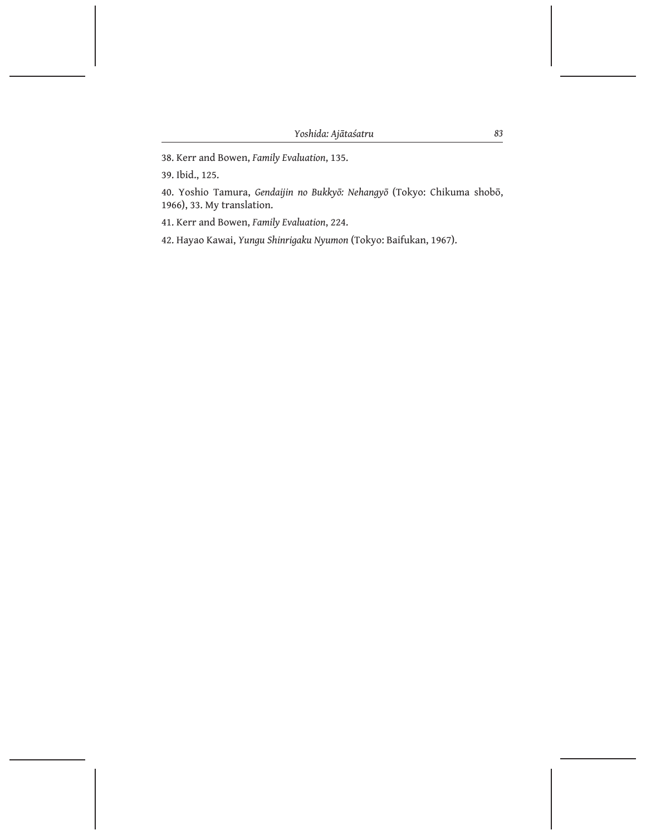38. Kerr and Bowen, *Family Evaluation*, 135.

39. Ibid., 125.

40. Yoshio Tamura, *Gendaijin no Bukkyō: Nehangyō* (Tokyo: Chikuma shobō, 1966), 33. My translation.

41. Kerr and Bowen, *Family Evaluation*, 224.

42. Hayao Kawai, *Yungu Shinrigaku Nyumon* (Tokyo: Baifukan, 1967).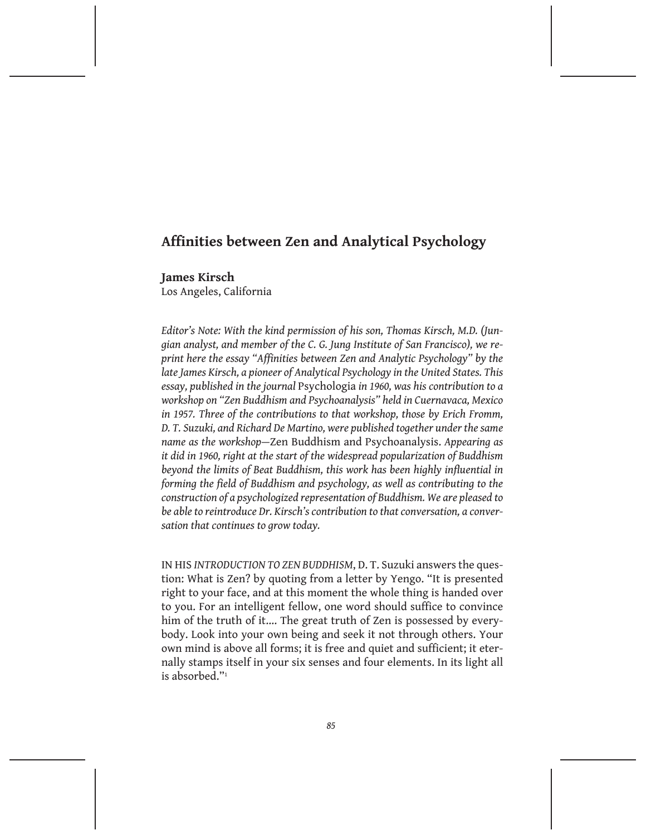# **Affinities between Zen and Analytical Psychology**

# **James Kirsch**

Los Angeles, California

*Editor's Note: With the kind permission of his son, Thomas Kirsch, M.D. (Jungian analyst, and member of the C. G. Jung Institute of San Francisco), we reprint here the essay "Affinities between Zen and Analytic Psychology" by the late James Kirsch, a pioneer of Analytical Psychology in the United States. This essay, published in the journal* Psychologia *in 1960, was his contribution to a workshop on "Zen Buddhism and Psychoanalysis" held in Cuernavaca, Mexico in 1957. Three of the contributions to that workshop, those by Erich Fromm, D. T. Suzuki, and Richard De Martino, were published together under the same name as the workshop—*Zen Buddhism and Psychoanalysis. *Appearing as it did in 1960, right at the start of the widespread popularization of Buddhism beyond the limits of Beat Buddhism, this work has been highly influential in forming the field of Buddhism and psychology, as well as contributing to the construction of a psychologized representation of Buddhism. We are pleased to be able to reintroduce Dr. Kirsch's contribution to that conversation, a conversation that continues to grow today.*

IN HIS *INTRODUCTION TO ZEN BUDDHISM*, D. T. Suzuki answers the question: What is Zen? by quoting from a letter by Yengo. "It is presented right to your face, and at this moment the whole thing is handed over to you. For an intelligent fellow, one word should suffice to convince him of the truth of it…. The great truth of Zen is possessed by everybody. Look into your own being and seek it not through others. Your own mind is above all forms; it is free and quiet and sufficient; it eternally stamps itself in your six senses and four elements. In its light all is absorbed."1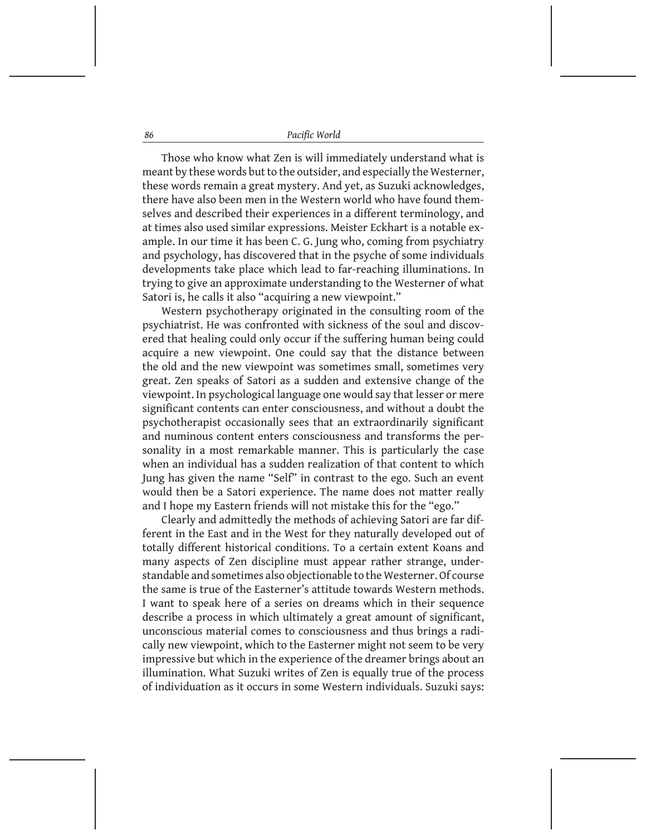Those who know what Zen is will immediately understand what is meant by these words but to the outsider, and especially the Westerner, these words remain a great mystery. And yet, as Suzuki acknowledges, there have also been men in the Western world who have found themselves and described their experiences in a different terminology, and at times also used similar expressions. Meister Eckhart is a notable example. In our time it has been C. G. Jung who, coming from psychiatry and psychology, has discovered that in the psyche of some individuals developments take place which lead to far-reaching illuminations. In trying to give an approximate understanding to the Westerner of what Satori is, he calls it also "acquiring a new viewpoint."

Western psychotherapy originated in the consulting room of the psychiatrist. He was confronted with sickness of the soul and discovered that healing could only occur if the suffering human being could acquire a new viewpoint. One could say that the distance between the old and the new viewpoint was sometimes small, sometimes very great. Zen speaks of Satori as a sudden and extensive change of the viewpoint. In psychological language one would say that lesser or mere significant contents can enter consciousness, and without a doubt the psychotherapist occasionally sees that an extraordinarily significant and numinous content enters consciousness and transforms the personality in a most remarkable manner. This is particularly the case when an individual has a sudden realization of that content to which Jung has given the name "Self" in contrast to the ego. Such an event would then be a Satori experience. The name does not matter really and I hope my Eastern friends will not mistake this for the "ego."

Clearly and admittedly the methods of achieving Satori are far different in the East and in the West for they naturally developed out of totally different historical conditions. To a certain extent Koans and many aspects of Zen discipline must appear rather strange, understandable and sometimes also objectionable to the Westerner. Of course the same is true of the Easterner's attitude towards Western methods. I want to speak here of a series on dreams which in their sequence describe a process in which ultimately a great amount of significant, unconscious material comes to consciousness and thus brings a radically new viewpoint, which to the Easterner might not seem to be very impressive but which in the experience of the dreamer brings about an illumination. What Suzuki writes of Zen is equally true of the process of individuation as it occurs in some Western individuals. Suzuki says: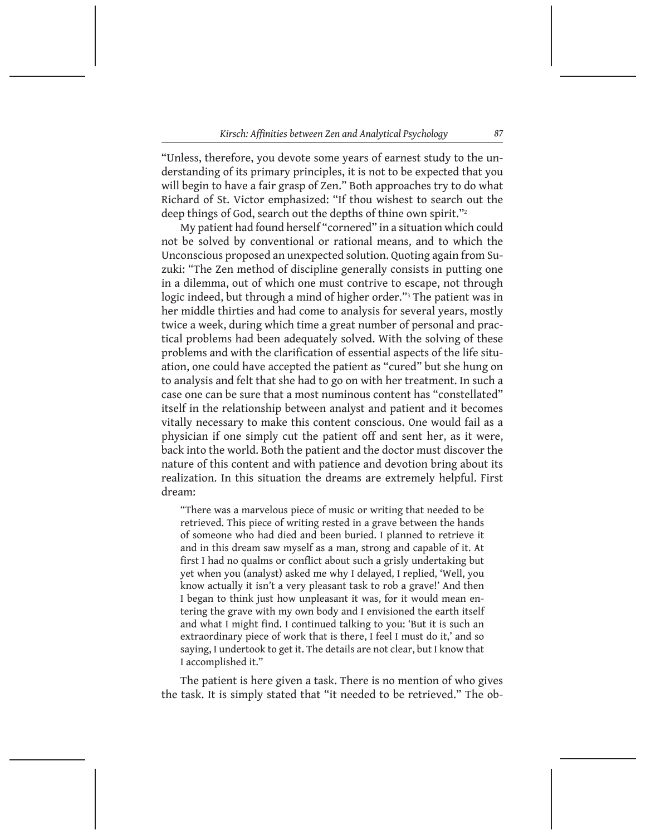"Unless, therefore, you devote some years of earnest study to the understanding of its primary principles, it is not to be expected that you will begin to have a fair grasp of Zen." Both approaches try to do what Richard of St. Victor emphasized: "If thou wishest to search out the deep things of God, search out the depths of thine own spirit."<sup>2</sup>

My patient had found herself "cornered" in a situation which could not be solved by conventional or rational means, and to which the Unconscious proposed an unexpected solution. Quoting again from Suzuki: "The Zen method of discipline generally consists in putting one in a dilemma, out of which one must contrive to escape, not through logic indeed, but through a mind of higher order."3 The patient was in her middle thirties and had come to analysis for several years, mostly twice a week, during which time a great number of personal and practical problems had been adequately solved. With the solving of these problems and with the clarification of essential aspects of the life situation, one could have accepted the patient as "cured" but she hung on to analysis and felt that she had to go on with her treatment. In such a case one can be sure that a most numinous content has "constellated" itself in the relationship between analyst and patient and it becomes vitally necessary to make this content conscious. One would fail as a physician if one simply cut the patient off and sent her, as it were, back into the world. Both the patient and the doctor must discover the nature of this content and with patience and devotion bring about its realization. In this situation the dreams are extremely helpful. First dream:

"There was a marvelous piece of music or writing that needed to be retrieved. This piece of writing rested in a grave between the hands of someone who had died and been buried. I planned to retrieve it and in this dream saw myself as a man, strong and capable of it. At first I had no qualms or conflict about such a grisly undertaking but yet when you (analyst) asked me why I delayed, I replied, 'Well, you know actually it isn't a very pleasant task to rob a grave!' And then I began to think just how unpleasant it was, for it would mean entering the grave with my own body and I envisioned the earth itself and what I might find. I continued talking to you: 'But it is such an extraordinary piece of work that is there, I feel I must do it,' and so saying, I undertook to get it. The details are not clear, but I know that I accomplished it."

The patient is here given a task. There is no mention of who gives the task. It is simply stated that "it needed to be retrieved." The ob-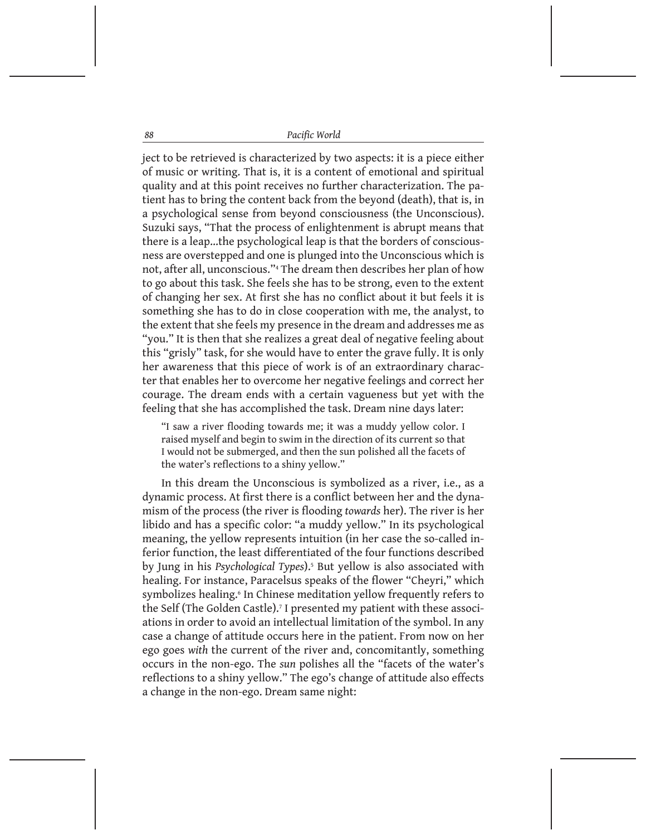ject to be retrieved is characterized by two aspects: it is a piece either of music or writing. That is, it is a content of emotional and spiritual quality and at this point receives no further characterization. The patient has to bring the content back from the beyond (death), that is, in a psychological sense from beyond consciousness (the Unconscious). Suzuki says, "That the process of enlightenment is abrupt means that there is a leap…the psychological leap is that the borders of consciousness are overstepped and one is plunged into the Unconscious which is not, after all, unconscious."4 The dream then describes her plan of how to go about this task. She feels she has to be strong, even to the extent of changing her sex. At first she has no conflict about it but feels it is something she has to do in close cooperation with me, the analyst, to the extent that she feels my presence in the dream and addresses me as "you." It is then that she realizes a great deal of negative feeling about this "grisly" task, for she would have to enter the grave fully. It is only her awareness that this piece of work is of an extraordinary character that enables her to overcome her negative feelings and correct her courage. The dream ends with a certain vagueness but yet with the feeling that she has accomplished the task. Dream nine days later:

"I saw a river flooding towards me; it was a muddy yellow color. I raised myself and begin to swim in the direction of its current so that I would not be submerged, and then the sun polished all the facets of the water's reflections to a shiny yellow."

In this dream the Unconscious is symbolized as a river, i.e., as a dynamic process. At first there is a conflict between her and the dynamism of the process (the river is flooding *towards* her). The river is her libido and has a specific color: "a muddy yellow." In its psychological meaning, the yellow represents intuition (in her case the so-called inferior function, the least differentiated of the four functions described by Jung in his *Psychological Types*).5 But yellow is also associated with healing. For instance, Paracelsus speaks of the flower "Cheyri," which symbolizes healing.6 In Chinese meditation yellow frequently refers to the Self (The Golden Castle).7 I presented my patient with these associations in order to avoid an intellectual limitation of the symbol. In any case a change of attitude occurs here in the patient. From now on her ego goes *with* the current of the river and, concomitantly, something occurs in the non-ego. The *sun* polishes all the "facets of the water's reflections to a shiny yellow." The ego's change of attitude also effects a change in the non-ego. Dream same night: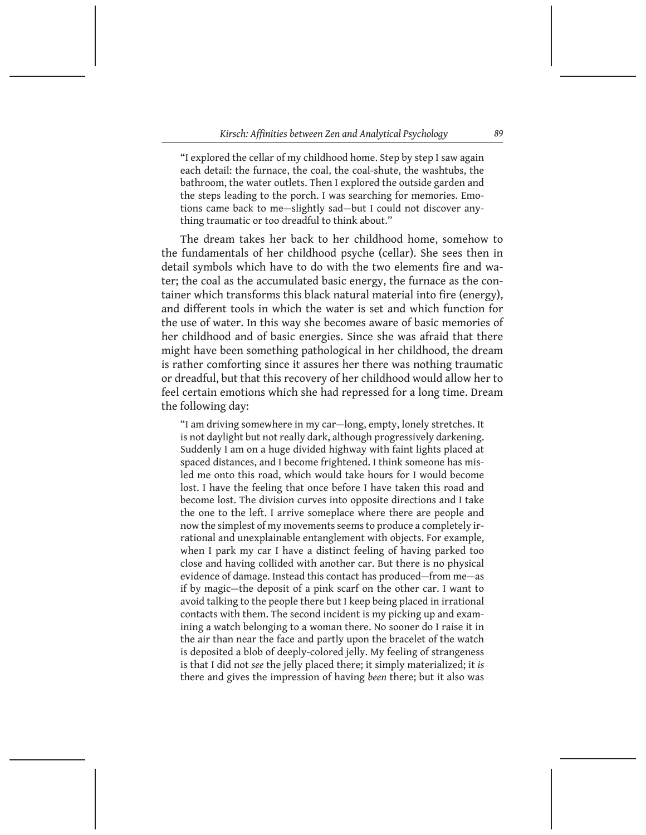"I explored the cellar of my childhood home. Step by step I saw again each detail: the furnace, the coal, the coal-shute, the washtubs, the bathroom, the water outlets. Then I explored the outside garden and the steps leading to the porch. I was searching for memories. Emotions came back to me—slightly sad—but I could not discover anything traumatic or too dreadful to think about."

The dream takes her back to her childhood home, somehow to the fundamentals of her childhood psyche (cellar). She sees then in detail symbols which have to do with the two elements fire and water; the coal as the accumulated basic energy, the furnace as the container which transforms this black natural material into fire (energy), and different tools in which the water is set and which function for the use of water. In this way she becomes aware of basic memories of her childhood and of basic energies. Since she was afraid that there might have been something pathological in her childhood, the dream is rather comforting since it assures her there was nothing traumatic or dreadful, but that this recovery of her childhood would allow her to feel certain emotions which she had repressed for a long time. Dream the following day:

"I am driving somewhere in my car—long, empty, lonely stretches. It is not daylight but not really dark, although progressively darkening. Suddenly I am on a huge divided highway with faint lights placed at spaced distances, and I become frightened. I think someone has misled me onto this road, which would take hours for I would become lost. I have the feeling that once before I have taken this road and become lost. The division curves into opposite directions and I take the one to the left. I arrive someplace where there are people and now the simplest of my movements seems to produce a completely irrational and unexplainable entanglement with objects. For example, when I park my car I have a distinct feeling of having parked too close and having collided with another car. But there is no physical evidence of damage. Instead this contact has produced—from me—as if by magic—the deposit of a pink scarf on the other car. I want to avoid talking to the people there but I keep being placed in irrational contacts with them. The second incident is my picking up and examining a watch belonging to a woman there. No sooner do I raise it in the air than near the face and partly upon the bracelet of the watch is deposited a blob of deeply-colored jelly. My feeling of strangeness is that I did not *see* the jelly placed there; it simply materialized; it *is* there and gives the impression of having *been* there; but it also was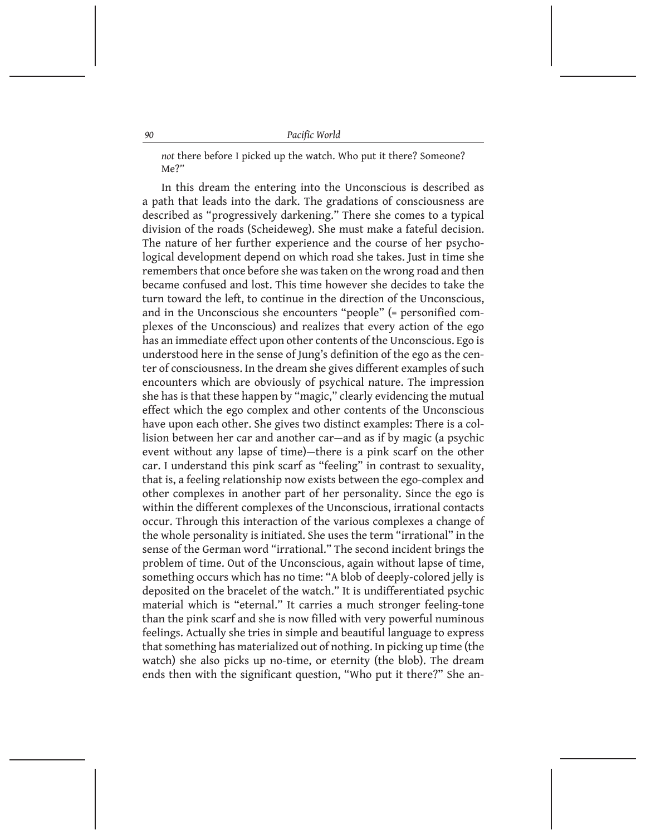*not* there before I picked up the watch. Who put it there? Someone? Me?"

In this dream the entering into the Unconscious is described as a path that leads into the dark. The gradations of consciousness are described as "progressively darkening." There she comes to a typical division of the roads (Scheideweg). She must make a fateful decision. The nature of her further experience and the course of her psychological development depend on which road she takes. Just in time she remembers that once before she was taken on the wrong road and then became confused and lost. This time however she decides to take the turn toward the left, to continue in the direction of the Unconscious, and in the Unconscious she encounters "people" (= personified complexes of the Unconscious) and realizes that every action of the ego has an immediate effect upon other contents of the Unconscious. Ego is understood here in the sense of Jung's definition of the ego as the center of consciousness. In the dream she gives different examples of such encounters which are obviously of psychical nature. The impression she has is that these happen by "magic," clearly evidencing the mutual effect which the ego complex and other contents of the Unconscious have upon each other. She gives two distinct examples: There is a collision between her car and another car—and as if by magic (a psychic event without any lapse of time)—there is a pink scarf on the other car. I understand this pink scarf as "feeling" in contrast to sexuality, that is, a feeling relationship now exists between the ego-complex and other complexes in another part of her personality. Since the ego is within the different complexes of the Unconscious, irrational contacts occur. Through this interaction of the various complexes a change of the whole personality is initiated. She uses the term "irrational" in the sense of the German word "irrational." The second incident brings the problem of time. Out of the Unconscious, again without lapse of time, something occurs which has no time: "A blob of deeply-colored jelly is deposited on the bracelet of the watch." It is undifferentiated psychic material which is "eternal." It carries a much stronger feeling-tone than the pink scarf and she is now filled with very powerful numinous feelings. Actually she tries in simple and beautiful language to express that something has materialized out of nothing. In picking up time (the watch) she also picks up no-time, or eternity (the blob). The dream ends then with the significant question, "Who put it there?" She an-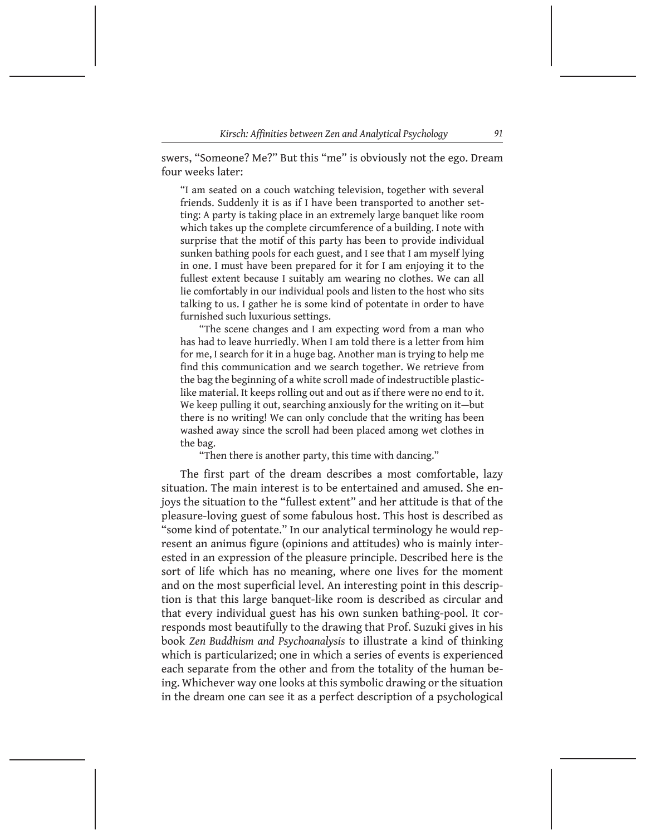swers, "Someone? Me?" But this "me" is obviously not the ego. Dream four weeks later:

"I am seated on a couch watching television, together with several friends. Suddenly it is as if I have been transported to another setting: A party is taking place in an extremely large banquet like room which takes up the complete circumference of a building. I note with surprise that the motif of this party has been to provide individual sunken bathing pools for each guest, and I see that I am myself lying in one. I must have been prepared for it for I am enjoying it to the fullest extent because I suitably am wearing no clothes. We can all lie comfortably in our individual pools and listen to the host who sits talking to us. I gather he is some kind of potentate in order to have furnished such luxurious settings.

"The scene changes and I am expecting word from a man who has had to leave hurriedly. When I am told there is a letter from him for me, I search for it in a huge bag. Another man is trying to help me find this communication and we search together. We retrieve from the bag the beginning of a white scroll made of indestructible plasticlike material. It keeps rolling out and out as if there were no end to it. We keep pulling it out, searching anxiously for the writing on it—but there is no writing! We can only conclude that the writing has been washed away since the scroll had been placed among wet clothes in the bag.

"Then there is another party, this time with dancing."

The first part of the dream describes a most comfortable, lazy situation. The main interest is to be entertained and amused. She enjoys the situation to the "fullest extent" and her attitude is that of the pleasure-loving guest of some fabulous host. This host is described as "some kind of potentate." In our analytical terminology he would represent an animus figure (opinions and attitudes) who is mainly interested in an expression of the pleasure principle. Described here is the sort of life which has no meaning, where one lives for the moment and on the most superficial level. An interesting point in this description is that this large banquet-like room is described as circular and that every individual guest has his own sunken bathing-pool. It corresponds most beautifully to the drawing that Prof. Suzuki gives in his book *Zen Buddhism and Psychoanalysis* to illustrate a kind of thinking which is particularized; one in which a series of events is experienced each separate from the other and from the totality of the human being. Whichever way one looks at this symbolic drawing or the situation in the dream one can see it as a perfect description of a psychological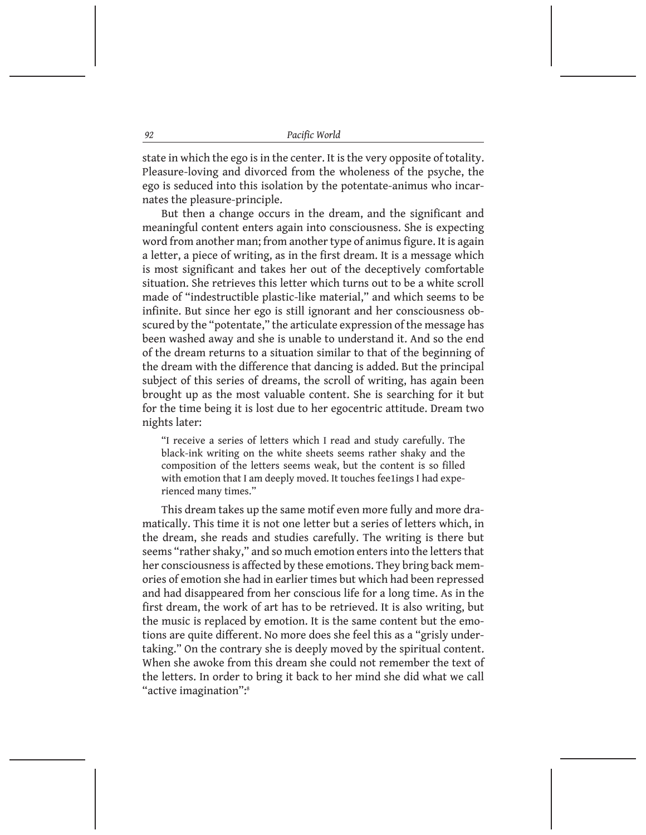state in which the ego is in the center. It is the very opposite of totality. Pleasure-loving and divorced from the wholeness of the psyche, the ego is seduced into this isolation by the potentate-animus who incarnates the pleasure-principle.

But then a change occurs in the dream, and the significant and meaningful content enters again into consciousness. She is expecting word from another man; from another type of animus figure. It is again a letter, a piece of writing, as in the first dream. It is a message which is most significant and takes her out of the deceptively comfortable situation. She retrieves this letter which turns out to be a white scroll made of "indestructible plastic-like material," and which seems to be infinite. But since her ego is still ignorant and her consciousness obscured by the "potentate," the articulate expression of the message has been washed away and she is unable to understand it. And so the end of the dream returns to a situation similar to that of the beginning of the dream with the difference that dancing is added. But the principal subject of this series of dreams, the scroll of writing, has again been brought up as the most valuable content. She is searching for it but for the time being it is lost due to her egocentric attitude. Dream two nights later:

"I receive a series of letters which I read and study carefully. The black-ink writing on the white sheets seems rather shaky and the composition of the letters seems weak, but the content is so filled with emotion that I am deeply moved. It touches fee1ings I had experienced many times."

This dream takes up the same motif even more fully and more dramatically. This time it is not one letter but a series of letters which, in the dream, she reads and studies carefully. The writing is there but seems "rather shaky," and so much emotion enters into the letters that her consciousness is affected by these emotions. They bring back memories of emotion she had in earlier times but which had been repressed and had disappeared from her conscious life for a long time. As in the first dream, the work of art has to be retrieved. It is also writing, but the music is replaced by emotion. It is the same content but the emotions are quite different. No more does she feel this as a "grisly undertaking." On the contrary she is deeply moved by the spiritual content. When she awoke from this dream she could not remember the text of the letters. In order to bring it back to her mind she did what we call "active imagination":<sup>8</sup>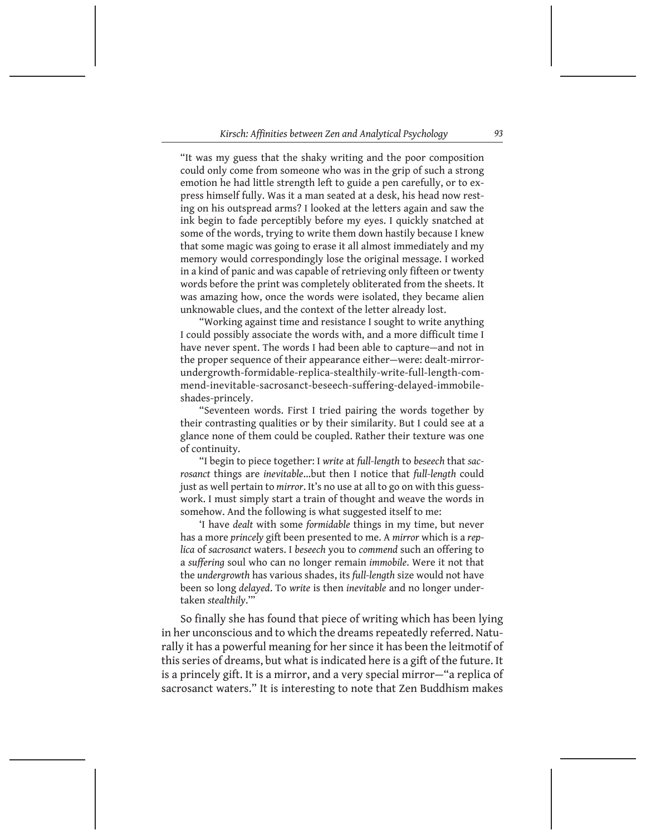"It was my guess that the shaky writing and the poor composition could only come from someone who was in the grip of such a strong emotion he had little strength left to guide a pen carefully, or to express himself fully. Was it a man seated at a desk, his head now resting on his outspread arms? I looked at the letters again and saw the ink begin to fade perceptibly before my eyes. I quickly snatched at some of the words, trying to write them down hastily because I knew that some magic was going to erase it all almost immediately and my memory would correspondingly lose the original message. I worked in a kind of panic and was capable of retrieving only fifteen or twenty words before the print was completely obliterated from the sheets. It was amazing how, once the words were isolated, they became alien unknowable clues, and the context of the letter already lost.

"Working against time and resistance I sought to write anything I could possibly associate the words with, and a more difficult time I have never spent. The words I had been able to capture—and not in the proper sequence of their appearance either—were: dealt-mirrorundergrowth-formidable-replica-stealthily-write-full-length-commend-inevitable-sacrosanct-beseech-suffering-delayed-immobileshades-princely.

"Seventeen words. First I tried pairing the words together by their contrasting qualities or by their similarity. But I could see at a glance none of them could be coupled. Rather their texture was one of continuity.

"I begin to piece together: I *write* at *full-length* to *beseech* that *sacrosanct* things are *inevitable*…but then I notice that *full-length* could just as well pertain to *mirror*. It's no use at all to go on with this guesswork. I must simply start a train of thought and weave the words in somehow. And the following is what suggested itself to me:

'I have *dealt* with some *formidable* things in my time, but never has a more *princely* gift been presented to me. A *mirror* which is a *replica* of *sacrosanct* waters. I *beseech* you to *commend* such an offering to a *suffering* soul who can no longer remain *immobile*. Were it not that the *undergrowth* has various shades, its *full-length* size would not have been so long *delayed*. To *write* is then *inevitable* and no longer undertaken *stealthily*.'"

So finally she has found that piece of writing which has been lying in her unconscious and to which the dreams repeatedly referred. Naturally it has a powerful meaning for her since it has been the leitmotif of this series of dreams, but what is indicated here is a gift of the future. It is a princely gift. It is a mirror, and a very special mirror—"a replica of sacrosanct waters." It is interesting to note that Zen Buddhism makes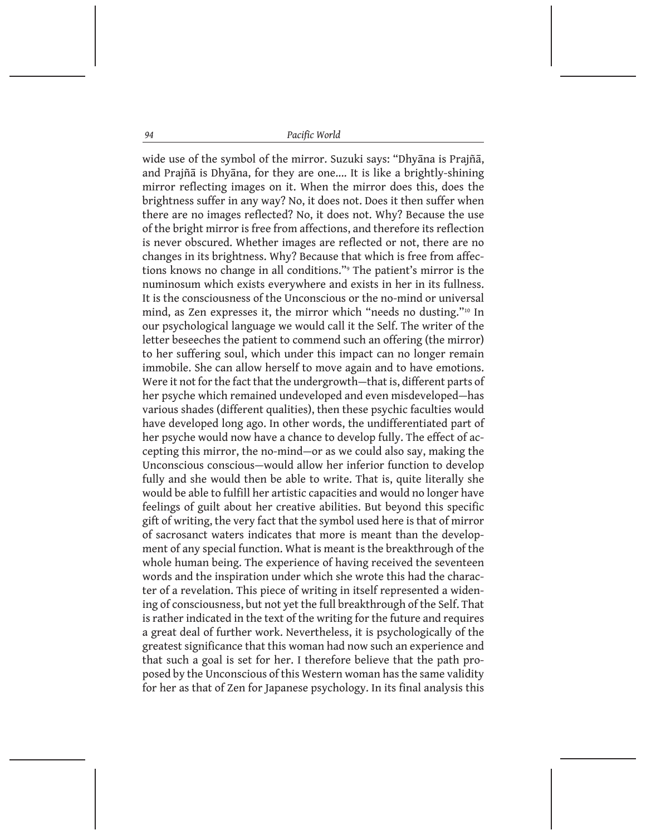wide use of the symbol of the mirror. Suzuki says: "Dhyāna is Prajñā, and Prajñā is Dhyāna, for they are one.... It is like a brightly-shining mirror reflecting images on it. When the mirror does this, does the brightness suffer in any way? No, it does not. Does it then suffer when there are no images reflected? No, it does not. Why? Because the use of the bright mirror is free from affections, and therefore its reflection is never obscured. Whether images are reflected or not, there are no changes in its brightness. Why? Because that which is free from affections knows no change in all conditions."9 The patient's mirror is the numinosum which exists everywhere and exists in her in its fullness. It is the consciousness of the Unconscious or the no-mind or universal mind, as Zen expresses it, the mirror which "needs no dusting."10 In our psychological language we would call it the Self. The writer of the letter beseeches the patient to commend such an offering (the mirror) to her suffering soul, which under this impact can no longer remain immobile. She can allow herself to move again and to have emotions. Were it not for the fact that the undergrowth—that is, different parts of her psyche which remained undeveloped and even misdeveloped—has various shades (different qualities), then these psychic faculties would have developed long ago. In other words, the undifferentiated part of her psyche would now have a chance to develop fully. The effect of accepting this mirror, the no-mind—or as we could also say, making the Unconscious conscious—would allow her inferior function to develop fully and she would then be able to write. That is, quite literally she would be able to fulfill her artistic capacities and would no longer have feelings of guilt about her creative abilities. But beyond this specific gift of writing, the very fact that the symbol used here is that of mirror of sacrosanct waters indicates that more is meant than the development of any special function. What is meant is the breakthrough of the whole human being. The experience of having received the seventeen words and the inspiration under which she wrote this had the character of a revelation. This piece of writing in itself represented a widening of consciousness, but not yet the full breakthrough of the Self. That is rather indicated in the text of the writing for the future and requires a great deal of further work. Nevertheless, it is psychologically of the greatest significance that this woman had now such an experience and that such a goal is set for her. I therefore believe that the path proposed by the Unconscious of this Western woman has the same validity for her as that of Zen for Japanese psychology. In its final analysis this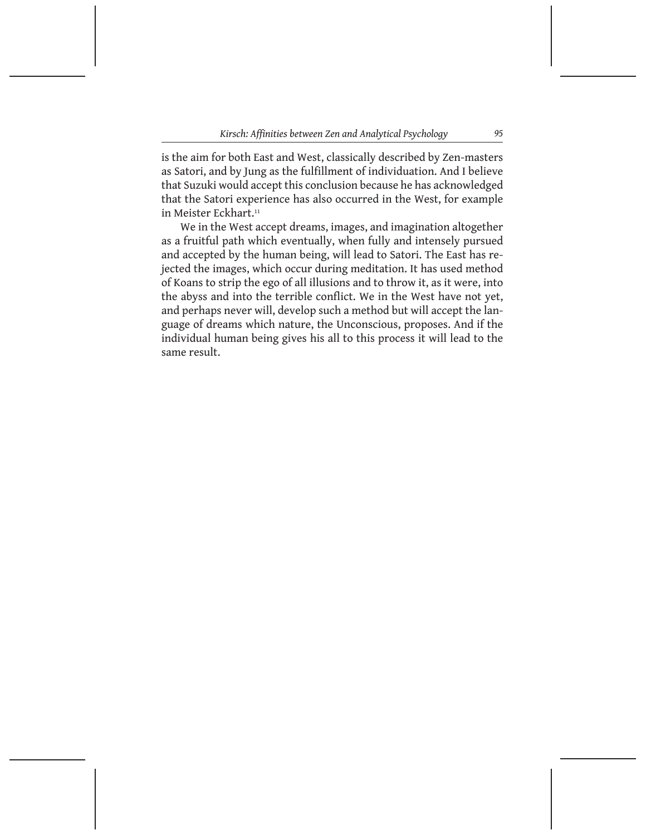is the aim for both East and West, classically described by Zen-masters as Satori, and by Jung as the fulfillment of individuation. And I believe that Suzuki would accept this conclusion because he has acknowledged that the Satori experience has also occurred in the West, for example in Meister Eckhart.<sup>11</sup>

We in the West accept dreams, images, and imagination altogether as a fruitful path which eventually, when fully and intensely pursued and accepted by the human being, will lead to Satori. The East has rejected the images, which occur during meditation. It has used method of Koans to strip the ego of all illusions and to throw it, as it were, into the abyss and into the terrible conflict. We in the West have not yet, and perhaps never will, develop such a method but will accept the language of dreams which nature, the Unconscious, proposes. And if the individual human being gives his all to this process it will lead to the same result.